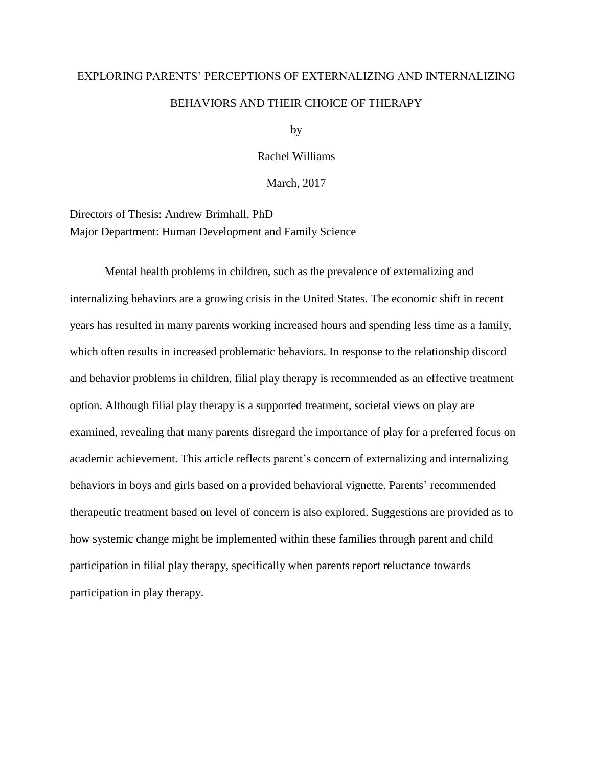# EXPLORING PARENTS' PERCEPTIONS OF EXTERNALIZING AND INTERNALIZING BEHAVIORS AND THEIR CHOICE OF THERAPY

by

Rachel Williams

March, 2017

Directors of Thesis: Andrew Brimhall, PhD Major Department: Human Development and Family Science

Mental health problems in children, such as the prevalence of externalizing and internalizing behaviors are a growing crisis in the United States. The economic shift in recent years has resulted in many parents working increased hours and spending less time as a family, which often results in increased problematic behaviors. In response to the relationship discord and behavior problems in children, filial play therapy is recommended as an effective treatment option. Although filial play therapy is a supported treatment, societal views on play are examined, revealing that many parents disregard the importance of play for a preferred focus on academic achievement. This article reflects parent's concern of externalizing and internalizing behaviors in boys and girls based on a provided behavioral vignette. Parents' recommended therapeutic treatment based on level of concern is also explored. Suggestions are provided as to how systemic change might be implemented within these families through parent and child participation in filial play therapy, specifically when parents report reluctance towards participation in play therapy.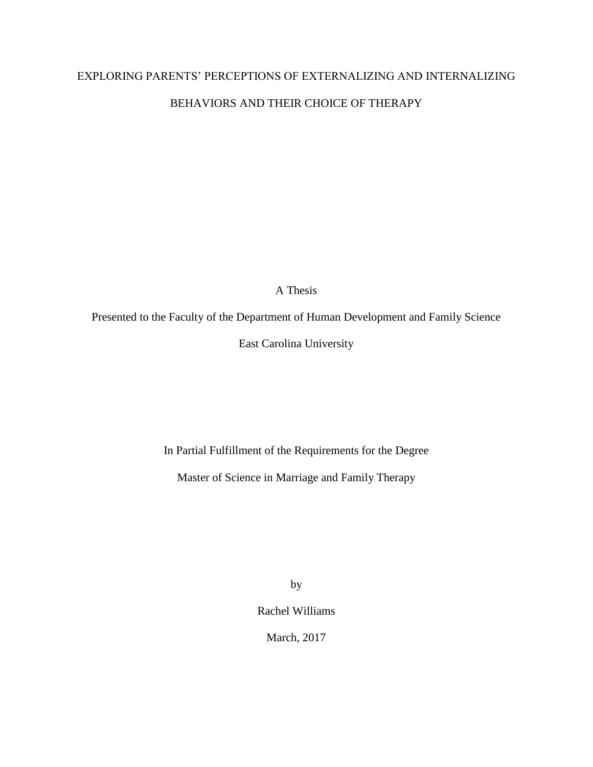# EXPLORING PARENTS' PERCEPTIONS OF EXTERNALIZING AND INTERNALIZING BEHAVIORS AND THEIR CHOICE OF THERAPY

A Thesis

Presented to the Faculty of the Department of Human Development and Family Science

East Carolina University

In Partial Fulfillment of the Requirements for the Degree

Master of Science in Marriage and Family Therapy

by

Rachel Williams

March, 2017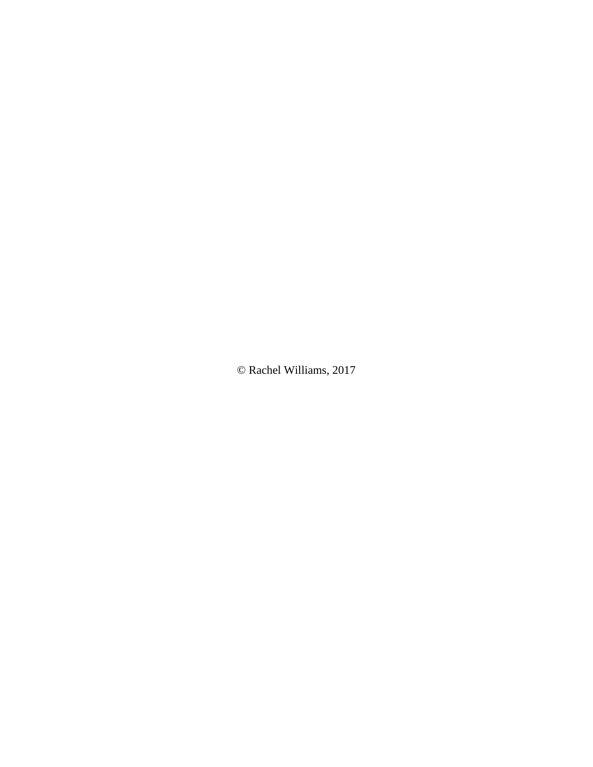© Rachel Williams, 2017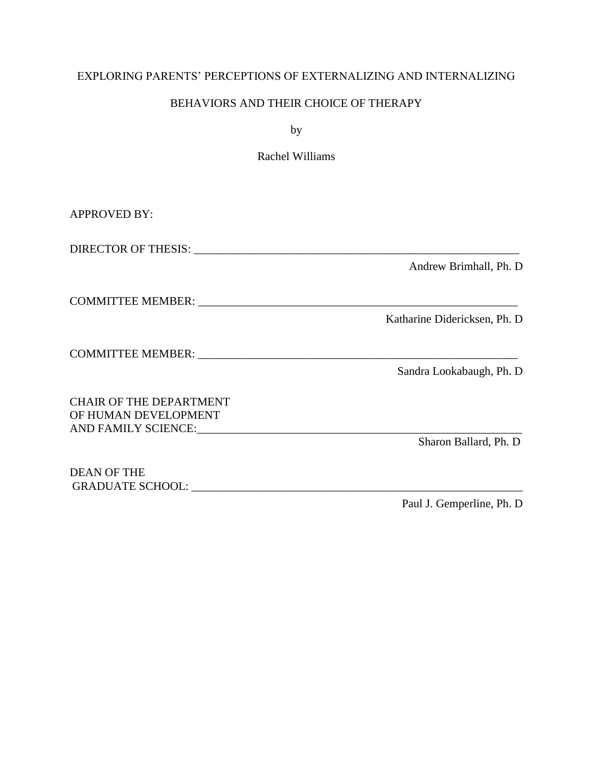# EXPLORING PARENTS' PERCEPTIONS OF EXTERNALIZING AND INTERNALIZING

# BEHAVIORS AND THEIR CHOICE OF THERAPY

by

Rachel Williams

| <b>APPROVED BY:</b>                                                                                                                                                                                                                 |                               |
|-------------------------------------------------------------------------------------------------------------------------------------------------------------------------------------------------------------------------------------|-------------------------------|
|                                                                                                                                                                                                                                     |                               |
|                                                                                                                                                                                                                                     | Andrew Brimhall, Ph. D.       |
|                                                                                                                                                                                                                                     |                               |
|                                                                                                                                                                                                                                     | Katharine Didericksen, Ph. D. |
| <b>COMMITTEE MEMBER:</b> THE RESERVE TO A 200 FOR THE RESERVE TO A 200 FOR THE RESERVE TO A 200 FOR THE RESERVE TO A 200 FOR THE RESERVE TO A 200 FOR THE RESERVE TO A 200 FOR THE RESERVE TO A 200 FOR THE RESERVE TO A 200 FOR TH |                               |
|                                                                                                                                                                                                                                     | Sandra Lookabaugh, Ph. D      |
| <b>CHAIR OF THE DEPARTMENT</b><br>OF HUMAN DEVELOPMENT                                                                                                                                                                              |                               |
|                                                                                                                                                                                                                                     | Sharon Ballard, Ph. D         |
| <b>DEAN OF THE</b><br>GRADUATE SCHOOL: UNITED ASSESSED.                                                                                                                                                                             |                               |

Paul J. Gemperline, Ph. D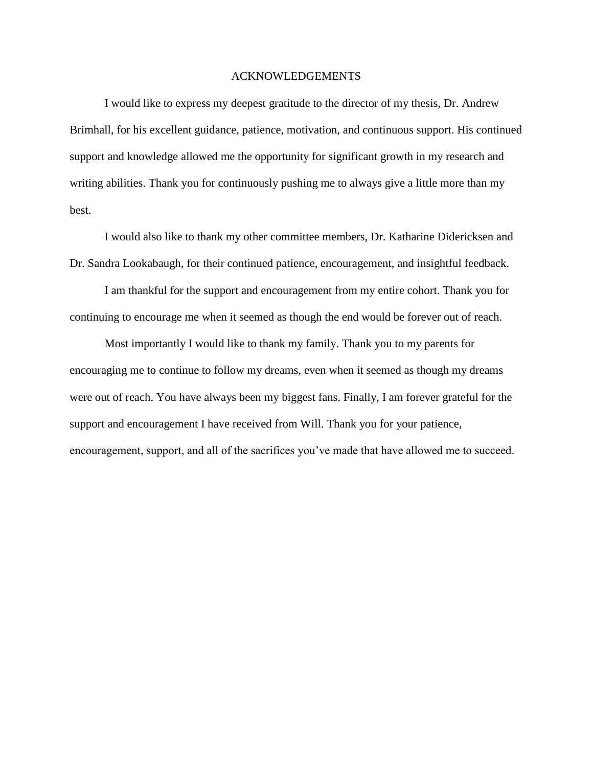## ACKNOWLEDGEMENTS

I would like to express my deepest gratitude to the director of my thesis, Dr. Andrew Brimhall, for his excellent guidance, patience, motivation, and continuous support. His continued support and knowledge allowed me the opportunity for significant growth in my research and writing abilities. Thank you for continuously pushing me to always give a little more than my best.

I would also like to thank my other committee members, Dr. Katharine Didericksen and Dr. Sandra Lookabaugh, for their continued patience, encouragement, and insightful feedback.

I am thankful for the support and encouragement from my entire cohort. Thank you for continuing to encourage me when it seemed as though the end would be forever out of reach.

Most importantly I would like to thank my family. Thank you to my parents for encouraging me to continue to follow my dreams, even when it seemed as though my dreams were out of reach. You have always been my biggest fans. Finally, I am forever grateful for the support and encouragement I have received from Will. Thank you for your patience, encouragement, support, and all of the sacrifices you've made that have allowed me to succeed.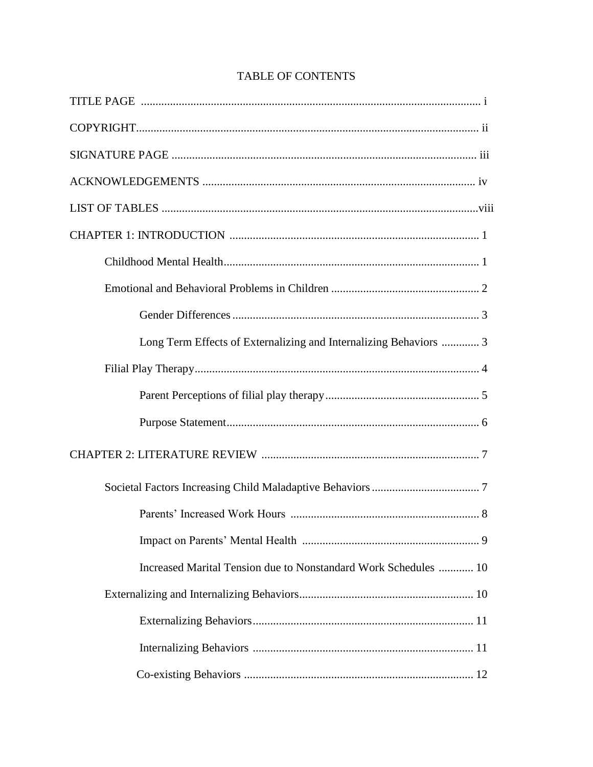| Long Term Effects of Externalizing and Internalizing Behaviors  3 |
|-------------------------------------------------------------------|
|                                                                   |
|                                                                   |
|                                                                   |
|                                                                   |
|                                                                   |
|                                                                   |
|                                                                   |
| Increased Marital Tension due to Nonstandard Work Schedules  10   |
|                                                                   |
|                                                                   |
|                                                                   |
|                                                                   |

# **TABLE OF CONTENTS**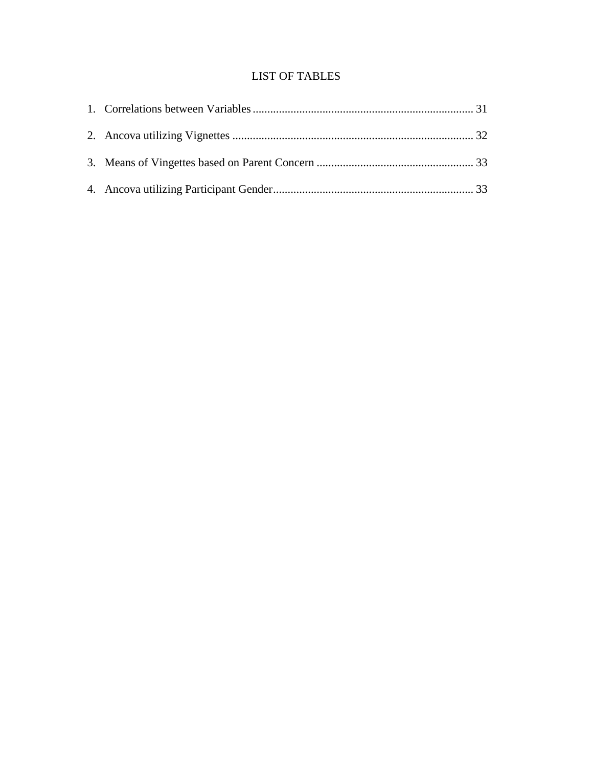# LIST OF TABLES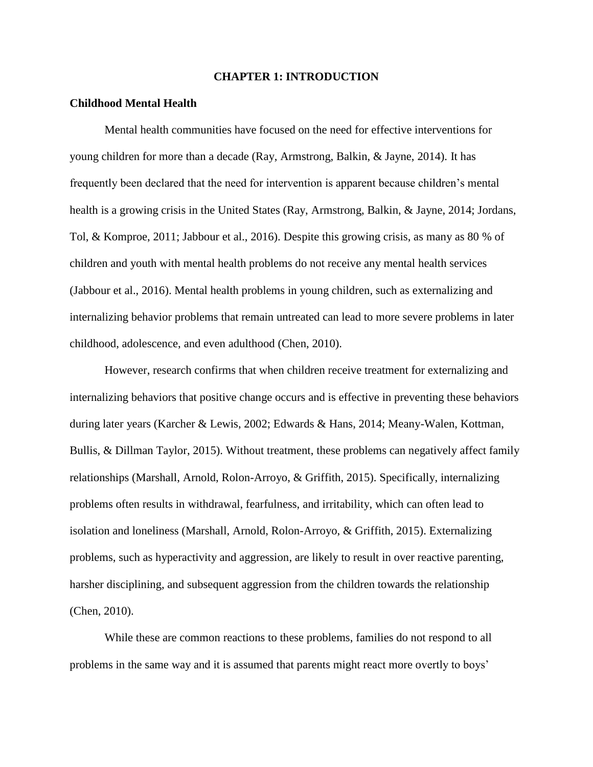### **CHAPTER 1: INTRODUCTION**

#### **Childhood Mental Health**

Mental health communities have focused on the need for effective interventions for young children for more than a decade (Ray, Armstrong, Balkin, & Jayne, 2014). It has frequently been declared that the need for intervention is apparent because children's mental health is a growing crisis in the United States (Ray, Armstrong, Balkin, & Jayne, 2014; Jordans, Tol, & Komproe, 2011; Jabbour et al., 2016). Despite this growing crisis, as many as 80 % of children and youth with mental health problems do not receive any mental health services (Jabbour et al., 2016). Mental health problems in young children, such as externalizing and internalizing behavior problems that remain untreated can lead to more severe problems in later childhood, adolescence, and even adulthood (Chen, 2010).

However, research confirms that when children receive treatment for externalizing and internalizing behaviors that positive change occurs and is effective in preventing these behaviors during later years (Karcher & Lewis, 2002; Edwards & Hans, 2014; Meany-Walen, Kottman, Bullis, & Dillman Taylor, 2015). Without treatment, these problems can negatively affect family relationships (Marshall, Arnold, Rolon-Arroyo, & Griffith, 2015). Specifically, internalizing problems often results in withdrawal, fearfulness, and irritability, which can often lead to isolation and loneliness (Marshall, Arnold, Rolon-Arroyo, & Griffith, 2015). Externalizing problems, such as hyperactivity and aggression, are likely to result in over reactive parenting, harsher disciplining, and subsequent aggression from the children towards the relationship (Chen, 2010).

While these are common reactions to these problems, families do not respond to all problems in the same way and it is assumed that parents might react more overtly to boys'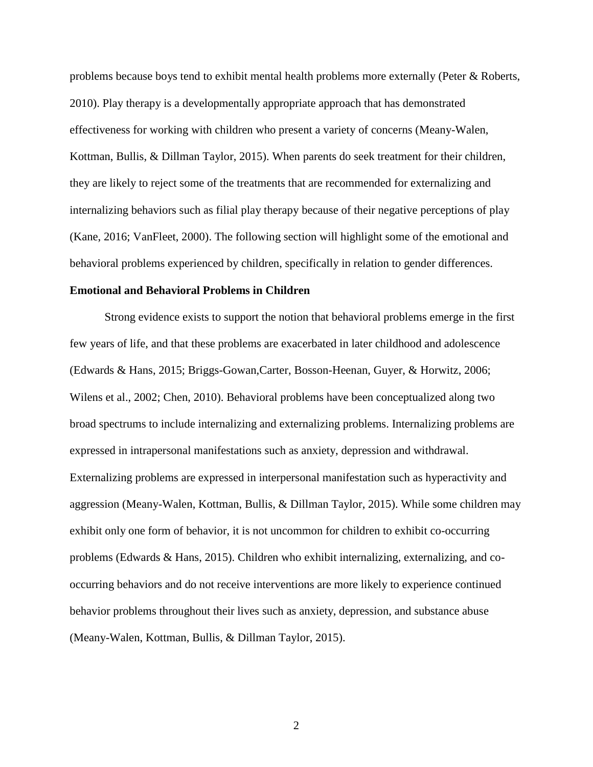problems because boys tend to exhibit mental health problems more externally (Peter & Roberts, 2010). Play therapy is a developmentally appropriate approach that has demonstrated effectiveness for working with children who present a variety of concerns (Meany-Walen, Kottman, Bullis, & Dillman Taylor, 2015). When parents do seek treatment for their children, they are likely to reject some of the treatments that are recommended for externalizing and internalizing behaviors such as filial play therapy because of their negative perceptions of play (Kane, 2016; VanFleet, 2000). The following section will highlight some of the emotional and behavioral problems experienced by children, specifically in relation to gender differences.

#### **Emotional and Behavioral Problems in Children**

Strong evidence exists to support the notion that behavioral problems emerge in the first few years of life, and that these problems are exacerbated in later childhood and adolescence (Edwards & Hans, 2015; Briggs-Gowan,Carter, Bosson-Heenan, Guyer, & Horwitz, 2006; Wilens et al., 2002; Chen, 2010). Behavioral problems have been conceptualized along two broad spectrums to include internalizing and externalizing problems. Internalizing problems are expressed in intrapersonal manifestations such as anxiety, depression and withdrawal. Externalizing problems are expressed in interpersonal manifestation such as hyperactivity and aggression (Meany-Walen, Kottman, Bullis, & Dillman Taylor, 2015). While some children may exhibit only one form of behavior, it is not uncommon for children to exhibit co-occurring problems (Edwards & Hans, 2015). Children who exhibit internalizing, externalizing, and cooccurring behaviors and do not receive interventions are more likely to experience continued behavior problems throughout their lives such as anxiety, depression, and substance abuse (Meany-Walen, Kottman, Bullis, & Dillman Taylor, 2015).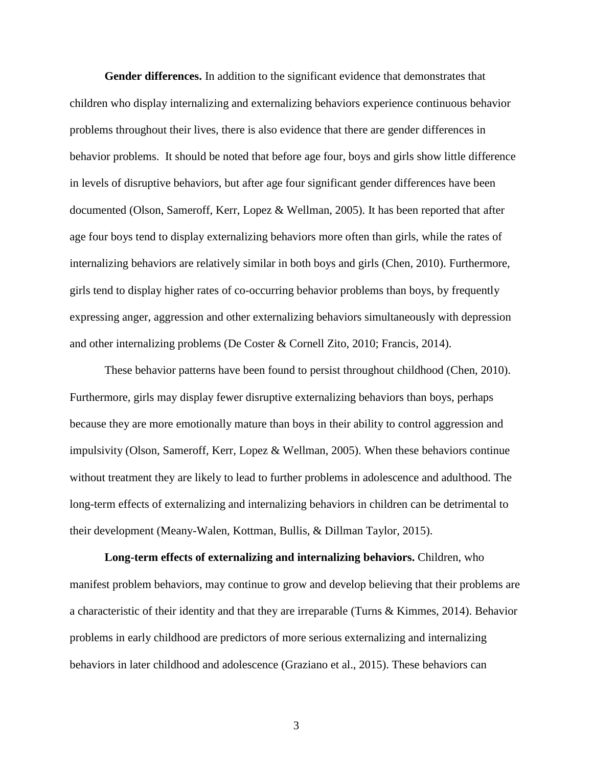**Gender differences.** In addition to the significant evidence that demonstrates that children who display internalizing and externalizing behaviors experience continuous behavior problems throughout their lives, there is also evidence that there are gender differences in behavior problems. It should be noted that before age four, boys and girls show little difference in levels of disruptive behaviors, but after age four significant gender differences have been documented (Olson, Sameroff, Kerr, Lopez & Wellman, 2005). It has been reported that after age four boys tend to display externalizing behaviors more often than girls, while the rates of internalizing behaviors are relatively similar in both boys and girls (Chen, 2010). Furthermore, girls tend to display higher rates of co-occurring behavior problems than boys, by frequently expressing anger, aggression and other externalizing behaviors simultaneously with depression and other internalizing problems (De Coster & Cornell Zito, 2010; Francis, 2014).

These behavior patterns have been found to persist throughout childhood (Chen, 2010). Furthermore, girls may display fewer disruptive externalizing behaviors than boys, perhaps because they are more emotionally mature than boys in their ability to control aggression and impulsivity (Olson, Sameroff, Kerr, Lopez & Wellman, 2005). When these behaviors continue without treatment they are likely to lead to further problems in adolescence and adulthood. The long-term effects of externalizing and internalizing behaviors in children can be detrimental to their development (Meany-Walen, Kottman, Bullis, & Dillman Taylor, 2015).

**Long-term effects of externalizing and internalizing behaviors.** Children, who manifest problem behaviors, may continue to grow and develop believing that their problems are a characteristic of their identity and that they are irreparable (Turns & Kimmes, 2014). Behavior problems in early childhood are predictors of more serious externalizing and internalizing behaviors in later childhood and adolescence (Graziano et al., 2015). These behaviors can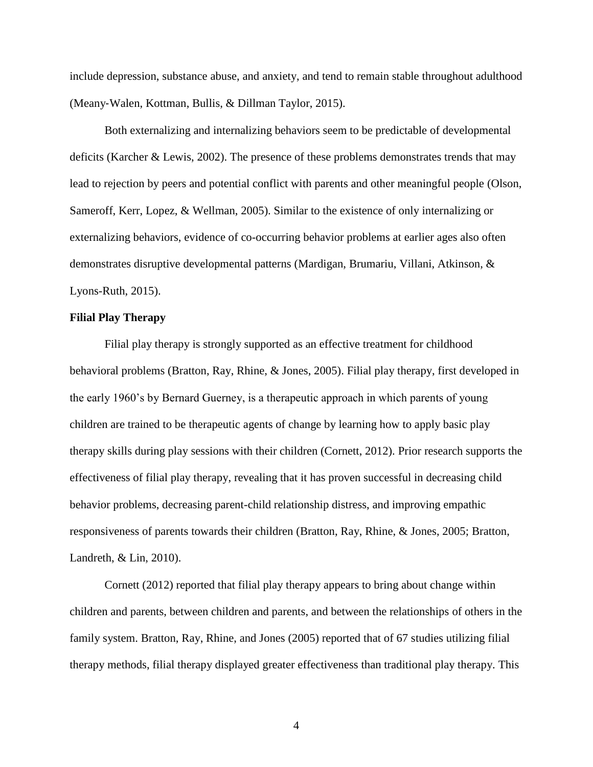include depression, substance abuse, and anxiety, and tend to remain stable throughout adulthood (Meany‐Walen, Kottman, Bullis, & Dillman Taylor, 2015).

Both externalizing and internalizing behaviors seem to be predictable of developmental deficits (Karcher & Lewis, 2002). The presence of these problems demonstrates trends that may lead to rejection by peers and potential conflict with parents and other meaningful people (Olson, Sameroff, Kerr, Lopez, & Wellman, 2005). Similar to the existence of only internalizing or externalizing behaviors, evidence of co-occurring behavior problems at earlier ages also often demonstrates disruptive developmental patterns (Mardigan, Brumariu, Villani, Atkinson, & Lyons-Ruth, 2015).

# **Filial Play Therapy**

Filial play therapy is strongly supported as an effective treatment for childhood behavioral problems (Bratton, Ray, Rhine, & Jones, 2005). Filial play therapy, first developed in the early 1960's by Bernard Guerney, is a therapeutic approach in which parents of young children are trained to be therapeutic agents of change by learning how to apply basic play therapy skills during play sessions with their children (Cornett, 2012). Prior research supports the effectiveness of filial play therapy, revealing that it has proven successful in decreasing child behavior problems, decreasing parent-child relationship distress, and improving empathic responsiveness of parents towards their children (Bratton, Ray, Rhine, & Jones, 2005; Bratton, Landreth, & Lin, 2010).

Cornett (2012) reported that filial play therapy appears to bring about change within children and parents, between children and parents, and between the relationships of others in the family system. Bratton, Ray, Rhine, and Jones (2005) reported that of 67 studies utilizing filial therapy methods, filial therapy displayed greater effectiveness than traditional play therapy. This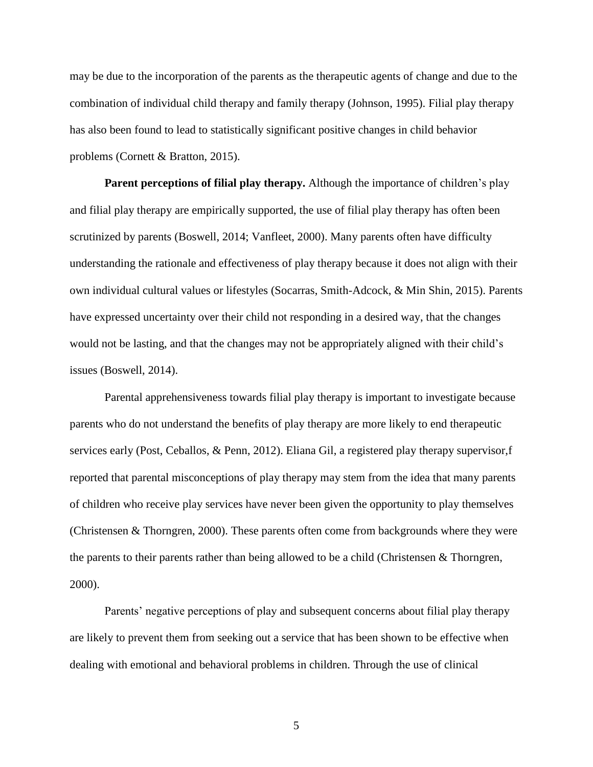may be due to the incorporation of the parents as the therapeutic agents of change and due to the combination of individual child therapy and family therapy (Johnson, 1995). Filial play therapy has also been found to lead to statistically significant positive changes in child behavior problems (Cornett & Bratton, 2015).

**Parent perceptions of filial play therapy.** Although the importance of children's play and filial play therapy are empirically supported, the use of filial play therapy has often been scrutinized by parents (Boswell, 2014; Vanfleet, 2000). Many parents often have difficulty understanding the rationale and effectiveness of play therapy because it does not align with their own individual cultural values or lifestyles (Socarras, Smith-Adcock, & Min Shin, 2015). Parents have expressed uncertainty over their child not responding in a desired way, that the changes would not be lasting, and that the changes may not be appropriately aligned with their child's issues (Boswell, 2014).

Parental apprehensiveness towards filial play therapy is important to investigate because parents who do not understand the benefits of play therapy are more likely to end therapeutic services early (Post, Ceballos, & Penn, 2012). Eliana Gil, a registered play therapy supervisor,f reported that parental misconceptions of play therapy may stem from the idea that many parents of children who receive play services have never been given the opportunity to play themselves (Christensen & Thorngren, 2000). These parents often come from backgrounds where they were the parents to their parents rather than being allowed to be a child (Christensen & Thorngren, 2000).

Parents' negative perceptions of play and subsequent concerns about filial play therapy are likely to prevent them from seeking out a service that has been shown to be effective when dealing with emotional and behavioral problems in children. Through the use of clinical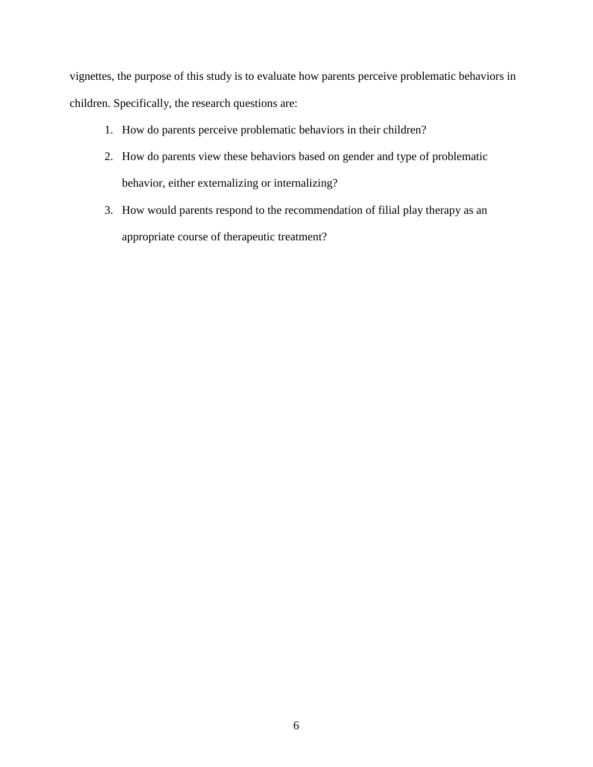vignettes, the purpose of this study is to evaluate how parents perceive problematic behaviors in children. Specifically, the research questions are:

- 1. How do parents perceive problematic behaviors in their children?
- 2. How do parents view these behaviors based on gender and type of problematic behavior, either externalizing or internalizing?
- 3. How would parents respond to the recommendation of filial play therapy as an appropriate course of therapeutic treatment?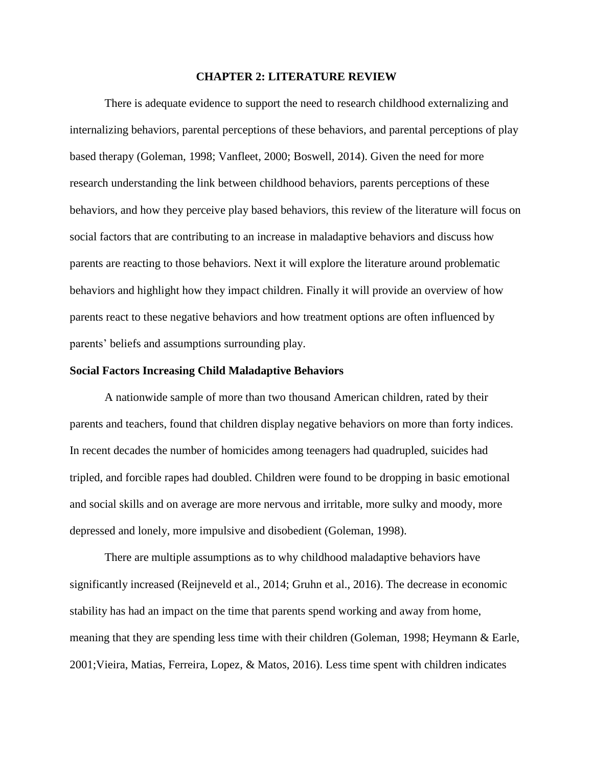#### **CHAPTER 2: LITERATURE REVIEW**

There is adequate evidence to support the need to research childhood externalizing and internalizing behaviors, parental perceptions of these behaviors, and parental perceptions of play based therapy (Goleman, 1998; Vanfleet, 2000; Boswell, 2014). Given the need for more research understanding the link between childhood behaviors, parents perceptions of these behaviors, and how they perceive play based behaviors, this review of the literature will focus on social factors that are contributing to an increase in maladaptive behaviors and discuss how parents are reacting to those behaviors. Next it will explore the literature around problematic behaviors and highlight how they impact children. Finally it will provide an overview of how parents react to these negative behaviors and how treatment options are often influenced by parents' beliefs and assumptions surrounding play.

## **Social Factors Increasing Child Maladaptive Behaviors**

A nationwide sample of more than two thousand American children, rated by their parents and teachers, found that children display negative behaviors on more than forty indices. In recent decades the number of homicides among teenagers had quadrupled, suicides had tripled, and forcible rapes had doubled. Children were found to be dropping in basic emotional and social skills and on average are more nervous and irritable, more sulky and moody, more depressed and lonely, more impulsive and disobedient (Goleman, 1998).

There are multiple assumptions as to why childhood maladaptive behaviors have significantly increased (Reijneveld et al., 2014; Gruhn et al., 2016). The decrease in economic stability has had an impact on the time that parents spend working and away from home, meaning that they are spending less time with their children (Goleman, 1998; Heymann & Earle, 2001;Vieira, Matias, Ferreira, Lopez, & Matos, 2016). Less time spent with children indicates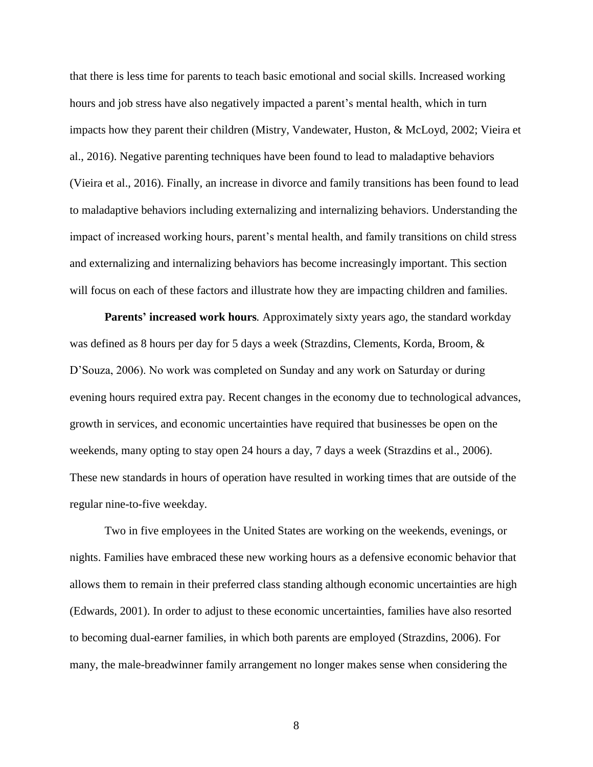that there is less time for parents to teach basic emotional and social skills. Increased working hours and job stress have also negatively impacted a parent's mental health, which in turn impacts how they parent their children (Mistry, Vandewater, Huston, & McLoyd, 2002; Vieira et al., 2016). Negative parenting techniques have been found to lead to maladaptive behaviors (Vieira et al., 2016). Finally, an increase in divorce and family transitions has been found to lead to maladaptive behaviors including externalizing and internalizing behaviors. Understanding the impact of increased working hours, parent's mental health, and family transitions on child stress and externalizing and internalizing behaviors has become increasingly important. This section will focus on each of these factors and illustrate how they are impacting children and families.

**Parents' increased work hours***.* Approximately sixty years ago, the standard workday was defined as 8 hours per day for 5 days a week (Strazdins, Clements, Korda, Broom, & D'Souza, 2006). No work was completed on Sunday and any work on Saturday or during evening hours required extra pay. Recent changes in the economy due to technological advances, growth in services, and economic uncertainties have required that businesses be open on the weekends, many opting to stay open 24 hours a day, 7 days a week (Strazdins et al., 2006). These new standards in hours of operation have resulted in working times that are outside of the regular nine-to-five weekday.

Two in five employees in the United States are working on the weekends, evenings, or nights. Families have embraced these new working hours as a defensive economic behavior that allows them to remain in their preferred class standing although economic uncertainties are high (Edwards, 2001). In order to adjust to these economic uncertainties, families have also resorted to becoming dual-earner families, in which both parents are employed (Strazdins, 2006). For many, the male-breadwinner family arrangement no longer makes sense when considering the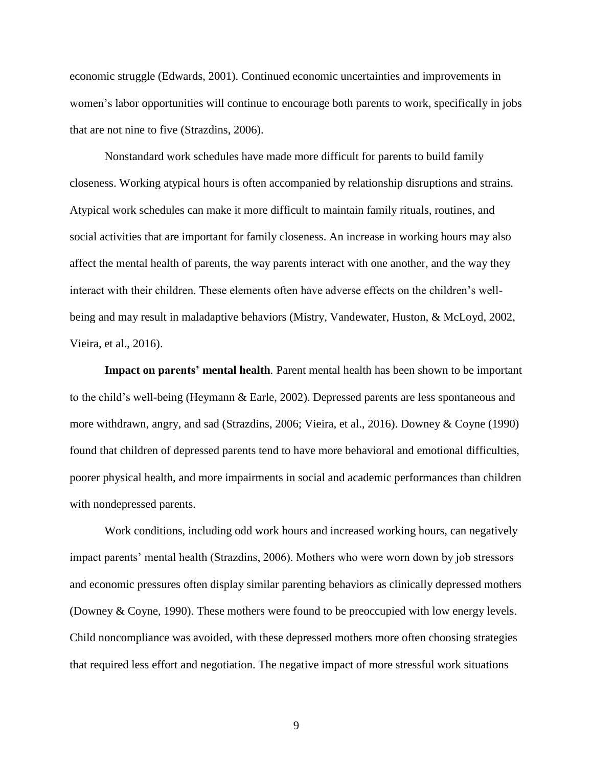economic struggle (Edwards, 2001). Continued economic uncertainties and improvements in women's labor opportunities will continue to encourage both parents to work, specifically in jobs that are not nine to five (Strazdins, 2006).

Nonstandard work schedules have made more difficult for parents to build family closeness. Working atypical hours is often accompanied by relationship disruptions and strains. Atypical work schedules can make it more difficult to maintain family rituals, routines, and social activities that are important for family closeness. An increase in working hours may also affect the mental health of parents, the way parents interact with one another, and the way they interact with their children. These elements often have adverse effects on the children's wellbeing and may result in maladaptive behaviors (Mistry, Vandewater, Huston, & McLoyd, 2002, Vieira, et al., 2016).

**Impact on parents' mental health***.* Parent mental health has been shown to be important to the child's well-being (Heymann & Earle, 2002). Depressed parents are less spontaneous and more withdrawn, angry, and sad (Strazdins, 2006; Vieira, et al., 2016). Downey & Coyne (1990) found that children of depressed parents tend to have more behavioral and emotional difficulties, poorer physical health, and more impairments in social and academic performances than children with nondepressed parents.

Work conditions, including odd work hours and increased working hours, can negatively impact parents' mental health (Strazdins, 2006). Mothers who were worn down by job stressors and economic pressures often display similar parenting behaviors as clinically depressed mothers (Downey & Coyne, 1990). These mothers were found to be preoccupied with low energy levels. Child noncompliance was avoided, with these depressed mothers more often choosing strategies that required less effort and negotiation. The negative impact of more stressful work situations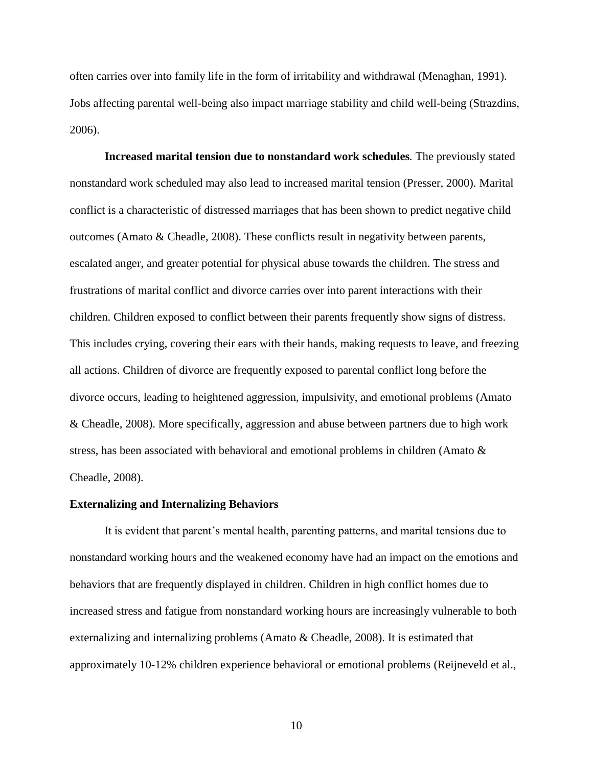often carries over into family life in the form of irritability and withdrawal (Menaghan, 1991). Jobs affecting parental well-being also impact marriage stability and child well-being (Strazdins, 2006).

**Increased marital tension due to nonstandard work schedules***.* The previously stated nonstandard work scheduled may also lead to increased marital tension (Presser, 2000). Marital conflict is a characteristic of distressed marriages that has been shown to predict negative child outcomes (Amato & Cheadle, 2008). These conflicts result in negativity between parents, escalated anger, and greater potential for physical abuse towards the children. The stress and frustrations of marital conflict and divorce carries over into parent interactions with their children. Children exposed to conflict between their parents frequently show signs of distress. This includes crying, covering their ears with their hands, making requests to leave, and freezing all actions. Children of divorce are frequently exposed to parental conflict long before the divorce occurs, leading to heightened aggression, impulsivity, and emotional problems (Amato & Cheadle, 2008). More specifically, aggression and abuse between partners due to high work stress, has been associated with behavioral and emotional problems in children (Amato & Cheadle, 2008).

#### **Externalizing and Internalizing Behaviors**

It is evident that parent's mental health, parenting patterns, and marital tensions due to nonstandard working hours and the weakened economy have had an impact on the emotions and behaviors that are frequently displayed in children. Children in high conflict homes due to increased stress and fatigue from nonstandard working hours are increasingly vulnerable to both externalizing and internalizing problems (Amato & Cheadle, 2008). It is estimated that approximately 10-12% children experience behavioral or emotional problems (Reijneveld et al.,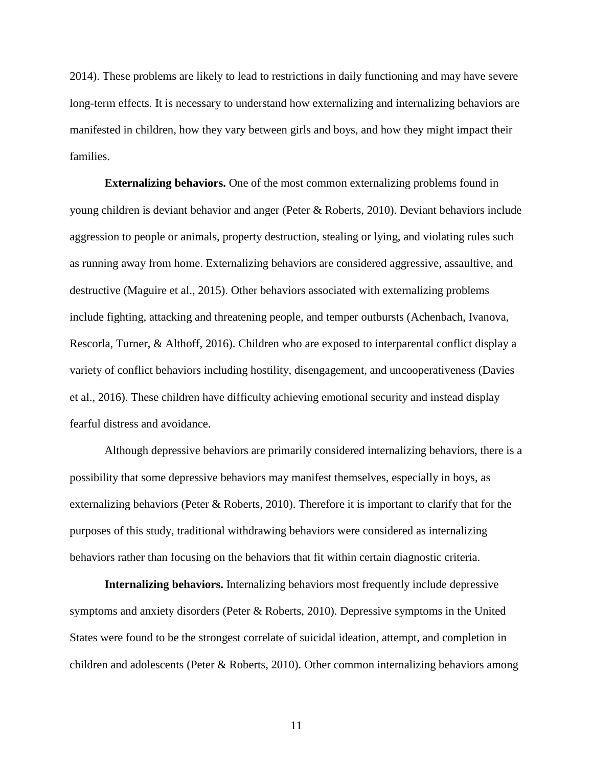2014). These problems are likely to lead to restrictions in daily functioning and may have severe long-term effects. It is necessary to understand how externalizing and internalizing behaviors are manifested in children, how they vary between girls and boys, and how they might impact their families.

**Externalizing behaviors.** One of the most common externalizing problems found in young children is deviant behavior and anger (Peter & Roberts, 2010). Deviant behaviors include aggression to people or animals, property destruction, stealing or lying, and violating rules such as running away from home. Externalizing behaviors are considered aggressive, assaultive, and destructive (Maguire et al., 2015). Other behaviors associated with externalizing problems include fighting, attacking and threatening people, and temper outbursts (Achenbach, Ivanova, Rescorla, Turner, & Althoff, 2016). Children who are exposed to interparental conflict display a variety of conflict behaviors including hostility, disengagement, and uncooperativeness (Davies et al., 2016). These children have difficulty achieving emotional security and instead display fearful distress and avoidance.

Although depressive behaviors are primarily considered internalizing behaviors, there is a possibility that some depressive behaviors may manifest themselves, especially in boys, as externalizing behaviors (Peter & Roberts, 2010). Therefore it is important to clarify that for the purposes of this study, traditional withdrawing behaviors were considered as internalizing behaviors rather than focusing on the behaviors that fit within certain diagnostic criteria.

**Internalizing behaviors.** Internalizing behaviors most frequently include depressive symptoms and anxiety disorders (Peter & Roberts, 2010). Depressive symptoms in the United States were found to be the strongest correlate of suicidal ideation, attempt, and completion in children and adolescents (Peter & Roberts, 2010). Other common internalizing behaviors among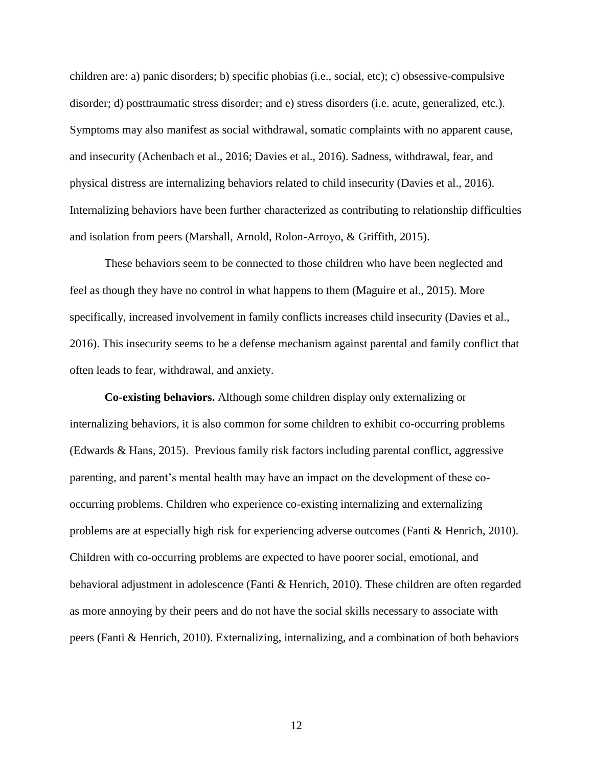children are: a) panic disorders; b) specific phobias (i.e., social, etc); c) obsessive-compulsive disorder; d) posttraumatic stress disorder; and e) stress disorders (i.e. acute, generalized, etc.). Symptoms may also manifest as social withdrawal, somatic complaints with no apparent cause, and insecurity (Achenbach et al., 2016; Davies et al., 2016). Sadness, withdrawal, fear, and physical distress are internalizing behaviors related to child insecurity (Davies et al., 2016). Internalizing behaviors have been further characterized as contributing to relationship difficulties and isolation from peers (Marshall, Arnold, Rolon-Arroyo, & Griffith, 2015).

These behaviors seem to be connected to those children who have been neglected and feel as though they have no control in what happens to them (Maguire et al., 2015). More specifically, increased involvement in family conflicts increases child insecurity (Davies et al., 2016). This insecurity seems to be a defense mechanism against parental and family conflict that often leads to fear, withdrawal, and anxiety.

**Co-existing behaviors.** Although some children display only externalizing or internalizing behaviors, it is also common for some children to exhibit co-occurring problems (Edwards & Hans, 2015). Previous family risk factors including parental conflict, aggressive parenting, and parent's mental health may have an impact on the development of these cooccurring problems. Children who experience co-existing internalizing and externalizing problems are at especially high risk for experiencing adverse outcomes (Fanti & Henrich, 2010). Children with co-occurring problems are expected to have poorer social, emotional, and behavioral adjustment in adolescence (Fanti & Henrich, 2010). These children are often regarded as more annoying by their peers and do not have the social skills necessary to associate with peers (Fanti & Henrich, 2010). Externalizing, internalizing, and a combination of both behaviors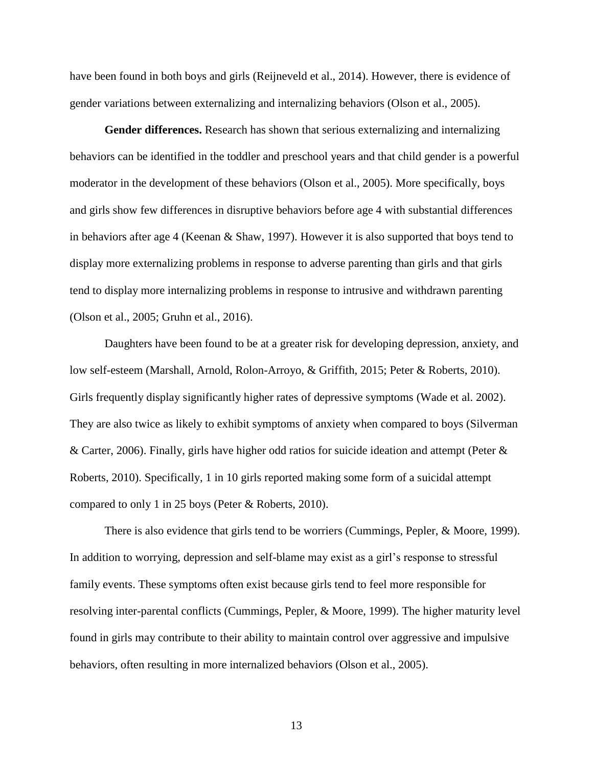have been found in both boys and girls (Reijneveld et al., 2014). However, there is evidence of gender variations between externalizing and internalizing behaviors (Olson et al., 2005).

**Gender differences.** Research has shown that serious externalizing and internalizing behaviors can be identified in the toddler and preschool years and that child gender is a powerful moderator in the development of these behaviors (Olson et al., 2005). More specifically, boys and girls show few differences in disruptive behaviors before age 4 with substantial differences in behaviors after age 4 (Keenan & Shaw, 1997). However it is also supported that boys tend to display more externalizing problems in response to adverse parenting than girls and that girls tend to display more internalizing problems in response to intrusive and withdrawn parenting (Olson et al., 2005; Gruhn et al., 2016).

Daughters have been found to be at a greater risk for developing depression, anxiety, and low self-esteem (Marshall, Arnold, Rolon-Arroyo, & Griffith, 2015; Peter & Roberts, 2010). Girls frequently display significantly higher rates of depressive symptoms (Wade et al. 2002). They are also twice as likely to exhibit symptoms of anxiety when compared to boys (Silverman & Carter, 2006). Finally, girls have higher odd ratios for suicide ideation and attempt (Peter & Roberts, 2010). Specifically, 1 in 10 girls reported making some form of a suicidal attempt compared to only 1 in 25 boys (Peter & Roberts, 2010).

There is also evidence that girls tend to be worriers (Cummings, Pepler, & Moore, 1999). In addition to worrying, depression and self-blame may exist as a girl's response to stressful family events. These symptoms often exist because girls tend to feel more responsible for resolving inter-parental conflicts (Cummings, Pepler, & Moore, 1999). The higher maturity level found in girls may contribute to their ability to maintain control over aggressive and impulsive behaviors, often resulting in more internalized behaviors (Olson et al., 2005).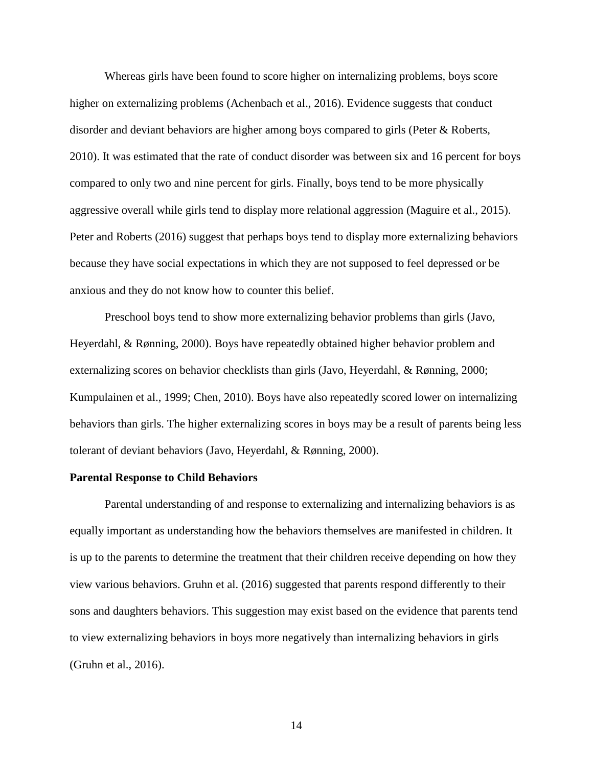Whereas girls have been found to score higher on internalizing problems, boys score higher on externalizing problems (Achenbach et al., 2016). Evidence suggests that conduct disorder and deviant behaviors are higher among boys compared to girls (Peter & Roberts, 2010). It was estimated that the rate of conduct disorder was between six and 16 percent for boys compared to only two and nine percent for girls. Finally, boys tend to be more physically aggressive overall while girls tend to display more relational aggression (Maguire et al., 2015). Peter and Roberts (2016) suggest that perhaps boys tend to display more externalizing behaviors because they have social expectations in which they are not supposed to feel depressed or be anxious and they do not know how to counter this belief.

Preschool boys tend to show more externalizing behavior problems than girls (Javo, Heyerdahl, & Rønning, 2000). Boys have repeatedly obtained higher behavior problem and externalizing scores on behavior checklists than girls (Javo, Heyerdahl, & Rønning, 2000; Kumpulainen et al., 1999; Chen, 2010). Boys have also repeatedly scored lower on internalizing behaviors than girls. The higher externalizing scores in boys may be a result of parents being less tolerant of deviant behaviors (Javo, Heyerdahl, & Rønning, 2000).

#### **Parental Response to Child Behaviors**

Parental understanding of and response to externalizing and internalizing behaviors is as equally important as understanding how the behaviors themselves are manifested in children. It is up to the parents to determine the treatment that their children receive depending on how they view various behaviors. Gruhn et al. (2016) suggested that parents respond differently to their sons and daughters behaviors. This suggestion may exist based on the evidence that parents tend to view externalizing behaviors in boys more negatively than internalizing behaviors in girls (Gruhn et al., 2016).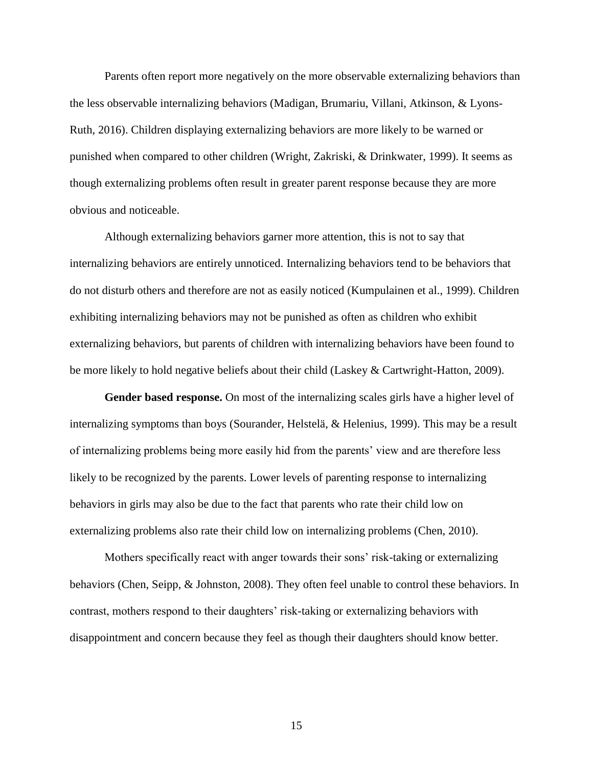Parents often report more negatively on the more observable externalizing behaviors than the less observable internalizing behaviors (Madigan, Brumariu, Villani, Atkinson, & Lyons-Ruth, 2016). Children displaying externalizing behaviors are more likely to be warned or punished when compared to other children (Wright, Zakriski, & Drinkwater, 1999). It seems as though externalizing problems often result in greater parent response because they are more obvious and noticeable.

Although externalizing behaviors garner more attention, this is not to say that internalizing behaviors are entirely unnoticed. Internalizing behaviors tend to be behaviors that do not disturb others and therefore are not as easily noticed (Kumpulainen et al., 1999). Children exhibiting internalizing behaviors may not be punished as often as children who exhibit externalizing behaviors, but parents of children with internalizing behaviors have been found to be more likely to hold negative beliefs about their child (Laskey & Cartwright-Hatton, 2009).

**Gender based response.** On most of the internalizing scales girls have a higher level of internalizing symptoms than boys (Sourander, Helstelä, & Helenius, 1999). This may be a result of internalizing problems being more easily hid from the parents' view and are therefore less likely to be recognized by the parents. Lower levels of parenting response to internalizing behaviors in girls may also be due to the fact that parents who rate their child low on externalizing problems also rate their child low on internalizing problems (Chen, 2010).

Mothers specifically react with anger towards their sons' risk-taking or externalizing behaviors (Chen, Seipp, & Johnston, 2008). They often feel unable to control these behaviors. In contrast, mothers respond to their daughters' risk-taking or externalizing behaviors with disappointment and concern because they feel as though their daughters should know better.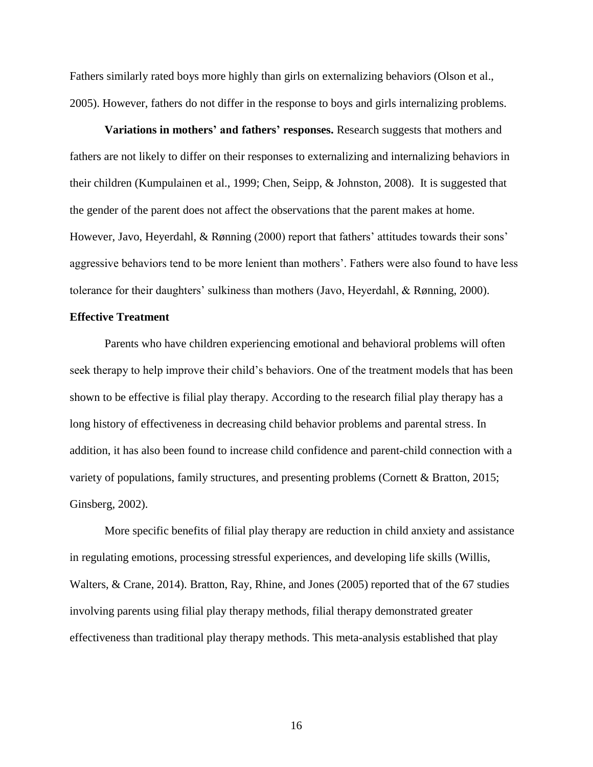Fathers similarly rated boys more highly than girls on externalizing behaviors (Olson et al., 2005). However, fathers do not differ in the response to boys and girls internalizing problems.

**Variations in mothers' and fathers' responses.** Research suggests that mothers and fathers are not likely to differ on their responses to externalizing and internalizing behaviors in their children (Kumpulainen et al., 1999; Chen, Seipp, & Johnston, 2008). It is suggested that the gender of the parent does not affect the observations that the parent makes at home. However, Javo, Heyerdahl, & Rønning (2000) report that fathers' attitudes towards their sons' aggressive behaviors tend to be more lenient than mothers'. Fathers were also found to have less tolerance for their daughters' sulkiness than mothers (Javo, Heyerdahl, & Rønning, 2000).

## **Effective Treatment**

Parents who have children experiencing emotional and behavioral problems will often seek therapy to help improve their child's behaviors. One of the treatment models that has been shown to be effective is filial play therapy. According to the research filial play therapy has a long history of effectiveness in decreasing child behavior problems and parental stress. In addition, it has also been found to increase child confidence and parent-child connection with a variety of populations, family structures, and presenting problems (Cornett & Bratton, 2015; Ginsberg, 2002).

More specific benefits of filial play therapy are reduction in child anxiety and assistance in regulating emotions, processing stressful experiences, and developing life skills (Willis, Walters, & Crane, 2014). Bratton, Ray, Rhine, and Jones (2005) reported that of the 67 studies involving parents using filial play therapy methods, filial therapy demonstrated greater effectiveness than traditional play therapy methods. This meta-analysis established that play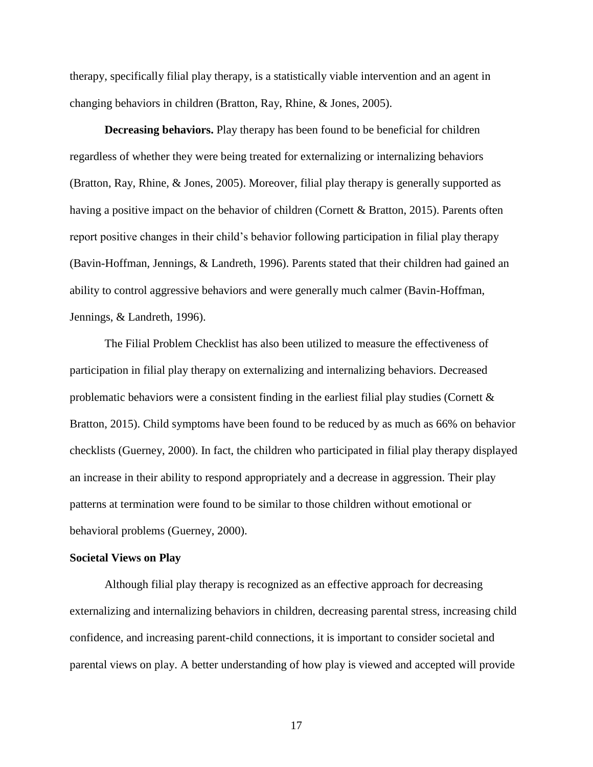therapy, specifically filial play therapy, is a statistically viable intervention and an agent in changing behaviors in children (Bratton, Ray, Rhine, & Jones, 2005).

**Decreasing behaviors.** Play therapy has been found to be beneficial for children regardless of whether they were being treated for externalizing or internalizing behaviors (Bratton, Ray, Rhine, & Jones, 2005). Moreover, filial play therapy is generally supported as having a positive impact on the behavior of children (Cornett & Bratton, 2015). Parents often report positive changes in their child's behavior following participation in filial play therapy (Bavin-Hoffman, Jennings, & Landreth, 1996). Parents stated that their children had gained an ability to control aggressive behaviors and were generally much calmer (Bavin-Hoffman, Jennings, & Landreth, 1996).

The Filial Problem Checklist has also been utilized to measure the effectiveness of participation in filial play therapy on externalizing and internalizing behaviors. Decreased problematic behaviors were a consistent finding in the earliest filial play studies (Cornett & Bratton, 2015). Child symptoms have been found to be reduced by as much as 66% on behavior checklists (Guerney, 2000). In fact, the children who participated in filial play therapy displayed an increase in their ability to respond appropriately and a decrease in aggression. Their play patterns at termination were found to be similar to those children without emotional or behavioral problems (Guerney, 2000).

#### **Societal Views on Play**

Although filial play therapy is recognized as an effective approach for decreasing externalizing and internalizing behaviors in children, decreasing parental stress, increasing child confidence, and increasing parent-child connections, it is important to consider societal and parental views on play. A better understanding of how play is viewed and accepted will provide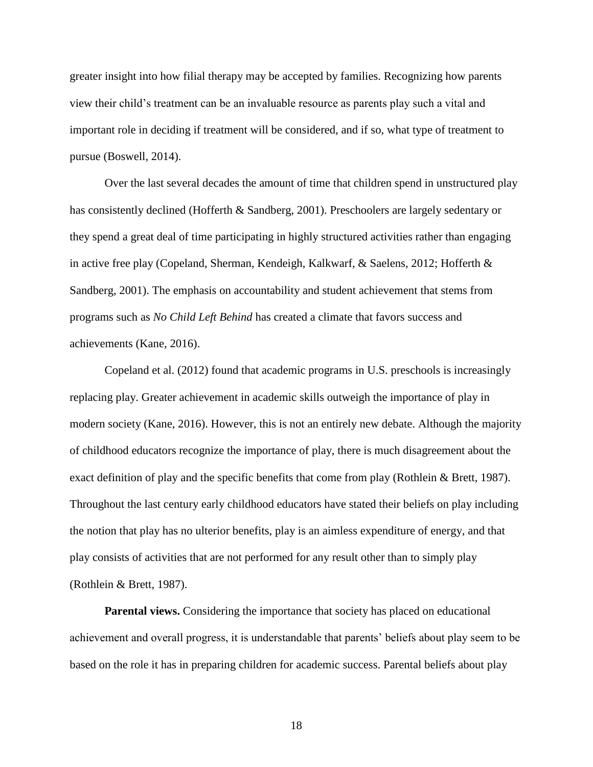greater insight into how filial therapy may be accepted by families. Recognizing how parents view their child's treatment can be an invaluable resource as parents play such a vital and important role in deciding if treatment will be considered, and if so, what type of treatment to pursue (Boswell, 2014).

Over the last several decades the amount of time that children spend in unstructured play has consistently declined (Hofferth & Sandberg, 2001). Preschoolers are largely sedentary or they spend a great deal of time participating in highly structured activities rather than engaging in active free play (Copeland, Sherman, Kendeigh, Kalkwarf, & Saelens, 2012; Hofferth & Sandberg, 2001). The emphasis on accountability and student achievement that stems from programs such as *No Child Left Behind* has created a climate that favors success and achievements (Kane, 2016).

Copeland et al. (2012) found that academic programs in U.S. preschools is increasingly replacing play. Greater achievement in academic skills outweigh the importance of play in modern society (Kane, 2016). However, this is not an entirely new debate. Although the majority of childhood educators recognize the importance of play, there is much disagreement about the exact definition of play and the specific benefits that come from play (Rothlein & Brett, 1987). Throughout the last century early childhood educators have stated their beliefs on play including the notion that play has no ulterior benefits, play is an aimless expenditure of energy, and that play consists of activities that are not performed for any result other than to simply play (Rothlein & Brett, 1987).

**Parental views.** Considering the importance that society has placed on educational achievement and overall progress, it is understandable that parents' beliefs about play seem to be based on the role it has in preparing children for academic success. Parental beliefs about play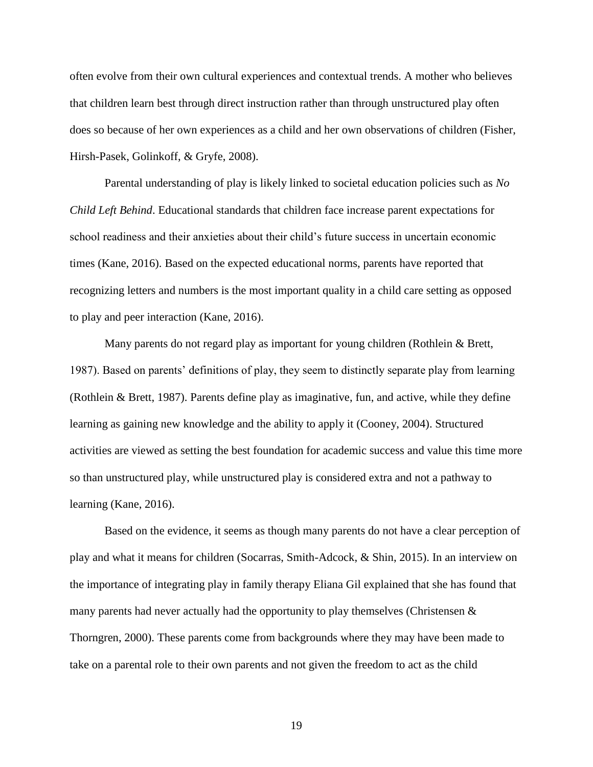often evolve from their own cultural experiences and contextual trends. A mother who believes that children learn best through direct instruction rather than through unstructured play often does so because of her own experiences as a child and her own observations of children (Fisher, Hirsh-Pasek, Golinkoff, & Gryfe, 2008).

Parental understanding of play is likely linked to societal education policies such as *No Child Left Behind*. Educational standards that children face increase parent expectations for school readiness and their anxieties about their child's future success in uncertain economic times (Kane, 2016). Based on the expected educational norms, parents have reported that recognizing letters and numbers is the most important quality in a child care setting as opposed to play and peer interaction (Kane, 2016).

Many parents do not regard play as important for young children (Rothlein & Brett, 1987). Based on parents' definitions of play, they seem to distinctly separate play from learning (Rothlein & Brett, 1987). Parents define play as imaginative, fun, and active, while they define learning as gaining new knowledge and the ability to apply it (Cooney, 2004). Structured activities are viewed as setting the best foundation for academic success and value this time more so than unstructured play, while unstructured play is considered extra and not a pathway to learning (Kane, 2016).

Based on the evidence, it seems as though many parents do not have a clear perception of play and what it means for children (Socarras, Smith-Adcock, & Shin, 2015). In an interview on the importance of integrating play in family therapy Eliana Gil explained that she has found that many parents had never actually had the opportunity to play themselves (Christensen  $\&$ Thorngren, 2000). These parents come from backgrounds where they may have been made to take on a parental role to their own parents and not given the freedom to act as the child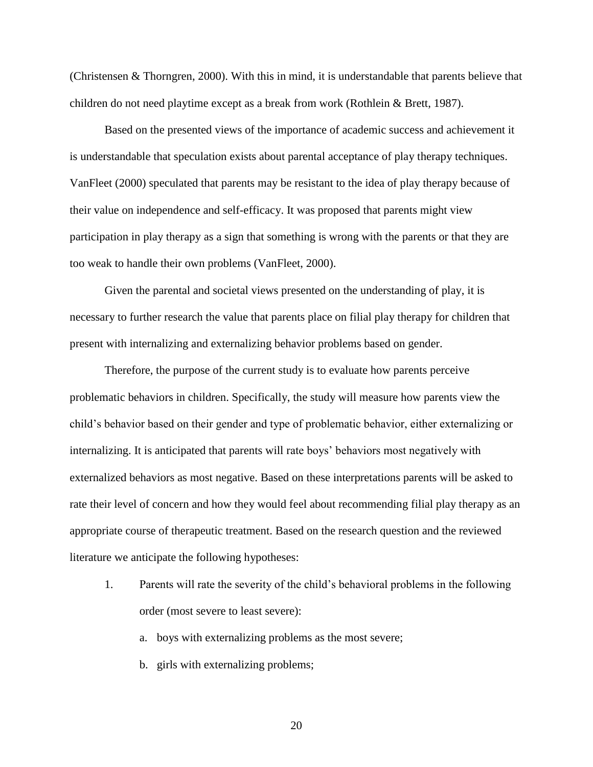(Christensen & Thorngren, 2000). With this in mind, it is understandable that parents believe that children do not need playtime except as a break from work (Rothlein & Brett, 1987).

Based on the presented views of the importance of academic success and achievement it is understandable that speculation exists about parental acceptance of play therapy techniques. VanFleet (2000) speculated that parents may be resistant to the idea of play therapy because of their value on independence and self-efficacy. It was proposed that parents might view participation in play therapy as a sign that something is wrong with the parents or that they are too weak to handle their own problems (VanFleet, 2000).

Given the parental and societal views presented on the understanding of play, it is necessary to further research the value that parents place on filial play therapy for children that present with internalizing and externalizing behavior problems based on gender.

Therefore, the purpose of the current study is to evaluate how parents perceive problematic behaviors in children. Specifically, the study will measure how parents view the child's behavior based on their gender and type of problematic behavior, either externalizing or internalizing. It is anticipated that parents will rate boys' behaviors most negatively with externalized behaviors as most negative. Based on these interpretations parents will be asked to rate their level of concern and how they would feel about recommending filial play therapy as an appropriate course of therapeutic treatment. Based on the research question and the reviewed literature we anticipate the following hypotheses:

1. Parents will rate the severity of the child's behavioral problems in the following order (most severe to least severe):

a. boys with externalizing problems as the most severe;

b. girls with externalizing problems;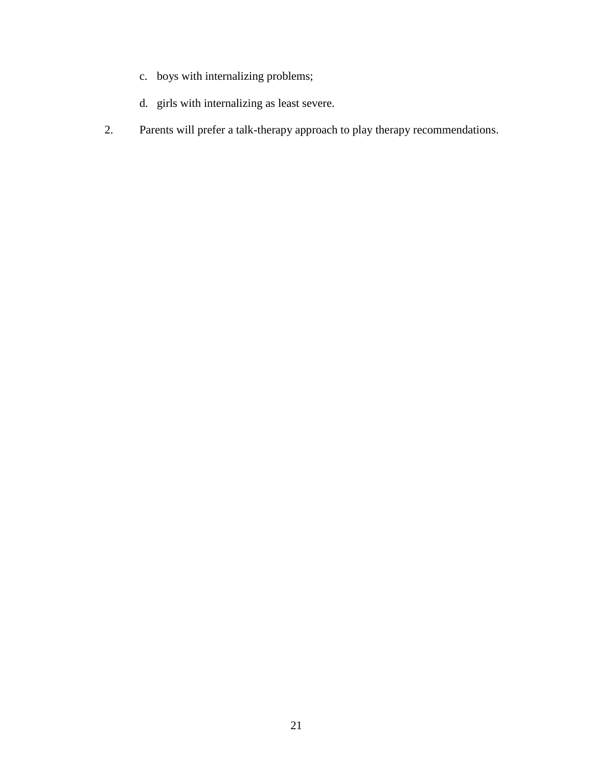- c. boys with internalizing problems;
- d. girls with internalizing as least severe.
- 2. Parents will prefer a talk-therapy approach to play therapy recommendations.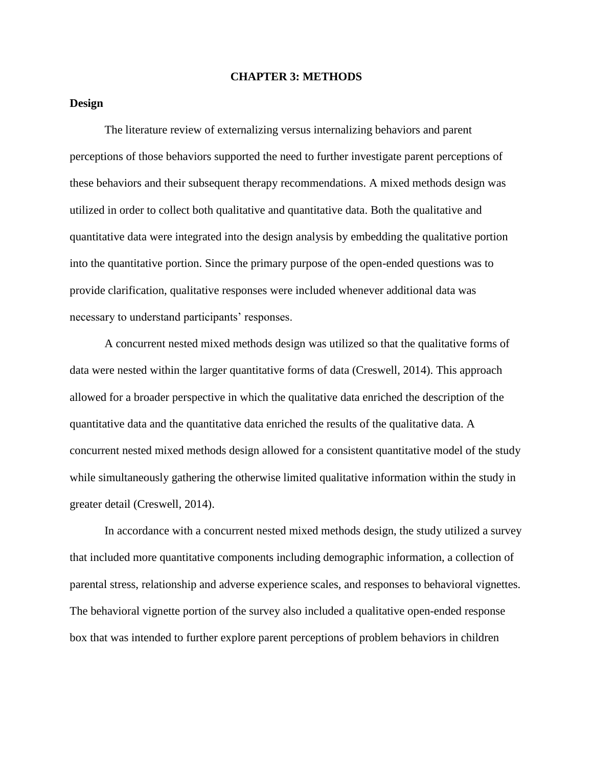#### **CHAPTER 3: METHODS**

## **Design**

The literature review of externalizing versus internalizing behaviors and parent perceptions of those behaviors supported the need to further investigate parent perceptions of these behaviors and their subsequent therapy recommendations. A mixed methods design was utilized in order to collect both qualitative and quantitative data. Both the qualitative and quantitative data were integrated into the design analysis by embedding the qualitative portion into the quantitative portion. Since the primary purpose of the open-ended questions was to provide clarification, qualitative responses were included whenever additional data was necessary to understand participants' responses.

A concurrent nested mixed methods design was utilized so that the qualitative forms of data were nested within the larger quantitative forms of data (Creswell, 2014). This approach allowed for a broader perspective in which the qualitative data enriched the description of the quantitative data and the quantitative data enriched the results of the qualitative data. A concurrent nested mixed methods design allowed for a consistent quantitative model of the study while simultaneously gathering the otherwise limited qualitative information within the study in greater detail (Creswell, 2014).

In accordance with a concurrent nested mixed methods design, the study utilized a survey that included more quantitative components including demographic information, a collection of parental stress, relationship and adverse experience scales, and responses to behavioral vignettes. The behavioral vignette portion of the survey also included a qualitative open-ended response box that was intended to further explore parent perceptions of problem behaviors in children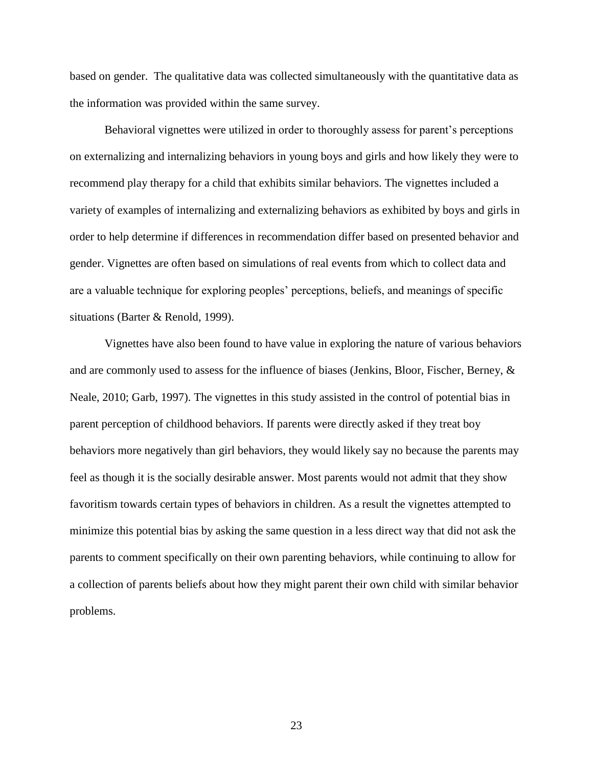based on gender. The qualitative data was collected simultaneously with the quantitative data as the information was provided within the same survey.

Behavioral vignettes were utilized in order to thoroughly assess for parent's perceptions on externalizing and internalizing behaviors in young boys and girls and how likely they were to recommend play therapy for a child that exhibits similar behaviors. The vignettes included a variety of examples of internalizing and externalizing behaviors as exhibited by boys and girls in order to help determine if differences in recommendation differ based on presented behavior and gender. Vignettes are often based on simulations of real events from which to collect data and are a valuable technique for exploring peoples' perceptions, beliefs, and meanings of specific situations (Barter & Renold, 1999).

Vignettes have also been found to have value in exploring the nature of various behaviors and are commonly used to assess for the influence of biases (Jenkins, Bloor, Fischer, Berney, & Neale, 2010; Garb, 1997). The vignettes in this study assisted in the control of potential bias in parent perception of childhood behaviors. If parents were directly asked if they treat boy behaviors more negatively than girl behaviors, they would likely say no because the parents may feel as though it is the socially desirable answer. Most parents would not admit that they show favoritism towards certain types of behaviors in children. As a result the vignettes attempted to minimize this potential bias by asking the same question in a less direct way that did not ask the parents to comment specifically on their own parenting behaviors, while continuing to allow for a collection of parents beliefs about how they might parent their own child with similar behavior problems.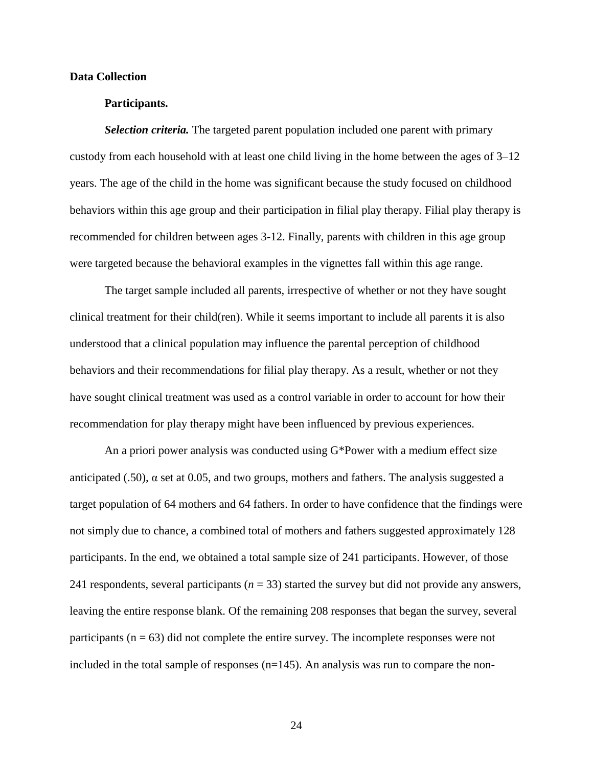### **Data Collection**

## **Participants.**

*Selection criteria.* The targeted parent population included one parent with primary custody from each household with at least one child living in the home between the ages of 3–12 years. The age of the child in the home was significant because the study focused on childhood behaviors within this age group and their participation in filial play therapy. Filial play therapy is recommended for children between ages 3-12. Finally, parents with children in this age group were targeted because the behavioral examples in the vignettes fall within this age range.

The target sample included all parents, irrespective of whether or not they have sought clinical treatment for their child(ren). While it seems important to include all parents it is also understood that a clinical population may influence the parental perception of childhood behaviors and their recommendations for filial play therapy. As a result, whether or not they have sought clinical treatment was used as a control variable in order to account for how their recommendation for play therapy might have been influenced by previous experiences.

An a priori power analysis was conducted using G\*Power with a medium effect size anticipated (.50),  $\alpha$  set at 0.05, and two groups, mothers and fathers. The analysis suggested a target population of 64 mothers and 64 fathers. In order to have confidence that the findings were not simply due to chance, a combined total of mothers and fathers suggested approximately 128 participants. In the end, we obtained a total sample size of 241 participants. However, of those 241 respondents, several participants ( $n = 33$ ) started the survey but did not provide any answers, leaving the entire response blank. Of the remaining 208 responses that began the survey, several participants ( $n = 63$ ) did not complete the entire survey. The incomplete responses were not included in the total sample of responses  $(n=145)$ . An analysis was run to compare the non-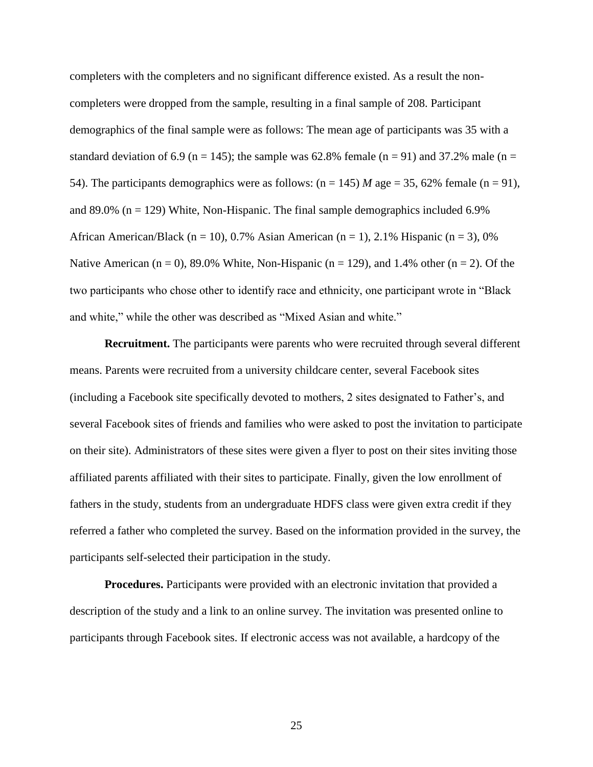completers with the completers and no significant difference existed. As a result the noncompleters were dropped from the sample, resulting in a final sample of 208. Participant demographics of the final sample were as follows: The mean age of participants was 35 with a standard deviation of 6.9 (n = 145); the sample was 62.8% female (n = 91) and 37.2% male (n = 54). The participants demographics were as follows:  $(n = 145)$  *M* age = 35, 62% female  $(n = 91)$ , and 89.0% ( $n = 129$ ) White, Non-Hispanic. The final sample demographics included 6.9% African American/Black (n = 10), 0.7% Asian American (n = 1), 2.1% Hispanic (n = 3), 0% Native American ( $n = 0$ ), 89.0% White, Non-Hispanic ( $n = 129$ ), and 1.4% other ( $n = 2$ ). Of the two participants who chose other to identify race and ethnicity, one participant wrote in "Black and white," while the other was described as "Mixed Asian and white."

**Recruitment.** The participants were parents who were recruited through several different means. Parents were recruited from a university childcare center, several Facebook sites (including a Facebook site specifically devoted to mothers, 2 sites designated to Father's, and several Facebook sites of friends and families who were asked to post the invitation to participate on their site). Administrators of these sites were given a flyer to post on their sites inviting those affiliated parents affiliated with their sites to participate. Finally, given the low enrollment of fathers in the study, students from an undergraduate HDFS class were given extra credit if they referred a father who completed the survey. Based on the information provided in the survey, the participants self-selected their participation in the study.

**Procedures.** Participants were provided with an electronic invitation that provided a description of the study and a link to an online survey. The invitation was presented online to participants through Facebook sites. If electronic access was not available, a hardcopy of the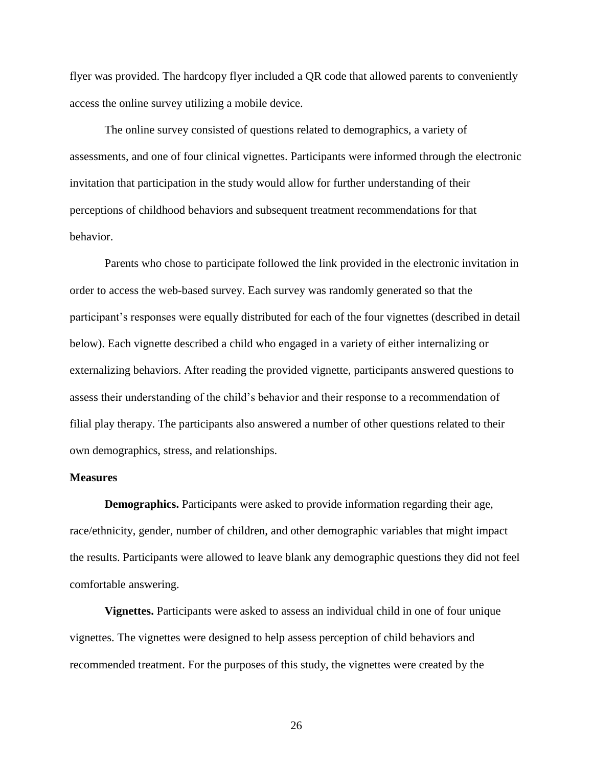flyer was provided. The hardcopy flyer included a QR code that allowed parents to conveniently access the online survey utilizing a mobile device.

The online survey consisted of questions related to demographics, a variety of assessments, and one of four clinical vignettes. Participants were informed through the electronic invitation that participation in the study would allow for further understanding of their perceptions of childhood behaviors and subsequent treatment recommendations for that behavior.

Parents who chose to participate followed the link provided in the electronic invitation in order to access the web-based survey. Each survey was randomly generated so that the participant's responses were equally distributed for each of the four vignettes (described in detail below). Each vignette described a child who engaged in a variety of either internalizing or externalizing behaviors. After reading the provided vignette, participants answered questions to assess their understanding of the child's behavior and their response to a recommendation of filial play therapy. The participants also answered a number of other questions related to their own demographics, stress, and relationships.

# **Measures**

**Demographics.** Participants were asked to provide information regarding their age, race/ethnicity, gender, number of children, and other demographic variables that might impact the results. Participants were allowed to leave blank any demographic questions they did not feel comfortable answering.

**Vignettes.** Participants were asked to assess an individual child in one of four unique vignettes. The vignettes were designed to help assess perception of child behaviors and recommended treatment. For the purposes of this study, the vignettes were created by the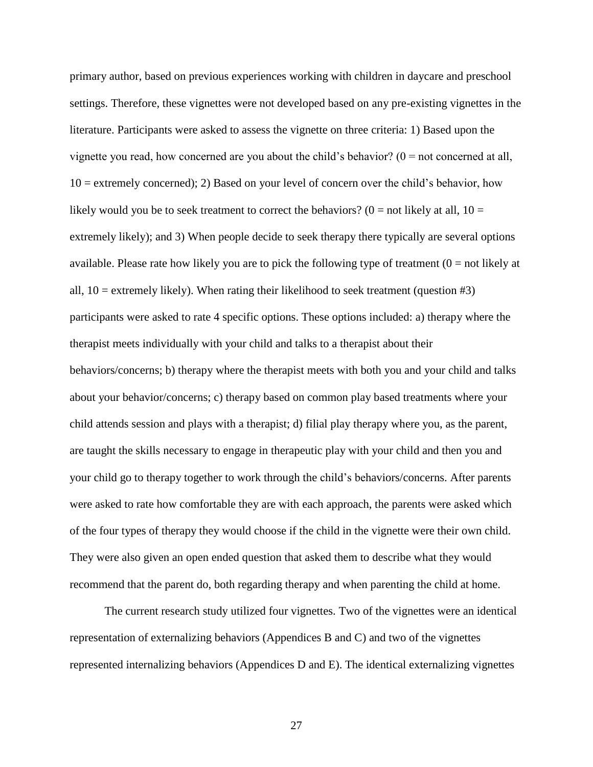primary author, based on previous experiences working with children in daycare and preschool settings. Therefore, these vignettes were not developed based on any pre-existing vignettes in the literature. Participants were asked to assess the vignette on three criteria: 1) Based upon the vignette you read, how concerned are you about the child's behavior?  $(0 = not concerned at all,$ 10 = extremely concerned); 2) Based on your level of concern over the child's behavior, how likely would you be to seek treatment to correct the behaviors? ( $0 =$  not likely at all,  $10 =$ extremely likely); and 3) When people decide to seek therapy there typically are several options available. Please rate how likely you are to pick the following type of treatment  $(0 = not$  likely at all,  $10 =$  extremely likely). When rating their likelihood to seek treatment (question  $#3$ ) participants were asked to rate 4 specific options. These options included: a) therapy where the therapist meets individually with your child and talks to a therapist about their behaviors/concerns; b) therapy where the therapist meets with both you and your child and talks about your behavior/concerns; c) therapy based on common play based treatments where your child attends session and plays with a therapist; d) filial play therapy where you, as the parent, are taught the skills necessary to engage in therapeutic play with your child and then you and your child go to therapy together to work through the child's behaviors/concerns. After parents were asked to rate how comfortable they are with each approach, the parents were asked which of the four types of therapy they would choose if the child in the vignette were their own child. They were also given an open ended question that asked them to describe what they would recommend that the parent do, both regarding therapy and when parenting the child at home.

The current research study utilized four vignettes. Two of the vignettes were an identical representation of externalizing behaviors (Appendices B and C) and two of the vignettes represented internalizing behaviors (Appendices D and E). The identical externalizing vignettes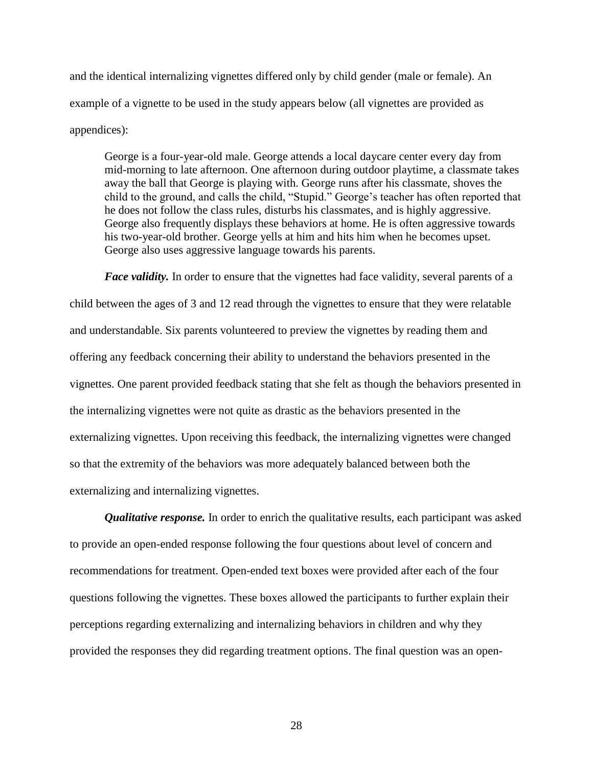and the identical internalizing vignettes differed only by child gender (male or female). An example of a vignette to be used in the study appears below (all vignettes are provided as appendices):

George is a four-year-old male. George attends a local daycare center every day from mid-morning to late afternoon. One afternoon during outdoor playtime, a classmate takes away the ball that George is playing with. George runs after his classmate, shoves the child to the ground, and calls the child, "Stupid." George's teacher has often reported that he does not follow the class rules, disturbs his classmates, and is highly aggressive. George also frequently displays these behaviors at home. He is often aggressive towards his two-year-old brother. George yells at him and hits him when he becomes upset. George also uses aggressive language towards his parents.

*Face validity*. In order to ensure that the vignettes had face validity, several parents of a child between the ages of 3 and 12 read through the vignettes to ensure that they were relatable and understandable. Six parents volunteered to preview the vignettes by reading them and offering any feedback concerning their ability to understand the behaviors presented in the vignettes. One parent provided feedback stating that she felt as though the behaviors presented in the internalizing vignettes were not quite as drastic as the behaviors presented in the externalizing vignettes. Upon receiving this feedback, the internalizing vignettes were changed so that the extremity of the behaviors was more adequately balanced between both the externalizing and internalizing vignettes.

*Qualitative response.* In order to enrich the qualitative results, each participant was asked to provide an open-ended response following the four questions about level of concern and recommendations for treatment. Open-ended text boxes were provided after each of the four questions following the vignettes. These boxes allowed the participants to further explain their perceptions regarding externalizing and internalizing behaviors in children and why they provided the responses they did regarding treatment options. The final question was an open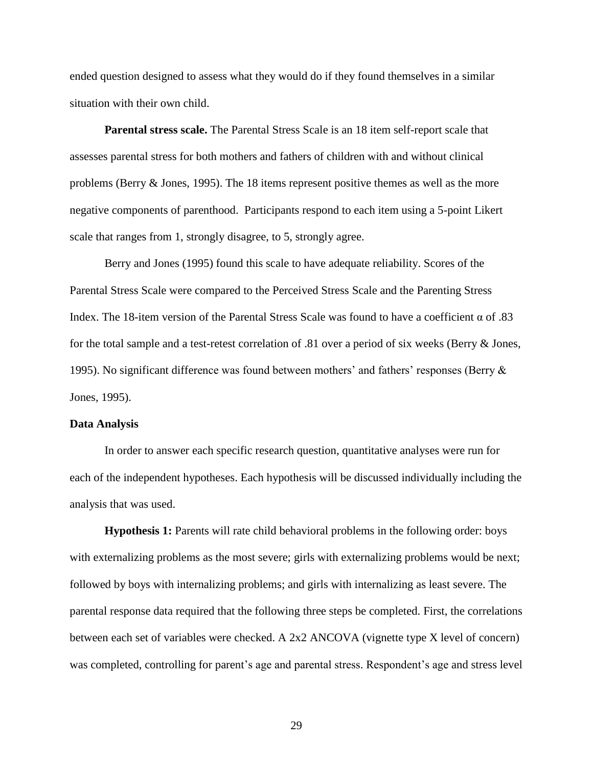ended question designed to assess what they would do if they found themselves in a similar situation with their own child.

**Parental stress scale.** The Parental Stress Scale is an 18 item self-report scale that assesses parental stress for both mothers and fathers of children with and without clinical problems (Berry & Jones, 1995). The 18 items represent positive themes as well as the more negative components of parenthood. Participants respond to each item using a 5-point Likert scale that ranges from 1, strongly disagree, to 5, strongly agree.

Berry and Jones (1995) found this scale to have adequate reliability. Scores of the Parental Stress Scale were compared to the Perceived Stress Scale and the Parenting Stress Index. The 18-item version of the Parental Stress Scale was found to have a coefficient α of .83 for the total sample and a test-retest correlation of .81 over a period of six weeks (Berry & Jones, 1995). No significant difference was found between mothers' and fathers' responses (Berry  $\&$ Jones, 1995).

#### **Data Analysis**

In order to answer each specific research question, quantitative analyses were run for each of the independent hypotheses. Each hypothesis will be discussed individually including the analysis that was used.

**Hypothesis 1:** Parents will rate child behavioral problems in the following order: boys with externalizing problems as the most severe; girls with externalizing problems would be next; followed by boys with internalizing problems; and girls with internalizing as least severe. The parental response data required that the following three steps be completed. First, the correlations between each set of variables were checked. A 2x2 ANCOVA (vignette type X level of concern) was completed, controlling for parent's age and parental stress. Respondent's age and stress level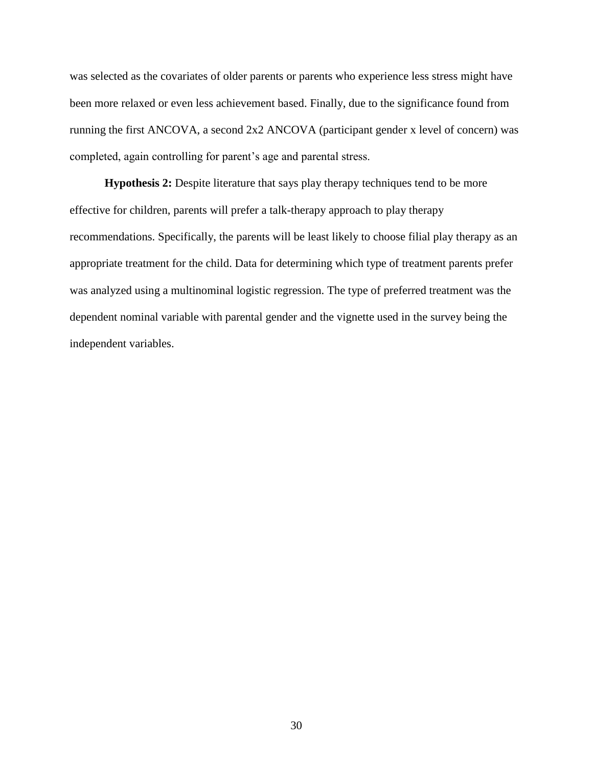was selected as the covariates of older parents or parents who experience less stress might have been more relaxed or even less achievement based. Finally, due to the significance found from running the first ANCOVA, a second 2x2 ANCOVA (participant gender x level of concern) was completed, again controlling for parent's age and parental stress.

**Hypothesis 2:** Despite literature that says play therapy techniques tend to be more effective for children, parents will prefer a talk-therapy approach to play therapy recommendations. Specifically, the parents will be least likely to choose filial play therapy as an appropriate treatment for the child. Data for determining which type of treatment parents prefer was analyzed using a multinominal logistic regression. The type of preferred treatment was the dependent nominal variable with parental gender and the vignette used in the survey being the independent variables.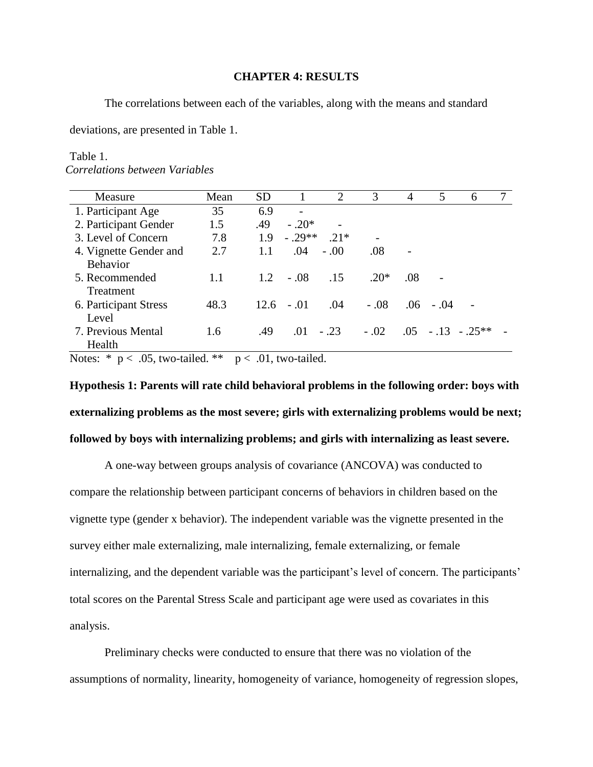## **CHAPTER 4: RESULTS**

The correlations between each of the variables, along with the means and standard

deviations, are presented in Table 1.

#### Table 1.

*Correlations between Variables*

| Measure                | Mean | <b>SD</b> |         | 2      | 3      | $\overline{A}$ | 5           | 6                   |  |
|------------------------|------|-----------|---------|--------|--------|----------------|-------------|---------------------|--|
| 1. Participant Age     | 35   | 6.9       |         |        |        |                |             |                     |  |
| 2. Participant Gender  | 1.5  | .49       | $-.20*$ |        |        |                |             |                     |  |
| 3. Level of Concern    | 7.8  | 1.9       | $-29**$ | $21*$  |        |                |             |                     |  |
| 4. Vignette Gender and | 2.7  | 1.1       | .04     | $-.00$ | .08    |                |             |                     |  |
| <b>Behavior</b>        |      |           |         |        |        |                |             |                     |  |
| 5. Recommended         | 1.1  | 1.2       | $-.08$  | .15    | $.20*$ | .08            |             |                     |  |
| Treatment              |      |           |         |        |        |                |             |                     |  |
| 6. Participant Stress  | 48.3 | 12.6      | $-.01$  | .04    | $-.08$ |                | $.06 - .04$ |                     |  |
| Level                  |      |           |         |        |        |                |             |                     |  |
| 7. Previous Mental     | 1.6  | .49       | .01     | $-.23$ | $-.02$ |                |             | $.05 - .13 - .25**$ |  |
| Health                 |      |           |         |        |        |                |             |                     |  |

Notes:  $* p < .05$ , two-tailed.  $* p < .01$ , two-tailed.

**Hypothesis 1: Parents will rate child behavioral problems in the following order: boys with externalizing problems as the most severe; girls with externalizing problems would be next; followed by boys with internalizing problems; and girls with internalizing as least severe.**

A one-way between groups analysis of covariance (ANCOVA) was conducted to compare the relationship between participant concerns of behaviors in children based on the vignette type (gender x behavior). The independent variable was the vignette presented in the survey either male externalizing, male internalizing, female externalizing, or female internalizing, and the dependent variable was the participant's level of concern. The participants' total scores on the Parental Stress Scale and participant age were used as covariates in this analysis.

Preliminary checks were conducted to ensure that there was no violation of the assumptions of normality, linearity, homogeneity of variance, homogeneity of regression slopes,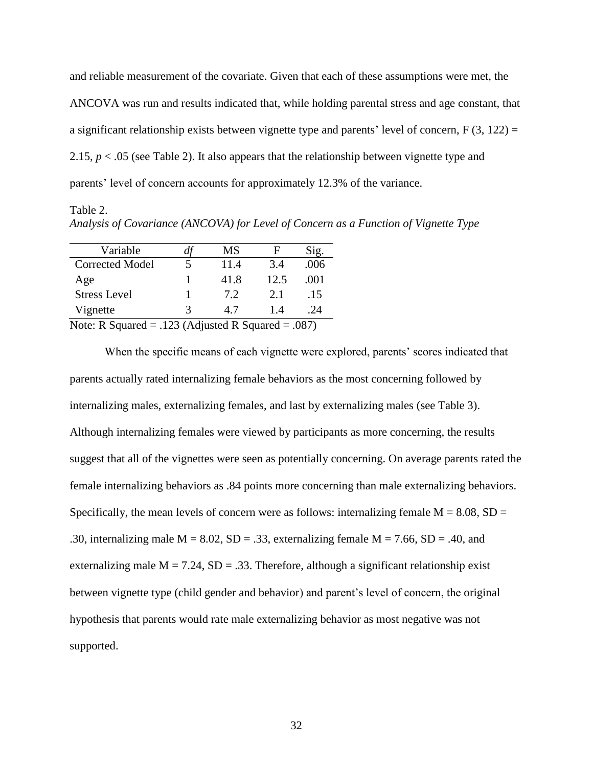and reliable measurement of the covariate. Given that each of these assumptions were met, the ANCOVA was run and results indicated that, while holding parental stress and age constant, that a significant relationship exists between vignette type and parents' level of concern,  $F(3, 122) =$ 2.15,  $p < 0.05$  (see Table 2). It also appears that the relationship between vignette type and parents' level of concern accounts for approximately 12.3% of the variance.

Table 2. *Analysis of Covariance (ANCOVA) for Level of Concern as a Function of Vignette Type*

| Variable                                            | đī                       | MS   | F    | Sig.   |
|-----------------------------------------------------|--------------------------|------|------|--------|
| <b>Corrected Model</b>                              |                          | 11.4 | 3.4  | .006   |
| Age                                                 |                          | 41.8 | 12.5 | .001   |
| <b>Stress Level</b>                                 |                          | 7.2  | 2.1  | .15    |
| Vignette                                            | 3                        | 4.7  | 14   | .24    |
| $\mathbf{M}$ $\mathbf{D}$ $\mathbf{C}$ $\mathbf{I}$ | $100 \times 1$ $100$ $1$ |      |      | $\cap$ |

Note: R Squared  $= .123$  (Adjusted R Squared  $= .087$ )

When the specific means of each vignette were explored, parents' scores indicated that parents actually rated internalizing female behaviors as the most concerning followed by internalizing males, externalizing females, and last by externalizing males (see Table 3). Although internalizing females were viewed by participants as more concerning, the results suggest that all of the vignettes were seen as potentially concerning. On average parents rated the female internalizing behaviors as .84 points more concerning than male externalizing behaviors. Specifically, the mean levels of concern were as follows: internalizing female  $M = 8.08$ , SD = .30, internalizing male  $M = 8.02$ ,  $SD = .33$ , externalizing female  $M = 7.66$ ,  $SD = .40$ , and externalizing male  $M = 7.24$ ,  $SD = .33$ . Therefore, although a significant relationship exist between vignette type (child gender and behavior) and parent's level of concern, the original hypothesis that parents would rate male externalizing behavior as most negative was not supported.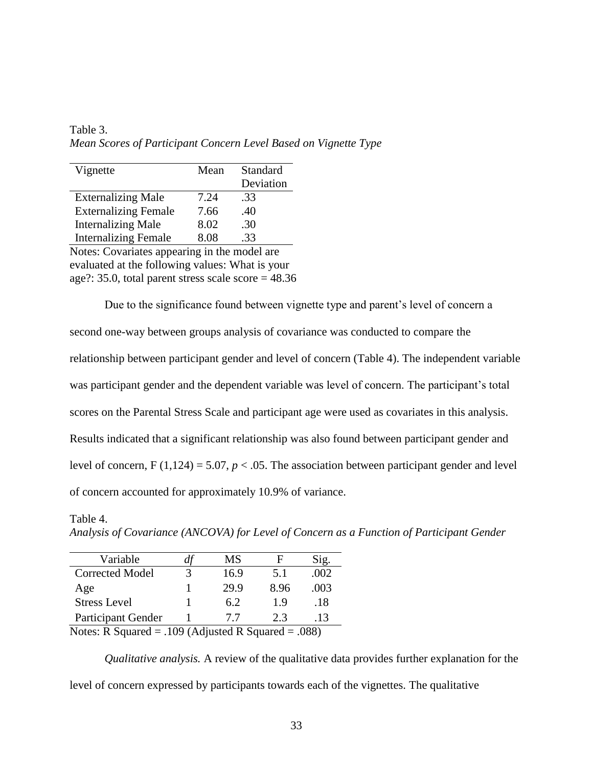Table 3. *Mean Scores of Participant Concern Level Based on Vignette Type*

| Vignette                                     | Mean | Standard  |  |
|----------------------------------------------|------|-----------|--|
|                                              |      | Deviation |  |
| <b>Externalizing Male</b>                    | 7.24 | .33       |  |
| <b>Externalizing Female</b>                  | 7.66 | .40       |  |
| <b>Internalizing Male</b>                    | 8.02 | .30       |  |
| <b>Internalizing Female</b>                  | 8.08 | .33       |  |
| Notes: Covariates appearing in the model are |      |           |  |

Notes: Covariates appearing in the model are evaluated at the following values: What is your age?: 35.0, total parent stress scale score  $= 48.36$ 

Due to the significance found between vignette type and parent's level of concern a second one-way between groups analysis of covariance was conducted to compare the relationship between participant gender and level of concern (Table 4). The independent variable was participant gender and the dependent variable was level of concern. The participant's total scores on the Parental Stress Scale and participant age were used as covariates in this analysis. Results indicated that a significant relationship was also found between participant gender and level of concern,  $F(1,124) = 5.07$ ,  $p < .05$ . The association between participant gender and level of concern accounted for approximately 10.9% of variance.

| Variable            | α | МS   | н    | Sig. |
|---------------------|---|------|------|------|
| Corrected Model     |   | 16.9 | 5.1  | .002 |
| Age                 |   | 29.9 | 8.96 | .003 |
| <b>Stress Level</b> |   | 6.2  | 19   | .18  |
| Participant Gender  |   | 77   | 2.3  | .13  |

Table 4.

*Analysis of Covariance (ANCOVA) for Level of Concern as a Function of Participant Gender*

Notes: R Squared = .109 (Adjusted R Squared = .088)

*Qualitative analysis.* A review of the qualitative data provides further explanation for the level of concern expressed by participants towards each of the vignettes. The qualitative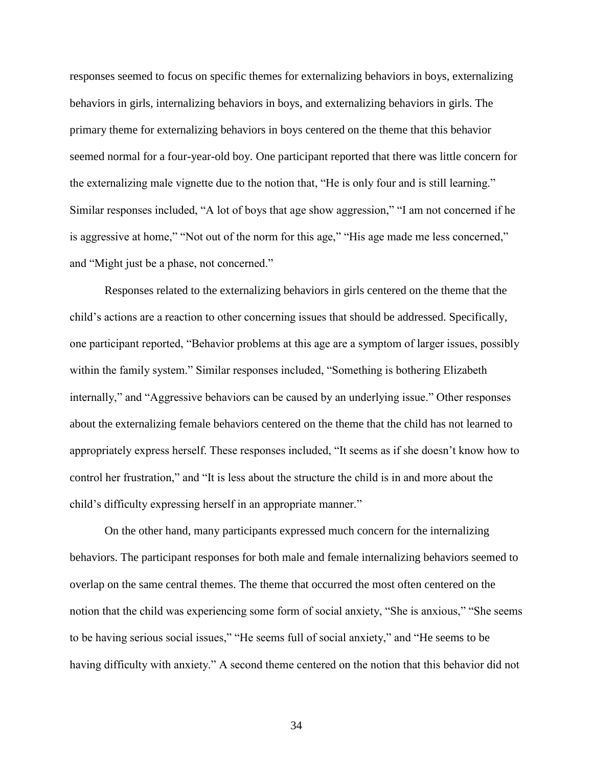responses seemed to focus on specific themes for externalizing behaviors in boys, externalizing behaviors in girls, internalizing behaviors in boys, and externalizing behaviors in girls. The primary theme for externalizing behaviors in boys centered on the theme that this behavior seemed normal for a four-year-old boy. One participant reported that there was little concern for the externalizing male vignette due to the notion that, "He is only four and is still learning." Similar responses included, "A lot of boys that age show aggression," "I am not concerned if he is aggressive at home," "Not out of the norm for this age," "His age made me less concerned," and "Might just be a phase, not concerned."

Responses related to the externalizing behaviors in girls centered on the theme that the child's actions are a reaction to other concerning issues that should be addressed. Specifically, one participant reported, "Behavior problems at this age are a symptom of larger issues, possibly within the family system." Similar responses included, "Something is bothering Elizabeth internally," and "Aggressive behaviors can be caused by an underlying issue." Other responses about the externalizing female behaviors centered on the theme that the child has not learned to appropriately express herself. These responses included, "It seems as if she doesn't know how to control her frustration," and "It is less about the structure the child is in and more about the child's difficulty expressing herself in an appropriate manner."

On the other hand, many participants expressed much concern for the internalizing behaviors. The participant responses for both male and female internalizing behaviors seemed to overlap on the same central themes. The theme that occurred the most often centered on the notion that the child was experiencing some form of social anxiety, "She is anxious," "She seems to be having serious social issues," "He seems full of social anxiety," and "He seems to be having difficulty with anxiety." A second theme centered on the notion that this behavior did not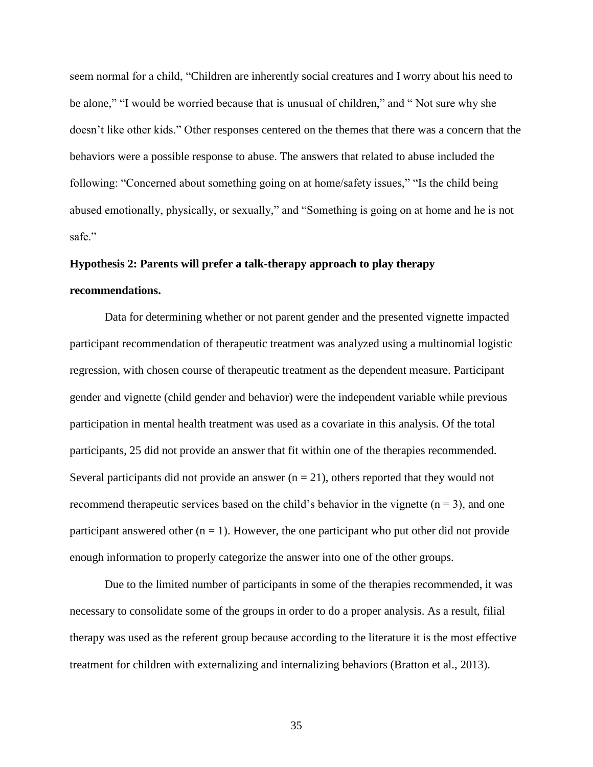seem normal for a child, "Children are inherently social creatures and I worry about his need to be alone," "I would be worried because that is unusual of children," and " Not sure why she doesn't like other kids." Other responses centered on the themes that there was a concern that the behaviors were a possible response to abuse. The answers that related to abuse included the following: "Concerned about something going on at home/safety issues," "Is the child being abused emotionally, physically, or sexually," and "Something is going on at home and he is not safe."

# **Hypothesis 2: Parents will prefer a talk-therapy approach to play therapy**

## **recommendations.**

Data for determining whether or not parent gender and the presented vignette impacted participant recommendation of therapeutic treatment was analyzed using a multinomial logistic regression, with chosen course of therapeutic treatment as the dependent measure. Participant gender and vignette (child gender and behavior) were the independent variable while previous participation in mental health treatment was used as a covariate in this analysis. Of the total participants, 25 did not provide an answer that fit within one of the therapies recommended. Several participants did not provide an answer  $(n = 21)$ , others reported that they would not recommend therapeutic services based on the child's behavior in the vignette  $(n = 3)$ , and one participant answered other  $(n = 1)$ . However, the one participant who put other did not provide enough information to properly categorize the answer into one of the other groups.

Due to the limited number of participants in some of the therapies recommended, it was necessary to consolidate some of the groups in order to do a proper analysis. As a result, filial therapy was used as the referent group because according to the literature it is the most effective treatment for children with externalizing and internalizing behaviors (Bratton et al., 2013).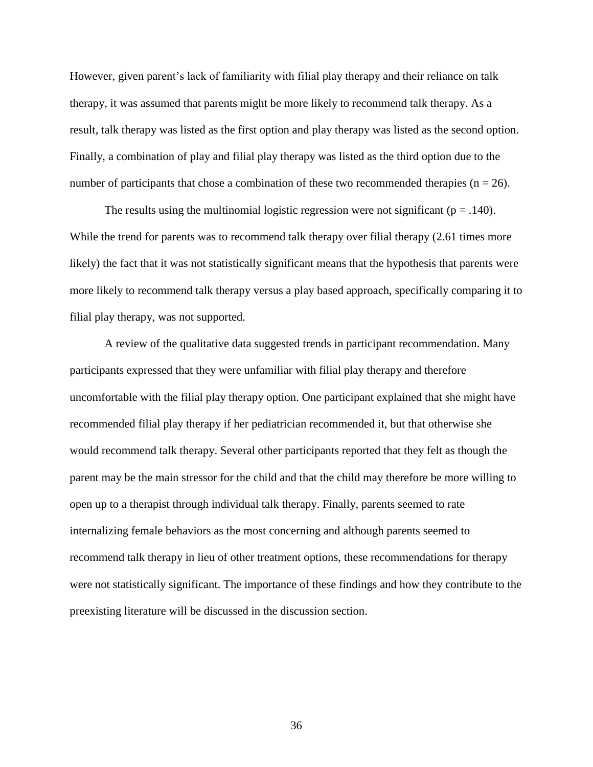However, given parent's lack of familiarity with filial play therapy and their reliance on talk therapy, it was assumed that parents might be more likely to recommend talk therapy. As a result, talk therapy was listed as the first option and play therapy was listed as the second option. Finally, a combination of play and filial play therapy was listed as the third option due to the number of participants that chose a combination of these two recommended therapies ( $n = 26$ ).

The results using the multinomial logistic regression were not significant ( $p = .140$ ). While the trend for parents was to recommend talk therapy over filial therapy  $(2.61)$  times more likely) the fact that it was not statistically significant means that the hypothesis that parents were more likely to recommend talk therapy versus a play based approach, specifically comparing it to filial play therapy, was not supported.

A review of the qualitative data suggested trends in participant recommendation. Many participants expressed that they were unfamiliar with filial play therapy and therefore uncomfortable with the filial play therapy option. One participant explained that she might have recommended filial play therapy if her pediatrician recommended it, but that otherwise she would recommend talk therapy. Several other participants reported that they felt as though the parent may be the main stressor for the child and that the child may therefore be more willing to open up to a therapist through individual talk therapy. Finally, parents seemed to rate internalizing female behaviors as the most concerning and although parents seemed to recommend talk therapy in lieu of other treatment options, these recommendations for therapy were not statistically significant. The importance of these findings and how they contribute to the preexisting literature will be discussed in the discussion section.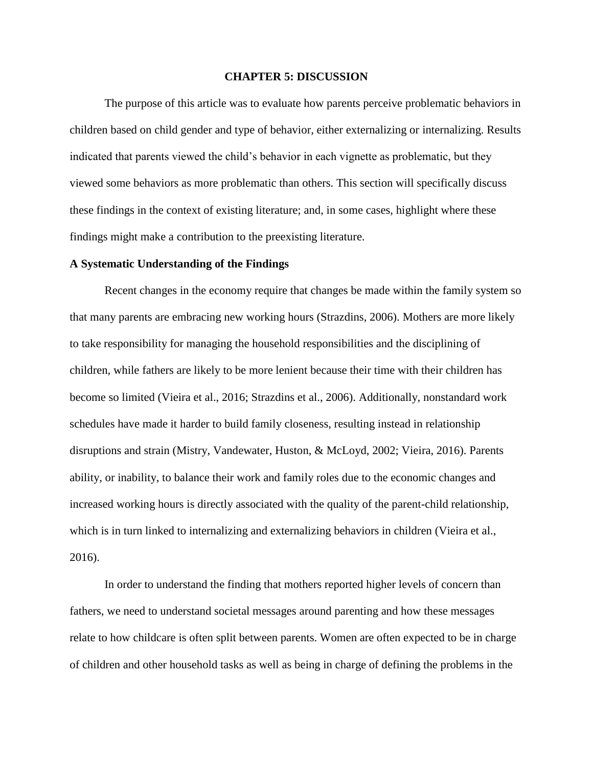#### **CHAPTER 5: DISCUSSION**

The purpose of this article was to evaluate how parents perceive problematic behaviors in children based on child gender and type of behavior, either externalizing or internalizing. Results indicated that parents viewed the child's behavior in each vignette as problematic, but they viewed some behaviors as more problematic than others. This section will specifically discuss these findings in the context of existing literature; and, in some cases, highlight where these findings might make a contribution to the preexisting literature.

## **A Systematic Understanding of the Findings**

Recent changes in the economy require that changes be made within the family system so that many parents are embracing new working hours (Strazdins, 2006). Mothers are more likely to take responsibility for managing the household responsibilities and the disciplining of children, while fathers are likely to be more lenient because their time with their children has become so limited (Vieira et al., 2016; Strazdins et al., 2006). Additionally, nonstandard work schedules have made it harder to build family closeness, resulting instead in relationship disruptions and strain (Mistry, Vandewater, Huston, & McLoyd, 2002; Vieira, 2016). Parents ability, or inability, to balance their work and family roles due to the economic changes and increased working hours is directly associated with the quality of the parent-child relationship, which is in turn linked to internalizing and externalizing behaviors in children (Vieira et al., 2016).

In order to understand the finding that mothers reported higher levels of concern than fathers, we need to understand societal messages around parenting and how these messages relate to how childcare is often split between parents. Women are often expected to be in charge of children and other household tasks as well as being in charge of defining the problems in the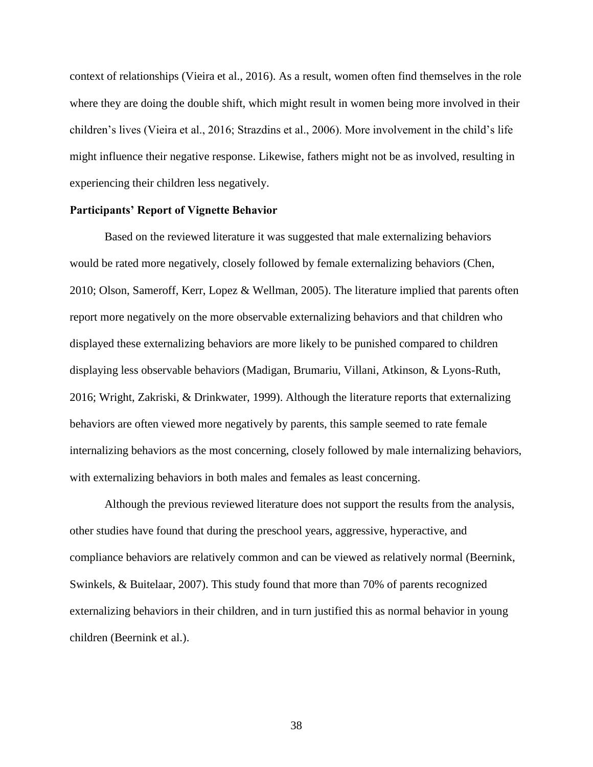context of relationships (Vieira et al., 2016). As a result, women often find themselves in the role where they are doing the double shift, which might result in women being more involved in their children's lives (Vieira et al., 2016; Strazdins et al., 2006). More involvement in the child's life might influence their negative response. Likewise, fathers might not be as involved, resulting in experiencing their children less negatively.

#### **Participants' Report of Vignette Behavior**

Based on the reviewed literature it was suggested that male externalizing behaviors would be rated more negatively, closely followed by female externalizing behaviors (Chen, 2010; Olson, Sameroff, Kerr, Lopez & Wellman, 2005). The literature implied that parents often report more negatively on the more observable externalizing behaviors and that children who displayed these externalizing behaviors are more likely to be punished compared to children displaying less observable behaviors (Madigan, Brumariu, Villani, Atkinson, & Lyons-Ruth, 2016; Wright, Zakriski, & Drinkwater, 1999). Although the literature reports that externalizing behaviors are often viewed more negatively by parents, this sample seemed to rate female internalizing behaviors as the most concerning, closely followed by male internalizing behaviors, with externalizing behaviors in both males and females as least concerning.

Although the previous reviewed literature does not support the results from the analysis, other studies have found that during the preschool years, aggressive, hyperactive, and compliance behaviors are relatively common and can be viewed as relatively normal (Beernink, Swinkels, & Buitelaar, 2007). This study found that more than 70% of parents recognized externalizing behaviors in their children, and in turn justified this as normal behavior in young children (Beernink et al.).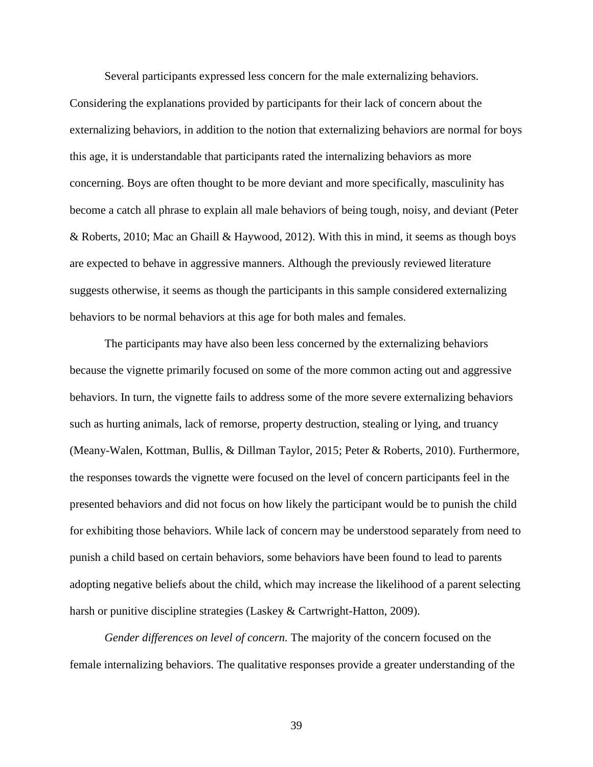Several participants expressed less concern for the male externalizing behaviors.

Considering the explanations provided by participants for their lack of concern about the externalizing behaviors, in addition to the notion that externalizing behaviors are normal for boys this age, it is understandable that participants rated the internalizing behaviors as more concerning. Boys are often thought to be more deviant and more specifically, masculinity has become a catch all phrase to explain all male behaviors of being tough, noisy, and deviant (Peter & Roberts, 2010; Mac an Ghaill & Haywood, 2012). With this in mind, it seems as though boys are expected to behave in aggressive manners. Although the previously reviewed literature suggests otherwise, it seems as though the participants in this sample considered externalizing behaviors to be normal behaviors at this age for both males and females.

The participants may have also been less concerned by the externalizing behaviors because the vignette primarily focused on some of the more common acting out and aggressive behaviors. In turn, the vignette fails to address some of the more severe externalizing behaviors such as hurting animals, lack of remorse, property destruction, stealing or lying, and truancy (Meany-Walen, Kottman, Bullis, & Dillman Taylor, 2015; Peter & Roberts, 2010). Furthermore, the responses towards the vignette were focused on the level of concern participants feel in the presented behaviors and did not focus on how likely the participant would be to punish the child for exhibiting those behaviors. While lack of concern may be understood separately from need to punish a child based on certain behaviors, some behaviors have been found to lead to parents adopting negative beliefs about the child, which may increase the likelihood of a parent selecting harsh or punitive discipline strategies (Laskey & Cartwright-Hatton, 2009).

*Gender differences on level of concern.* The majority of the concern focused on the female internalizing behaviors. The qualitative responses provide a greater understanding of the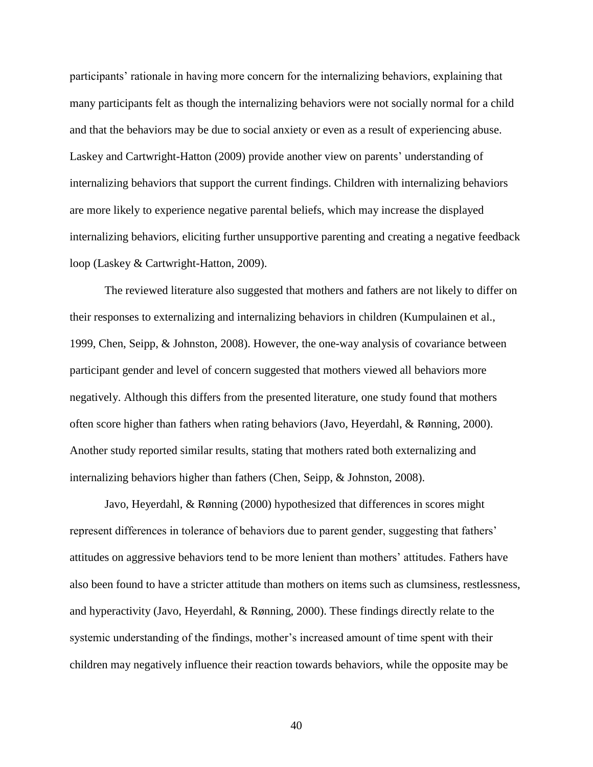participants' rationale in having more concern for the internalizing behaviors, explaining that many participants felt as though the internalizing behaviors were not socially normal for a child and that the behaviors may be due to social anxiety or even as a result of experiencing abuse. Laskey and Cartwright-Hatton (2009) provide another view on parents' understanding of internalizing behaviors that support the current findings. Children with internalizing behaviors are more likely to experience negative parental beliefs, which may increase the displayed internalizing behaviors, eliciting further unsupportive parenting and creating a negative feedback loop (Laskey & Cartwright-Hatton, 2009).

The reviewed literature also suggested that mothers and fathers are not likely to differ on their responses to externalizing and internalizing behaviors in children (Kumpulainen et al., 1999, Chen, Seipp, & Johnston, 2008). However, the one-way analysis of covariance between participant gender and level of concern suggested that mothers viewed all behaviors more negatively. Although this differs from the presented literature, one study found that mothers often score higher than fathers when rating behaviors (Javo, Heyerdahl, & Rønning, 2000). Another study reported similar results, stating that mothers rated both externalizing and internalizing behaviors higher than fathers (Chen, Seipp, & Johnston, 2008).

Javo, Heyerdahl, & Rønning (2000) hypothesized that differences in scores might represent differences in tolerance of behaviors due to parent gender, suggesting that fathers' attitudes on aggressive behaviors tend to be more lenient than mothers' attitudes. Fathers have also been found to have a stricter attitude than mothers on items such as clumsiness, restlessness, and hyperactivity (Javo, Heyerdahl, & Rønning, 2000). These findings directly relate to the systemic understanding of the findings, mother's increased amount of time spent with their children may negatively influence their reaction towards behaviors, while the opposite may be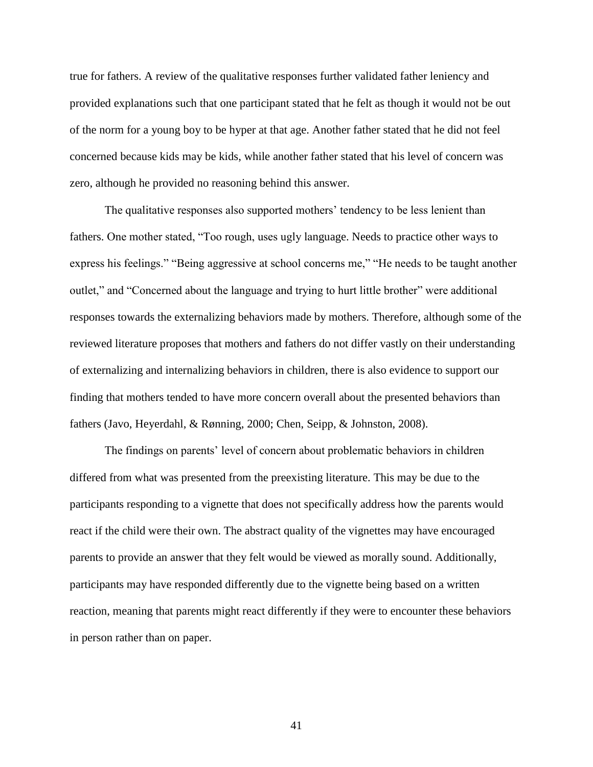true for fathers. A review of the qualitative responses further validated father leniency and provided explanations such that one participant stated that he felt as though it would not be out of the norm for a young boy to be hyper at that age. Another father stated that he did not feel concerned because kids may be kids, while another father stated that his level of concern was zero, although he provided no reasoning behind this answer.

The qualitative responses also supported mothers' tendency to be less lenient than fathers. One mother stated, "Too rough, uses ugly language. Needs to practice other ways to express his feelings." "Being aggressive at school concerns me," "He needs to be taught another outlet," and "Concerned about the language and trying to hurt little brother" were additional responses towards the externalizing behaviors made by mothers. Therefore, although some of the reviewed literature proposes that mothers and fathers do not differ vastly on their understanding of externalizing and internalizing behaviors in children, there is also evidence to support our finding that mothers tended to have more concern overall about the presented behaviors than fathers (Javo, Heyerdahl, & Rønning, 2000; Chen, Seipp, & Johnston, 2008).

The findings on parents' level of concern about problematic behaviors in children differed from what was presented from the preexisting literature. This may be due to the participants responding to a vignette that does not specifically address how the parents would react if the child were their own. The abstract quality of the vignettes may have encouraged parents to provide an answer that they felt would be viewed as morally sound. Additionally, participants may have responded differently due to the vignette being based on a written reaction, meaning that parents might react differently if they were to encounter these behaviors in person rather than on paper.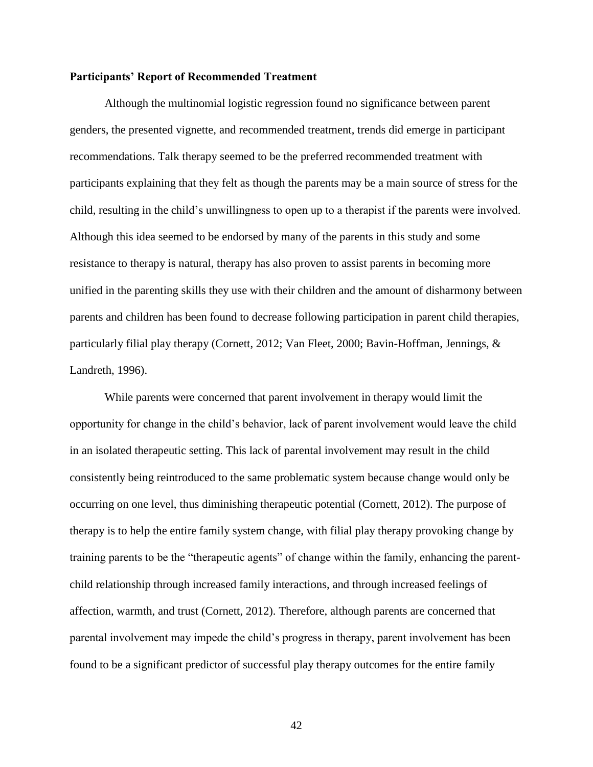## **Participants' Report of Recommended Treatment**

Although the multinomial logistic regression found no significance between parent genders, the presented vignette, and recommended treatment, trends did emerge in participant recommendations. Talk therapy seemed to be the preferred recommended treatment with participants explaining that they felt as though the parents may be a main source of stress for the child, resulting in the child's unwillingness to open up to a therapist if the parents were involved. Although this idea seemed to be endorsed by many of the parents in this study and some resistance to therapy is natural, therapy has also proven to assist parents in becoming more unified in the parenting skills they use with their children and the amount of disharmony between parents and children has been found to decrease following participation in parent child therapies, particularly filial play therapy (Cornett, 2012; Van Fleet, 2000; Bavin-Hoffman, Jennings, & Landreth, 1996).

While parents were concerned that parent involvement in therapy would limit the opportunity for change in the child's behavior, lack of parent involvement would leave the child in an isolated therapeutic setting. This lack of parental involvement may result in the child consistently being reintroduced to the same problematic system because change would only be occurring on one level, thus diminishing therapeutic potential (Cornett, 2012). The purpose of therapy is to help the entire family system change, with filial play therapy provoking change by training parents to be the "therapeutic agents" of change within the family, enhancing the parentchild relationship through increased family interactions, and through increased feelings of affection, warmth, and trust (Cornett, 2012). Therefore, although parents are concerned that parental involvement may impede the child's progress in therapy, parent involvement has been found to be a significant predictor of successful play therapy outcomes for the entire family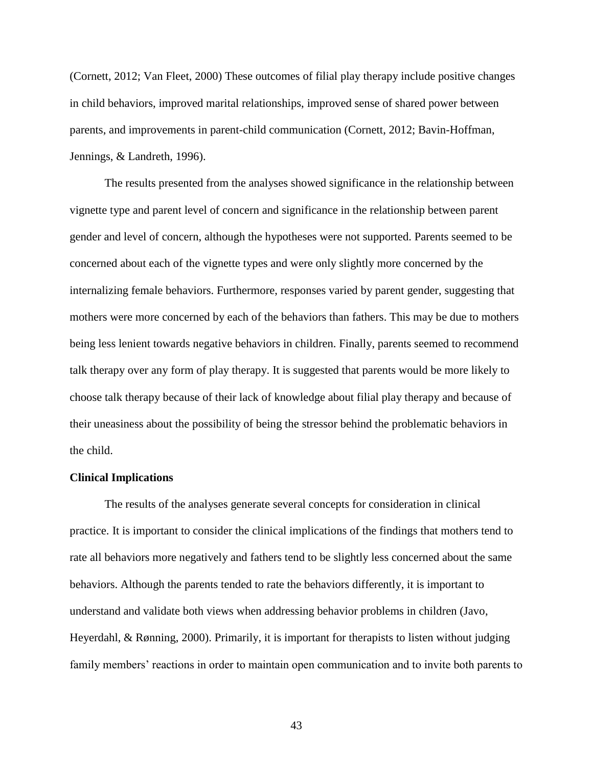(Cornett, 2012; Van Fleet, 2000) These outcomes of filial play therapy include positive changes in child behaviors, improved marital relationships, improved sense of shared power between parents, and improvements in parent-child communication (Cornett, 2012; Bavin-Hoffman, Jennings, & Landreth, 1996).

The results presented from the analyses showed significance in the relationship between vignette type and parent level of concern and significance in the relationship between parent gender and level of concern, although the hypotheses were not supported. Parents seemed to be concerned about each of the vignette types and were only slightly more concerned by the internalizing female behaviors. Furthermore, responses varied by parent gender, suggesting that mothers were more concerned by each of the behaviors than fathers. This may be due to mothers being less lenient towards negative behaviors in children. Finally, parents seemed to recommend talk therapy over any form of play therapy. It is suggested that parents would be more likely to choose talk therapy because of their lack of knowledge about filial play therapy and because of their uneasiness about the possibility of being the stressor behind the problematic behaviors in the child.

#### **Clinical Implications**

The results of the analyses generate several concepts for consideration in clinical practice. It is important to consider the clinical implications of the findings that mothers tend to rate all behaviors more negatively and fathers tend to be slightly less concerned about the same behaviors. Although the parents tended to rate the behaviors differently, it is important to understand and validate both views when addressing behavior problems in children (Javo, Heyerdahl, & Rønning, 2000). Primarily, it is important for therapists to listen without judging family members' reactions in order to maintain open communication and to invite both parents to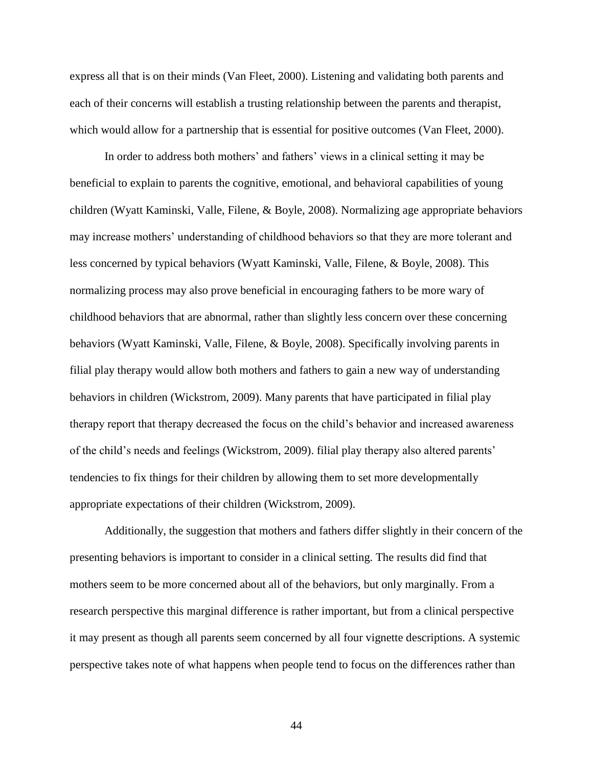express all that is on their minds (Van Fleet, 2000). Listening and validating both parents and each of their concerns will establish a trusting relationship between the parents and therapist, which would allow for a partnership that is essential for positive outcomes (Van Fleet, 2000).

In order to address both mothers' and fathers' views in a clinical setting it may be beneficial to explain to parents the cognitive, emotional, and behavioral capabilities of young children (Wyatt Kaminski, Valle, Filene, & Boyle, 2008). Normalizing age appropriate behaviors may increase mothers' understanding of childhood behaviors so that they are more tolerant and less concerned by typical behaviors (Wyatt Kaminski, Valle, Filene, & Boyle, 2008). This normalizing process may also prove beneficial in encouraging fathers to be more wary of childhood behaviors that are abnormal, rather than slightly less concern over these concerning behaviors (Wyatt Kaminski, Valle, Filene, & Boyle, 2008). Specifically involving parents in filial play therapy would allow both mothers and fathers to gain a new way of understanding behaviors in children (Wickstrom, 2009). Many parents that have participated in filial play therapy report that therapy decreased the focus on the child's behavior and increased awareness of the child's needs and feelings (Wickstrom, 2009). filial play therapy also altered parents' tendencies to fix things for their children by allowing them to set more developmentally appropriate expectations of their children (Wickstrom, 2009).

Additionally, the suggestion that mothers and fathers differ slightly in their concern of the presenting behaviors is important to consider in a clinical setting. The results did find that mothers seem to be more concerned about all of the behaviors, but only marginally. From a research perspective this marginal difference is rather important, but from a clinical perspective it may present as though all parents seem concerned by all four vignette descriptions. A systemic perspective takes note of what happens when people tend to focus on the differences rather than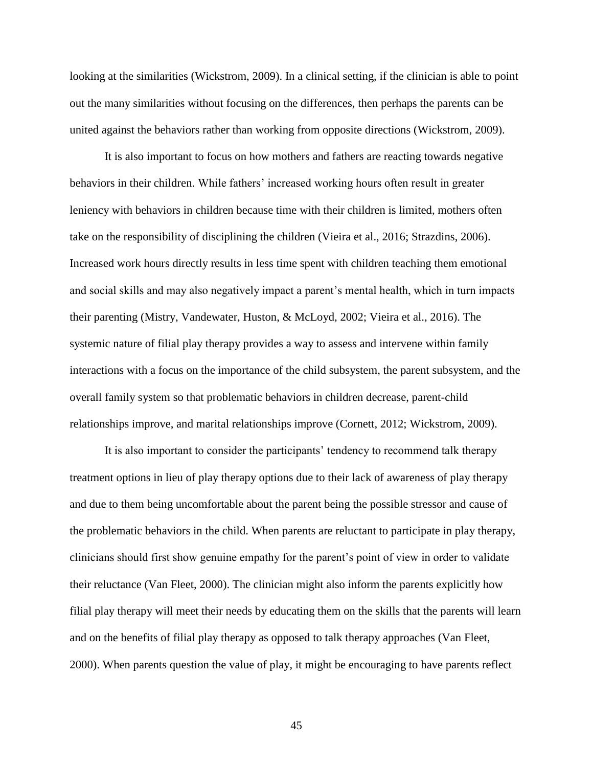looking at the similarities (Wickstrom, 2009). In a clinical setting, if the clinician is able to point out the many similarities without focusing on the differences, then perhaps the parents can be united against the behaviors rather than working from opposite directions (Wickstrom, 2009).

It is also important to focus on how mothers and fathers are reacting towards negative behaviors in their children. While fathers' increased working hours often result in greater leniency with behaviors in children because time with their children is limited, mothers often take on the responsibility of disciplining the children (Vieira et al., 2016; Strazdins, 2006). Increased work hours directly results in less time spent with children teaching them emotional and social skills and may also negatively impact a parent's mental health, which in turn impacts their parenting (Mistry, Vandewater, Huston, & McLoyd, 2002; Vieira et al., 2016). The systemic nature of filial play therapy provides a way to assess and intervene within family interactions with a focus on the importance of the child subsystem, the parent subsystem, and the overall family system so that problematic behaviors in children decrease, parent-child relationships improve, and marital relationships improve (Cornett, 2012; Wickstrom, 2009).

It is also important to consider the participants' tendency to recommend talk therapy treatment options in lieu of play therapy options due to their lack of awareness of play therapy and due to them being uncomfortable about the parent being the possible stressor and cause of the problematic behaviors in the child. When parents are reluctant to participate in play therapy, clinicians should first show genuine empathy for the parent's point of view in order to validate their reluctance (Van Fleet, 2000). The clinician might also inform the parents explicitly how filial play therapy will meet their needs by educating them on the skills that the parents will learn and on the benefits of filial play therapy as opposed to talk therapy approaches (Van Fleet, 2000). When parents question the value of play, it might be encouraging to have parents reflect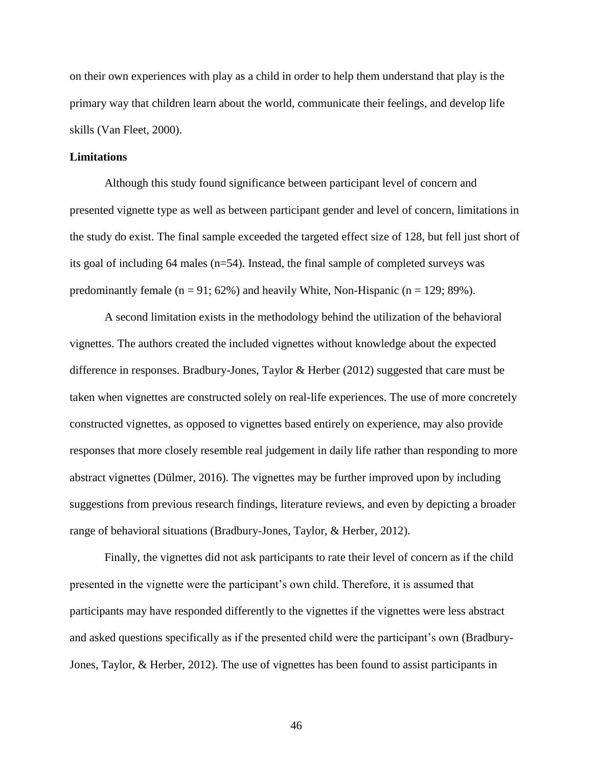on their own experiences with play as a child in order to help them understand that play is the primary way that children learn about the world, communicate their feelings, and develop life skills (Van Fleet, 2000).

#### **Limitations**

Although this study found significance between participant level of concern and presented vignette type as well as between participant gender and level of concern, limitations in the study do exist. The final sample exceeded the targeted effect size of 128, but fell just short of its goal of including 64 males (n=54). Instead, the final sample of completed surveys was predominantly female  $(n = 91; 62%)$  and heavily White, Non-Hispanic  $(n = 129; 89%).$ 

A second limitation exists in the methodology behind the utilization of the behavioral vignettes. The authors created the included vignettes without knowledge about the expected difference in responses. Bradbury-Jones, Taylor & Herber (2012) suggested that care must be taken when vignettes are constructed solely on real-life experiences. The use of more concretely constructed vignettes, as opposed to vignettes based entirely on experience, may also provide responses that more closely resemble real judgement in daily life rather than responding to more abstract vignettes (Dülmer, 2016). The vignettes may be further improved upon by including suggestions from previous research findings, literature reviews, and even by depicting a broader range of behavioral situations (Bradbury-Jones, Taylor, & Herber, 2012).

Finally, the vignettes did not ask participants to rate their level of concern as if the child presented in the vignette were the participant's own child. Therefore, it is assumed that participants may have responded differently to the vignettes if the vignettes were less abstract and asked questions specifically as if the presented child were the participant's own (Bradbury-Jones, Taylor, & Herber, 2012). The use of vignettes has been found to assist participants in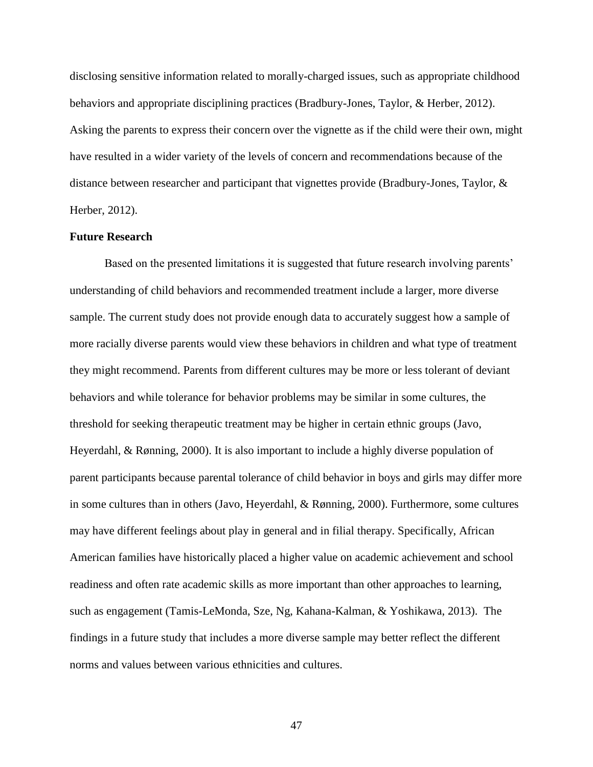disclosing sensitive information related to morally-charged issues, such as appropriate childhood behaviors and appropriate disciplining practices (Bradbury-Jones, Taylor, & Herber, 2012). Asking the parents to express their concern over the vignette as if the child were their own, might have resulted in a wider variety of the levels of concern and recommendations because of the distance between researcher and participant that vignettes provide (Bradbury-Jones, Taylor, & Herber, 2012).

#### **Future Research**

Based on the presented limitations it is suggested that future research involving parents' understanding of child behaviors and recommended treatment include a larger, more diverse sample. The current study does not provide enough data to accurately suggest how a sample of more racially diverse parents would view these behaviors in children and what type of treatment they might recommend. Parents from different cultures may be more or less tolerant of deviant behaviors and while tolerance for behavior problems may be similar in some cultures, the threshold for seeking therapeutic treatment may be higher in certain ethnic groups (Javo, Heyerdahl, & Rønning, 2000). It is also important to include a highly diverse population of parent participants because parental tolerance of child behavior in boys and girls may differ more in some cultures than in others (Javo, Heyerdahl, & Rønning, 2000). Furthermore, some cultures may have different feelings about play in general and in filial therapy. Specifically, African American families have historically placed a higher value on academic achievement and school readiness and often rate academic skills as more important than other approaches to learning, such as engagement (Tamis-LeMonda, Sze, Ng, Kahana-Kalman, & Yoshikawa, 2013). The findings in a future study that includes a more diverse sample may better reflect the different norms and values between various ethnicities and cultures.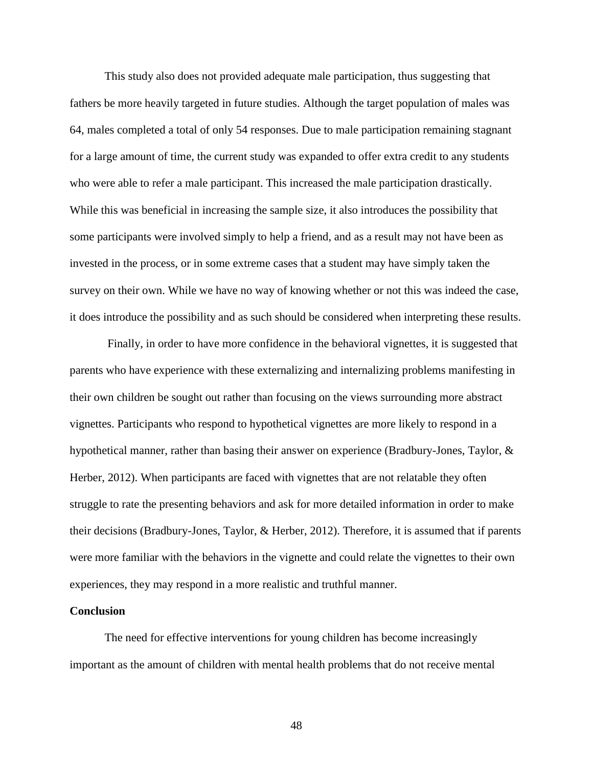This study also does not provided adequate male participation, thus suggesting that fathers be more heavily targeted in future studies. Although the target population of males was 64, males completed a total of only 54 responses. Due to male participation remaining stagnant for a large amount of time, the current study was expanded to offer extra credit to any students who were able to refer a male participant. This increased the male participation drastically. While this was beneficial in increasing the sample size, it also introduces the possibility that some participants were involved simply to help a friend, and as a result may not have been as invested in the process, or in some extreme cases that a student may have simply taken the survey on their own. While we have no way of knowing whether or not this was indeed the case, it does introduce the possibility and as such should be considered when interpreting these results.

Finally, in order to have more confidence in the behavioral vignettes, it is suggested that parents who have experience with these externalizing and internalizing problems manifesting in their own children be sought out rather than focusing on the views surrounding more abstract vignettes. Participants who respond to hypothetical vignettes are more likely to respond in a hypothetical manner, rather than basing their answer on experience (Bradbury-Jones, Taylor, & Herber, 2012). When participants are faced with vignettes that are not relatable they often struggle to rate the presenting behaviors and ask for more detailed information in order to make their decisions (Bradbury-Jones, Taylor, & Herber, 2012). Therefore, it is assumed that if parents were more familiar with the behaviors in the vignette and could relate the vignettes to their own experiences, they may respond in a more realistic and truthful manner.

#### **Conclusion**

The need for effective interventions for young children has become increasingly important as the amount of children with mental health problems that do not receive mental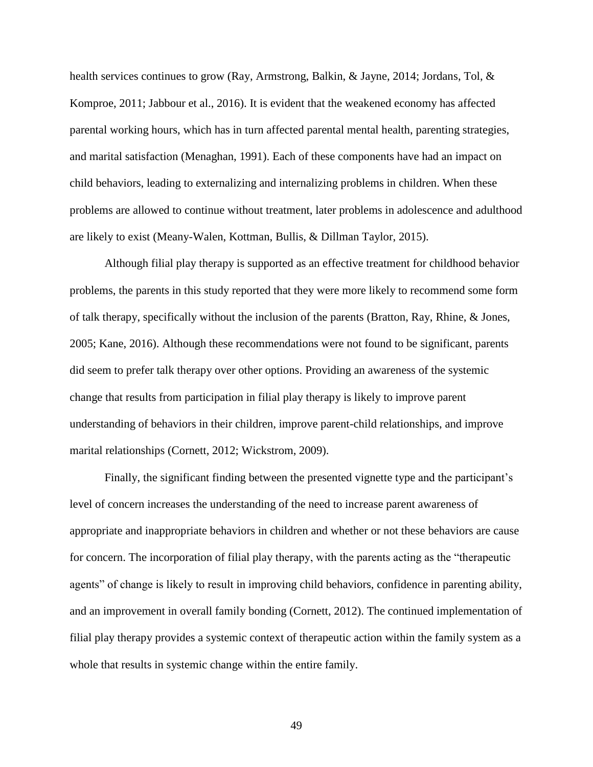health services continues to grow (Ray, Armstrong, Balkin, & Jayne, 2014; Jordans, Tol, & Komproe, 2011; Jabbour et al., 2016). It is evident that the weakened economy has affected parental working hours, which has in turn affected parental mental health, parenting strategies, and marital satisfaction (Menaghan, 1991). Each of these components have had an impact on child behaviors, leading to externalizing and internalizing problems in children. When these problems are allowed to continue without treatment, later problems in adolescence and adulthood are likely to exist (Meany-Walen, Kottman, Bullis, & Dillman Taylor, 2015).

Although filial play therapy is supported as an effective treatment for childhood behavior problems, the parents in this study reported that they were more likely to recommend some form of talk therapy, specifically without the inclusion of the parents (Bratton, Ray, Rhine, & Jones, 2005; Kane, 2016). Although these recommendations were not found to be significant, parents did seem to prefer talk therapy over other options. Providing an awareness of the systemic change that results from participation in filial play therapy is likely to improve parent understanding of behaviors in their children, improve parent-child relationships, and improve marital relationships (Cornett, 2012; Wickstrom, 2009).

Finally, the significant finding between the presented vignette type and the participant's level of concern increases the understanding of the need to increase parent awareness of appropriate and inappropriate behaviors in children and whether or not these behaviors are cause for concern. The incorporation of filial play therapy, with the parents acting as the "therapeutic agents" of change is likely to result in improving child behaviors, confidence in parenting ability, and an improvement in overall family bonding (Cornett, 2012). The continued implementation of filial play therapy provides a systemic context of therapeutic action within the family system as a whole that results in systemic change within the entire family.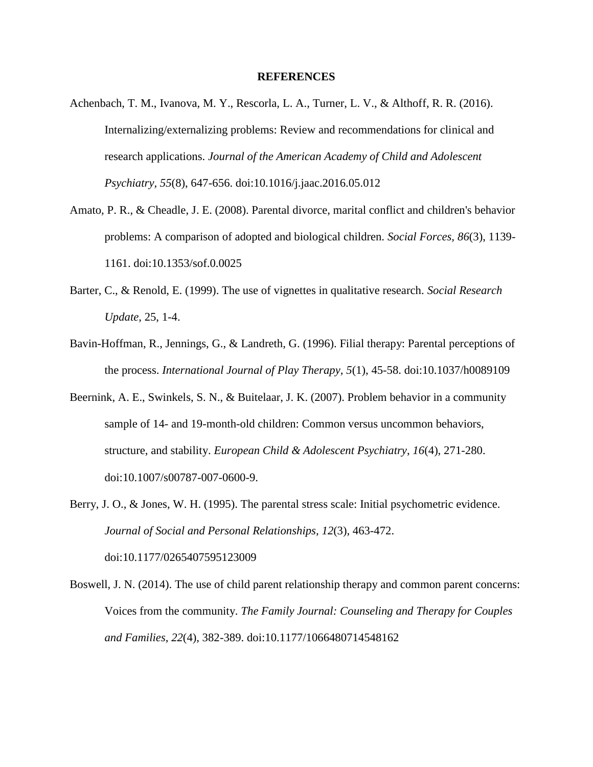#### **REFERENCES**

- Achenbach, T. M., Ivanova, M. Y., Rescorla, L. A., Turner, L. V., & Althoff, R. R. (2016). Internalizing/externalizing problems: Review and recommendations for clinical and research applications. *Journal of the American Academy of Child and Adolescent Psychiatry, 55*(8), 647-656. doi:10.1016/j.jaac.2016.05.012
- Amato, P. R., & Cheadle, J. E. (2008). Parental divorce, marital conflict and children's behavior problems: A comparison of adopted and biological children. *Social Forces, 86*(3), 1139- 1161. doi:10.1353/sof.0.0025
- Barter, C., & Renold, E. (1999). The use of vignettes in qualitative research. *Social Research Update*, 25, 1-4.
- Bavin-Hoffman, R., Jennings, G., & Landreth, G. (1996). Filial therapy: Parental perceptions of the process. *International Journal of Play Therapy, 5*(1), 45-58. doi:10.1037/h0089109
- Beernink, A. E., Swinkels, S. N., & Buitelaar, J. K. (2007). Problem behavior in a community sample of 14- and 19-month-old children: Common versus uncommon behaviors, structure, and stability. *European Child & Adolescent Psychiatry*, *16*(4), 271-280. doi:10.1007/s00787-007-0600-9.
- Berry, J. O., & Jones, W. H. (1995). The parental stress scale: Initial psychometric evidence. *Journal of Social and Personal Relationships, 12*(3), 463-472. doi:10.1177/0265407595123009
- Boswell, J. N. (2014). The use of child parent relationship therapy and common parent concerns: Voices from the community. *The Family Journal: Counseling and Therapy for Couples and Families*, *22*(4), 382-389. doi:10.1177/1066480714548162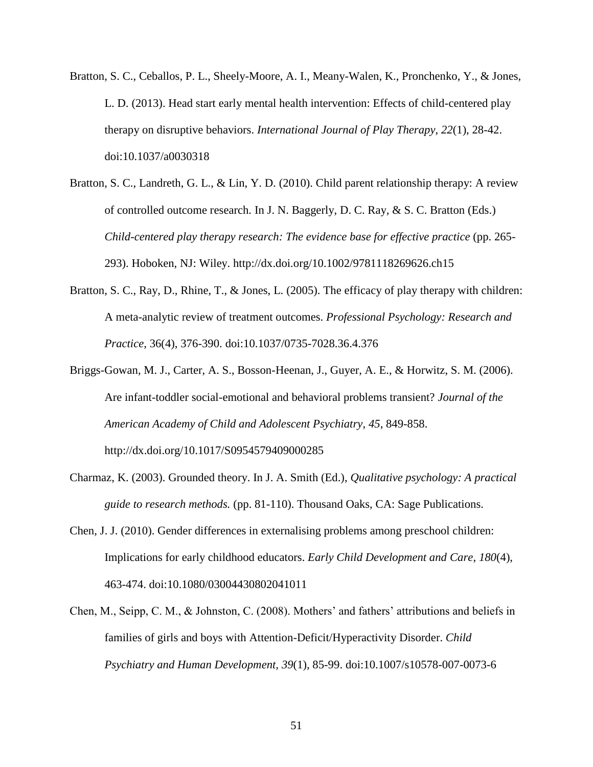- Bratton, S. C., Ceballos, P. L., Sheely-Moore, A. I., Meany-Walen, K., Pronchenko, Y., & Jones, L. D. (2013). Head start early mental health intervention: Effects of child-centered play therapy on disruptive behaviors. *International Journal of Play Therapy*, *22*(1), 28-42. doi:10.1037/a0030318
- Bratton, S. C., Landreth, G. L., & Lin, Y. D. (2010). Child parent relationship therapy: A review of controlled outcome research. In J. N. Baggerly, D. C. Ray, & S. C. Bratton (Eds.) *Child-centered play therapy research: The evidence base for effective practice* (pp. 265- 293). Hoboken, NJ: Wiley. http://dx.doi.org/10.1002/9781118269626.ch15
- Bratton, S. C., Ray, D., Rhine, T., & Jones, L. (2005). The efficacy of play therapy with children: A meta-analytic review of treatment outcomes. *Professional Psychology: Research and Practice*, 36(4), 376-390. doi:10.1037/0735-7028.36.4.376
- Briggs-Gowan, M. J., Carter, A. S., Bosson-Heenan, J., Guyer, A. E., & Horwitz, S. M. (2006). Are infant-toddler social-emotional and behavioral problems transient? *Journal of the American Academy of Child and Adolescent Psychiatry*, *45*, 849-858. http://dx.doi.org/10.1017/S0954579409000285
- Charmaz, K. (2003). Grounded theory. In J. A. Smith (Ed.), *Qualitative psychology: A practical guide to research methods.* (pp. 81-110). Thousand Oaks, CA: Sage Publications.
- Chen, J. J. (2010). Gender differences in externalising problems among preschool children: Implications for early childhood educators. *Early Child Development and Care*, *180*(4), 463-474. doi:10.1080/03004430802041011
- Chen, M., Seipp, C. M., & Johnston, C. (2008). Mothers' and fathers' attributions and beliefs in families of girls and boys with Attention-Deficit/Hyperactivity Disorder. *Child Psychiatry and Human Development, 39*(1), 85-99. doi:10.1007/s10578-007-0073-6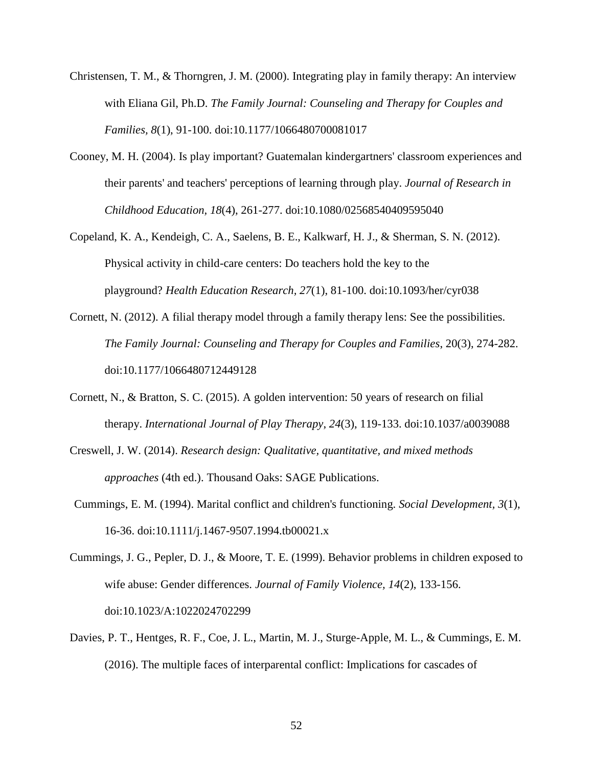- Christensen, T. M., & Thorngren, J. M. (2000). Integrating play in family therapy: An interview with Eliana Gil, Ph.D. *The Family Journal: Counseling and Therapy for Couples and Families, 8*(1), 91-100. doi:10.1177/1066480700081017
- Cooney, M. H. (2004). Is play important? Guatemalan kindergartners' classroom experiences and their parents' and teachers' perceptions of learning through play. *Journal of Research in Childhood Education, 18*(4), 261-277. doi:10.1080/02568540409595040
- Copeland, K. A., Kendeigh, C. A., Saelens, B. E., Kalkwarf, H. J., & Sherman, S. N. (2012). Physical activity in child-care centers: Do teachers hold the key to the playground? *Health Education Research, 27*(1), 81-100. doi:10.1093/her/cyr038
- Cornett, N. (2012). A filial therapy model through a family therapy lens: See the possibilities. *The Family Journal: Counseling and Therapy for Couples and Families*, 20(3), 274-282. doi:10.1177/1066480712449128
- Cornett, N., & Bratton, S. C. (2015). A golden intervention: 50 years of research on filial therapy. *International Journal of Play Therapy*, *24*(3), 119-133. doi:10.1037/a0039088
- Creswell, J. W. (2014). *Research design: Qualitative, quantitative, and mixed methods approaches* (4th ed.). Thousand Oaks: SAGE Publications.
- Cummings, E. M. (1994). Marital conflict and children's functioning. *Social Development, 3*(1), 16-36. doi:10.1111/j.1467-9507.1994.tb00021.x
- Cummings, J. G., Pepler, D. J., & Moore, T. E. (1999). Behavior problems in children exposed to wife abuse: Gender differences. *Journal of Family Violence, 14*(2), 133-156. doi:10.1023/A:1022024702299
- Davies, P. T., Hentges, R. F., Coe, J. L., Martin, M. J., Sturge-Apple, M. L., & Cummings, E. M. (2016). The multiple faces of interparental conflict: Implications for cascades of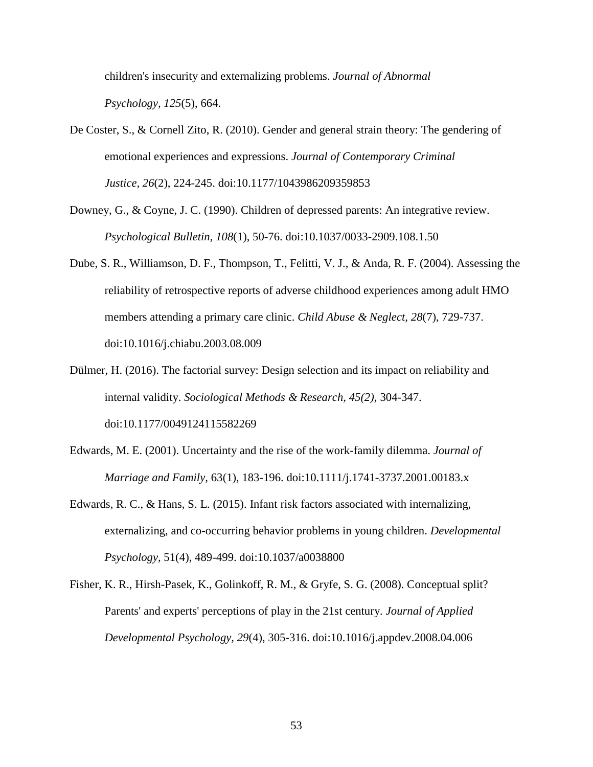children's insecurity and externalizing problems. *Journal of Abnormal Psychology, 125*(5), 664.

- De Coster, S., & Cornell Zito, R. (2010). Gender and general strain theory: The gendering of emotional experiences and expressions. *Journal of Contemporary Criminal Justice, 26*(2), 224-245. doi:10.1177/1043986209359853
- Downey, G., & Coyne, J. C. (1990). Children of depressed parents: An integrative review. *Psychological Bulletin, 108*(1), 50-76. doi:10.1037/0033-2909.108.1.50
- Dube, S. R., Williamson, D. F., Thompson, T., Felitti, V. J., & Anda, R. F. (2004). Assessing the reliability of retrospective reports of adverse childhood experiences among adult HMO members attending a primary care clinic. *Child Abuse & Neglect, 28*(7), 729-737. doi:10.1016/j.chiabu.2003.08.009
- Dülmer, H. (2016). The factorial survey: Design selection and its impact on reliability and internal validity. *Sociological Methods & Research, 45(2),* 304-347. doi:10.1177/0049124115582269
- Edwards, M. E. (2001). Uncertainty and the rise of the work-family dilemma. *Journal of Marriage and Family,* 63(1), 183-196. doi:10.1111/j.1741-3737.2001.00183.x
- Edwards, R. C., & Hans, S. L. (2015). Infant risk factors associated with internalizing, externalizing, and co-occurring behavior problems in young children. *Developmental Psychology*, 51(4), 489-499. doi:10.1037/a0038800
- Fisher, K. R., Hirsh-Pasek, K., Golinkoff, R. M., & Gryfe, S. G. (2008). Conceptual split? Parents' and experts' perceptions of play in the 21st century. *Journal of Applied Developmental Psychology, 29*(4), 305-316. doi:10.1016/j.appdev.2008.04.006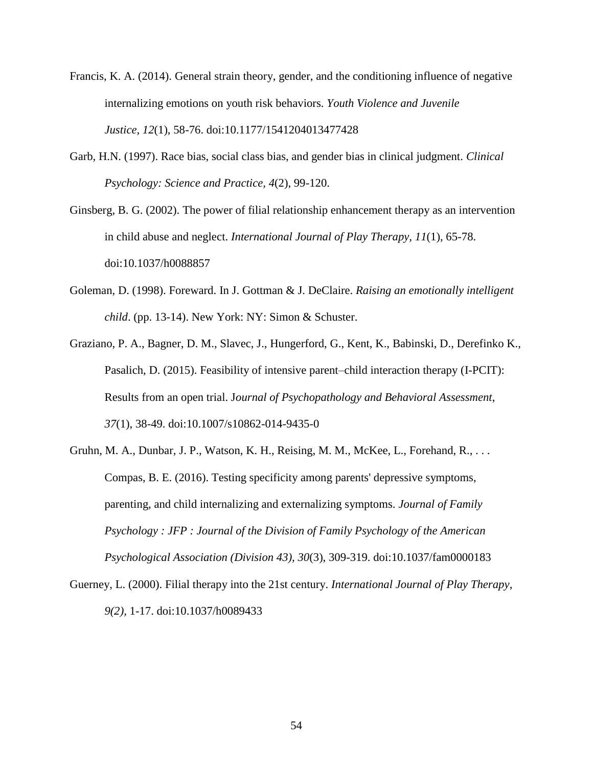- Francis, K. A. (2014). General strain theory, gender, and the conditioning influence of negative internalizing emotions on youth risk behaviors. *Youth Violence and Juvenile Justice, 12*(1), 58-76. doi:10.1177/1541204013477428
- Garb, H.N. (1997). Race bias, social class bias, and gender bias in clinical judgment. *Clinical Psychology: Science and Practice, 4*(2), 99-120.
- Ginsberg, B. G. (2002). The power of filial relationship enhancement therapy as an intervention in child abuse and neglect. *International Journal of Play Therapy, 11*(1), 65-78. doi:10.1037/h0088857
- Goleman, D. (1998). Foreward. In J. Gottman & J. DeClaire. *Raising an emotionally intelligent child*. (pp. 13-14). New York: NY: Simon & Schuster.
- Graziano, P. A., Bagner, D. M., Slavec, J., Hungerford, G., Kent, K., Babinski, D., Derefinko K., Pasalich, D. (2015). Feasibility of intensive parent–child interaction therapy (I-PCIT): Results from an open trial. J*ournal of Psychopathology and Behavioral Assessment*, *37*(1), 38-49. doi:10.1007/s10862-014-9435-0
- Gruhn, M. A., Dunbar, J. P., Watson, K. H., Reising, M. M., McKee, L., Forehand, R., . . . Compas, B. E. (2016). Testing specificity among parents' depressive symptoms, parenting, and child internalizing and externalizing symptoms. *Journal of Family Psychology : JFP : Journal of the Division of Family Psychology of the American Psychological Association (Division 43), 30*(3), 309-319. doi:10.1037/fam0000183
- Guerney, L. (2000). Filial therapy into the 21st century. *International Journal of Play Therapy*, *9(2),* 1-17. doi:10.1037/h0089433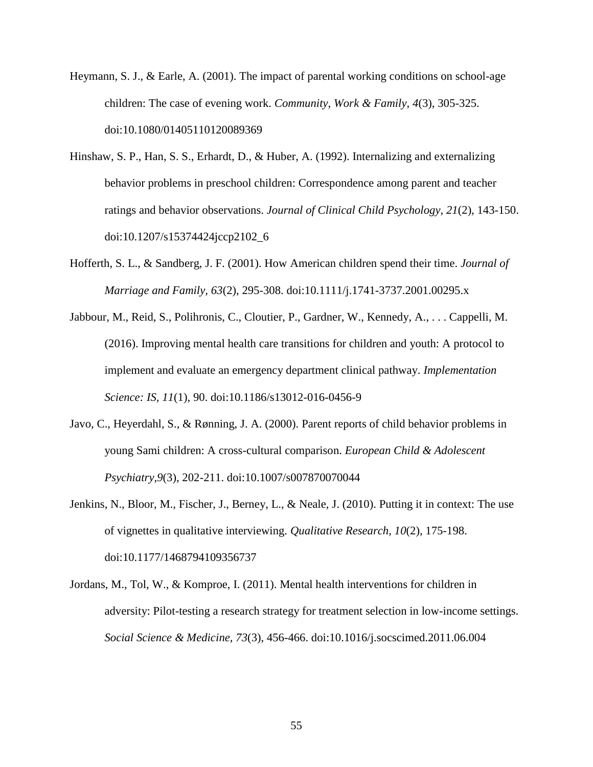- Heymann, S. J., & Earle, A. (2001). The impact of parental working conditions on school-age children: The case of evening work. *Community, Work & Family, 4*(3), 305-325. doi:10.1080/01405110120089369
- Hinshaw, S. P., Han, S. S., Erhardt, D., & Huber, A. (1992). Internalizing and externalizing behavior problems in preschool children: Correspondence among parent and teacher ratings and behavior observations. *Journal of Clinical Child Psychology*, *21*(2), 143-150. doi:10.1207/s15374424jccp2102\_6
- Hofferth, S. L., & Sandberg, J. F. (2001). How American children spend their time. *Journal of Marriage and Family, 63*(2), 295-308. doi:10.1111/j.1741-3737.2001.00295.x
- Jabbour, M., Reid, S., Polihronis, C., Cloutier, P., Gardner, W., Kennedy, A., . . . Cappelli, M. (2016). Improving mental health care transitions for children and youth: A protocol to implement and evaluate an emergency department clinical pathway. *Implementation Science: IS, 11*(1), 90. doi:10.1186/s13012-016-0456-9
- Javo, C., Heyerdahl, S., & Rønning, J. A. (2000). Parent reports of child behavior problems in young Sami children: A cross-cultural comparison. *European Child & Adolescent Psychiatry,9*(3), 202-211. doi:10.1007/s007870070044
- Jenkins, N., Bloor, M., Fischer, J., Berney, L., & Neale, J. (2010). Putting it in context: The use of vignettes in qualitative interviewing. *Qualitative Research, 10*(2), 175-198. doi:10.1177/1468794109356737
- Jordans, M., Tol, W., & Komproe, I. (2011). Mental health interventions for children in adversity: Pilot-testing a research strategy for treatment selection in low-income settings. *Social Science & Medicine, 73*(3), 456-466. doi:10.1016/j.socscimed.2011.06.004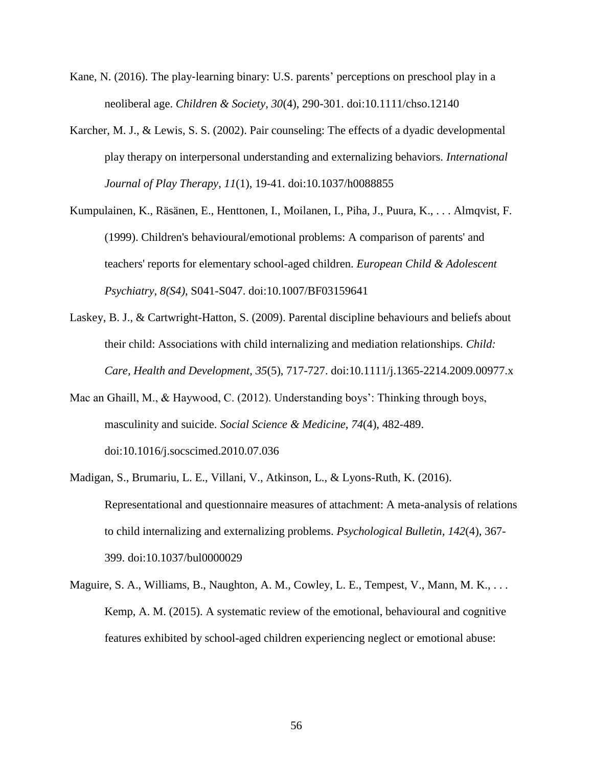- Kane, N. (2016). The play-learning binary: U.S. parents' perceptions on preschool play in a neoliberal age. *Children & Society, 30*(4), 290-301. doi:10.1111/chso.12140
- Karcher, M. J., & Lewis, S. S. (2002). Pair counseling: The effects of a dyadic developmental play therapy on interpersonal understanding and externalizing behaviors. *International Journal of Play Therapy*, *11*(1), 19-41. doi:10.1037/h0088855
- Kumpulainen, K., Räsänen, E., Henttonen, I., Moilanen, I., Piha, J., Puura, K., . . . Almqvist, F. (1999). Children's behavioural/emotional problems: A comparison of parents' and teachers' reports for elementary school-aged children. *European Child & Adolescent Psychiatry*, *8(S4),* S041-S047. doi:10.1007/BF03159641
- Laskey, B. J., & Cartwright-Hatton, S. (2009). Parental discipline behaviours and beliefs about their child: Associations with child internalizing and mediation relationships. *Child: Care, Health and Development, 35*(5), 717-727. doi:10.1111/j.1365-2214.2009.00977.x
- Mac an Ghaill, M., & Haywood, C. (2012). Understanding boys': Thinking through boys, masculinity and suicide. *Social Science & Medicine, 74*(4), 482-489. doi:10.1016/j.socscimed.2010.07.036
- Madigan, S., Brumariu, L. E., Villani, V., Atkinson, L., & Lyons-Ruth, K. (2016). Representational and questionnaire measures of attachment: A meta-analysis of relations to child internalizing and externalizing problems. *Psychological Bulletin, 142*(4), 367- 399. doi:10.1037/bul0000029
- Maguire, S. A., Williams, B., Naughton, A. M., Cowley, L. E., Tempest, V., Mann, M. K., ... Kemp, A. M. (2015). A systematic review of the emotional, behavioural and cognitive features exhibited by school-aged children experiencing neglect or emotional abuse: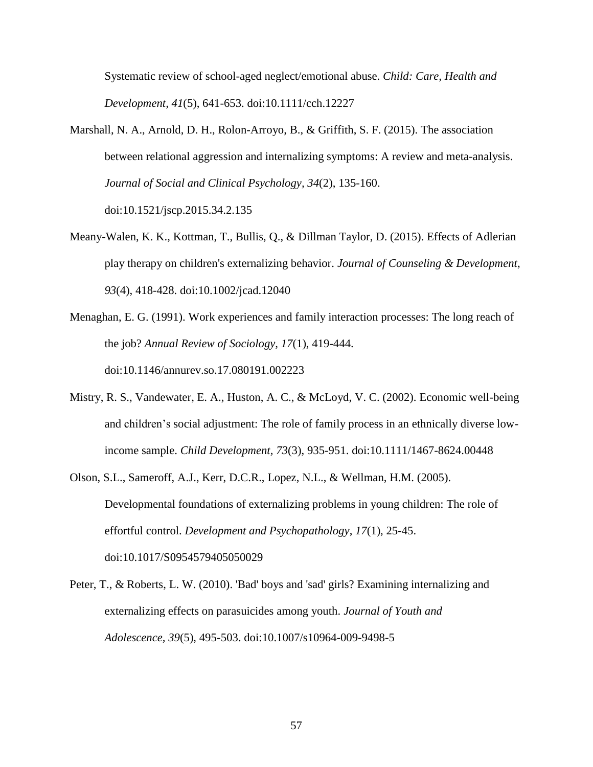Systematic review of school-aged neglect/emotional abuse. *Child: Care, Health and Development, 41*(5), 641-653. doi:10.1111/cch.12227

- Marshall, N. A., Arnold, D. H., Rolon-Arroyo, B., & Griffith, S. F. (2015). The association between relational aggression and internalizing symptoms: A review and meta-analysis. *Journal of Social and Clinical Psychology, 34*(2), 135-160. doi:10.1521/jscp.2015.34.2.135
- Meany-Walen, K. K., Kottman, T., Bullis, Q., & Dillman Taylor, D. (2015). Effects of Adlerian play therapy on children's externalizing behavior. *Journal of Counseling & Development*, *93*(4), 418-428. doi:10.1002/jcad.12040
- Menaghan, E. G. (1991). Work experiences and family interaction processes: The long reach of the job? *Annual Review of Sociology, 17*(1), 419-444. doi:10.1146/annurev.so.17.080191.002223
- Mistry, R. S., Vandewater, E. A., Huston, A. C., & McLoyd, V. C. (2002). Economic well-being and children's social adjustment: The role of family process in an ethnically diverse lowincome sample. *Child Development, 73*(3), 935-951. doi:10.1111/1467-8624.00448
- Olson, S.L., Sameroff, A.J., Kerr, D.C.R., Lopez, N.L., & Wellman, H.M. (2005). Developmental foundations of externalizing problems in young children: The role of effortful control. *Development and Psychopathology*, *17*(1), 25-45. doi:10.1017/S0954579405050029
- Peter, T., & Roberts, L. W. (2010). 'Bad' boys and 'sad' girls? Examining internalizing and externalizing effects on parasuicides among youth. *Journal of Youth and Adolescence, 39*(5), 495-503. doi:10.1007/s10964-009-9498-5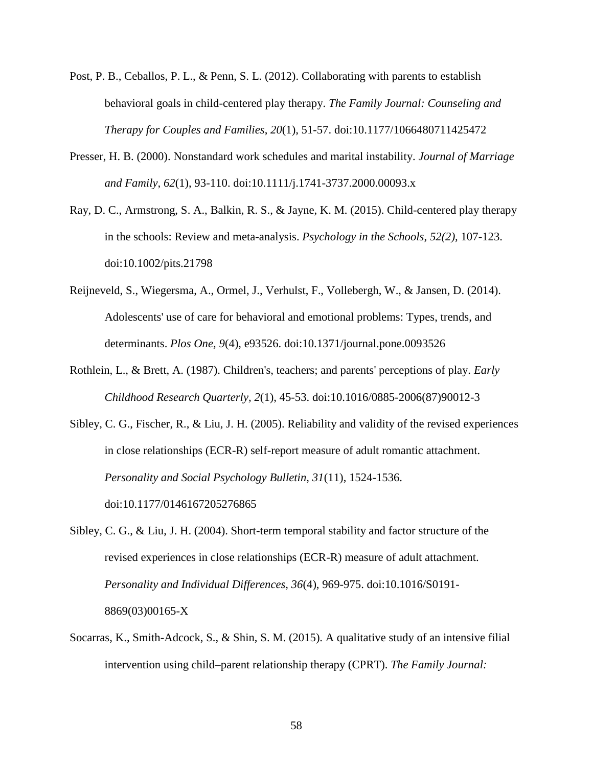- Post, P. B., Ceballos, P. L., & Penn, S. L. (2012). Collaborating with parents to establish behavioral goals in child-centered play therapy. *The Family Journal: Counseling and Therapy for Couples and Families*, *20*(1), 51-57. doi:10.1177/1066480711425472
- Presser, H. B. (2000). Nonstandard work schedules and marital instability. *Journal of Marriage and Family, 62*(1), 93-110. doi:10.1111/j.1741-3737.2000.00093.x
- Ray, D. C., Armstrong, S. A., Balkin, R. S., & Jayne, K. M. (2015). Child-centered play therapy in the schools: Review and meta-analysis. *Psychology in the Schools*, *52(2),* 107-123. doi:10.1002/pits.21798
- Reijneveld, S., Wiegersma, A., Ormel, J., Verhulst, F., Vollebergh, W., & Jansen, D. (2014). Adolescents' use of care for behavioral and emotional problems: Types, trends, and determinants. *Plos One, 9*(4), e93526. doi:10.1371/journal.pone.0093526
- Rothlein, L., & Brett, A. (1987). Children's, teachers; and parents' perceptions of play. *Early Childhood Research Quarterly, 2*(1), 45-53. doi:10.1016/0885-2006(87)90012-3
- Sibley, C. G., Fischer, R., & Liu, J. H. (2005). Reliability and validity of the revised experiences in close relationships (ECR-R) self-report measure of adult romantic attachment. *Personality and Social Psychology Bulletin, 31*(11), 1524-1536. doi:10.1177/0146167205276865
- Sibley, C. G., & Liu, J. H. (2004). Short-term temporal stability and factor structure of the revised experiences in close relationships (ECR-R) measure of adult attachment. *Personality and Individual Differences, 36*(4), 969-975. doi:10.1016/S0191- 8869(03)00165-X
- Socarras, K., Smith-Adcock, S., & Shin, S. M. (2015). A qualitative study of an intensive filial intervention using child–parent relationship therapy (CPRT). *The Family Journal:*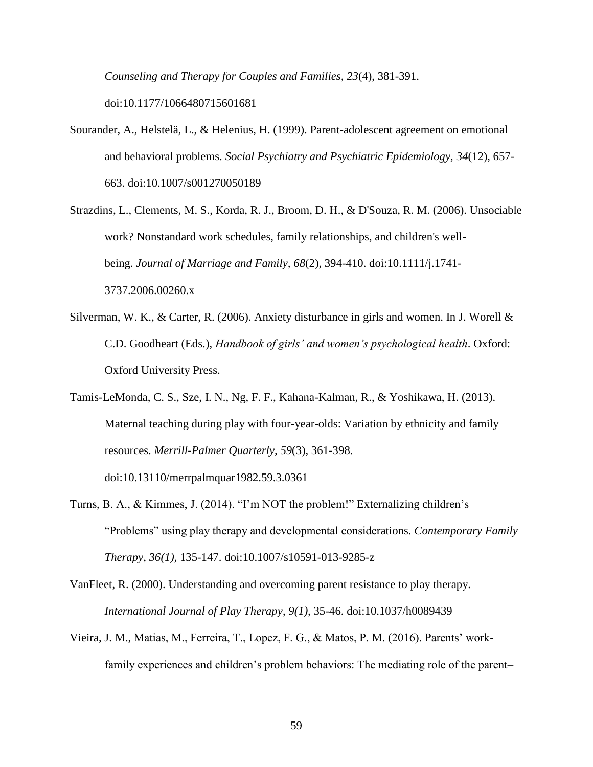*Counseling and Therapy for Couples and Families, 23*(4), 381-391. doi:10.1177/1066480715601681

- Sourander, A., Helstelä, L., & Helenius, H. (1999). Parent-adolescent agreement on emotional and behavioral problems. *Social Psychiatry and Psychiatric Epidemiology, 34*(12), 657- 663. doi:10.1007/s001270050189
- Strazdins, L., Clements, M. S., Korda, R. J., Broom, D. H., & D'Souza, R. M. (2006). Unsociable work? Nonstandard work schedules, family relationships, and children's wellbeing. *Journal of Marriage and Family, 68*(2), 394-410. doi:10.1111/j.1741- 3737.2006.00260.x
- Silverman, W. K., & Carter, R. (2006). Anxiety disturbance in girls and women. In J. Worell & C.D. Goodheart (Eds.), *Handbook of girls' and women's psychological health*. Oxford: Oxford University Press.
- Tamis-LeMonda, C. S., Sze, I. N., Ng, F. F., Kahana-Kalman, R., & Yoshikawa, H. (2013). Maternal teaching during play with four-year-olds: Variation by ethnicity and family resources. *Merrill-Palmer Quarterly, 59*(3), 361-398.

doi:10.13110/merrpalmquar1982.59.3.0361

- Turns, B. A., & Kimmes, J. (2014). "I'm NOT the problem!" Externalizing children's "Problems" using play therapy and developmental considerations. *Contemporary Family Therapy*, *36(1),* 135-147. doi:10.1007/s10591-013-9285-z
- VanFleet, R. (2000). Understanding and overcoming parent resistance to play therapy. *International Journal of Play Therapy*, *9(1),* 35-46. doi:10.1037/h0089439
- Vieira, J. M., Matias, M., Ferreira, T., Lopez, F. G., & Matos, P. M. (2016). Parents' workfamily experiences and children's problem behaviors: The mediating role of the parent–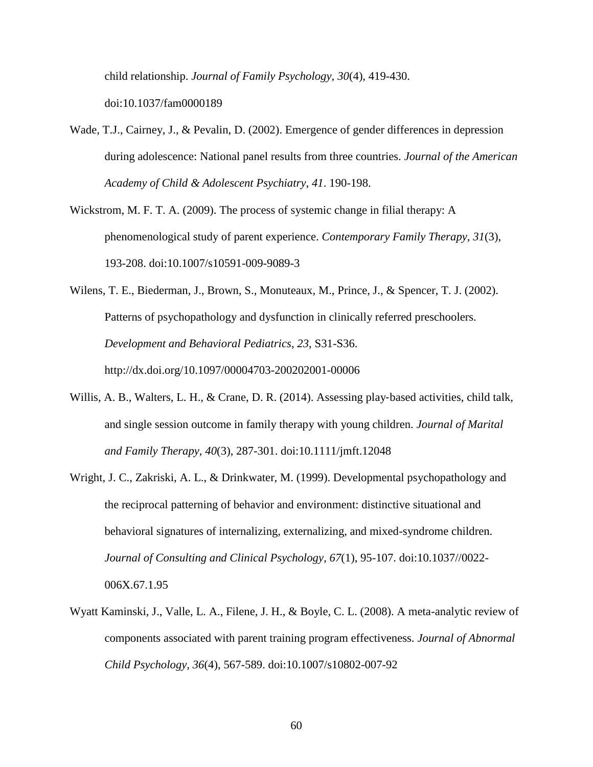child relationship. *Journal of Family Psychology, 30*(4), 419-430. doi:10.1037/fam0000189

- Wade, T.J., Cairney, J., & Pevalin, D. (2002). Emergence of gender differences in depression during adolescence: National panel results from three countries. *Journal of the American Academy of Child & Adolescent Psychiatry*, *41*. 190-198.
- Wickstrom, M. F. T. A. (2009). The process of systemic change in filial therapy: A phenomenological study of parent experience. *Contemporary Family Therapy, 31*(3), 193-208. doi:10.1007/s10591-009-9089-3
- Wilens, T. E., Biederman, J., Brown, S., Monuteaux, M., Prince, J., & Spencer, T. J. (2002). Patterns of psychopathology and dysfunction in clinically referred preschoolers. *Development and Behavioral Pediatrics*, *23*, S31-S36. http://dx.doi.org/10.1097/00004703-200202001-00006
- Willis, A. B., Walters, L. H., & Crane, D. R. (2014). Assessing play-based activities, child talk, and single session outcome in family therapy with young children. *Journal of Marital and Family Therapy, 40*(3), 287-301. doi:10.1111/jmft.12048
- Wright, J. C., Zakriski, A. L., & Drinkwater, M. (1999). Developmental psychopathology and the reciprocal patterning of behavior and environment: distinctive situational and behavioral signatures of internalizing, externalizing, and mixed-syndrome children. *Journal of Consulting and Clinical Psychology*, *67*(1), 95-107. doi:10.1037//0022- 006X.67.1.95
- Wyatt Kaminski, J., Valle, L. A., Filene, J. H., & Boyle, C. L. (2008). A meta-analytic review of components associated with parent training program effectiveness. *Journal of Abnormal Child Psychology, 36*(4), 567-589. doi:10.1007/s10802-007-92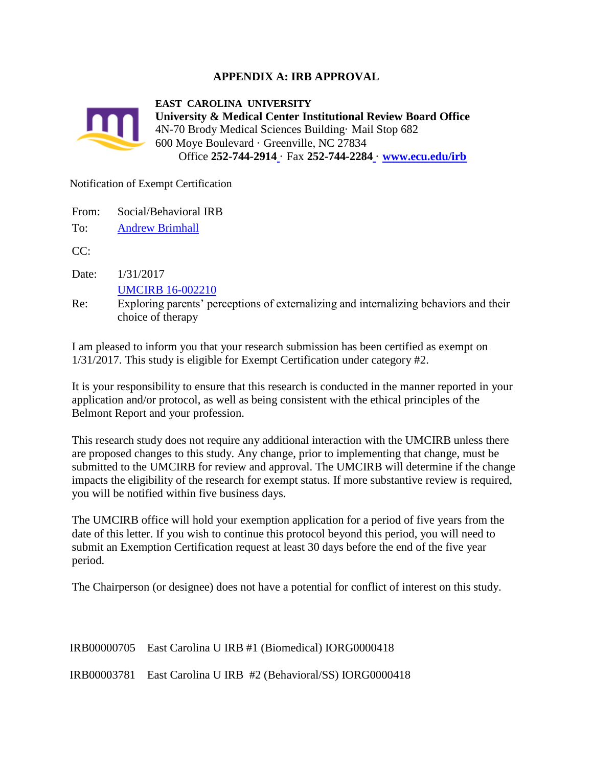## **APPENDIX A: IRB APPROVAL**



Notification of Exempt Certification

From: Social/Behavioral IRB

To: [Andrew Brimhall](https://epirate.ecu.edu/App/Personalization/MyProfile?Person=com.webridge.account.Person%5bOID%5b904852DB04BF234F8105F6AF8E2C50EA%5d%5d)

 $CC:$ 

Date: 1/31/2017

[UMCIRB 16-002210](https://epirate.ecu.edu/App/Rooms/DisplayPages/LayoutInitial?Container=com.webridge.entity.Entity%5bOID%5bB26C2CC119B3FE4DADAEC402791D2C3C%5d%5d)

Re: Exploring parents' perceptions of externalizing and internalizing behaviors and their choice of therapy

I am pleased to inform you that your research submission has been certified as exempt on 1/31/2017. This study is eligible for Exempt Certification under category #2.

It is your responsibility to ensure that this research is conducted in the manner reported in your application and/or protocol, as well as being consistent with the ethical principles of the Belmont Report and your profession.

This research study does not require any additional interaction with the UMCIRB unless there are proposed changes to this study. Any change, prior to implementing that change, must be submitted to the UMCIRB for review and approval. The UMCIRB will determine if the change impacts the eligibility of the research for exempt status. If more substantive review is required, you will be notified within five business days.

The UMCIRB office will hold your exemption application for a period of five years from the date of this letter. If you wish to continue this protocol beyond this period, you will need to submit an Exemption Certification request at least 30 days before the end of the five year period.

The Chairperson (or designee) does not have a potential for conflict of interest on this study.

| IRB00000705 East Carolina U IRB #1 (Biomedical) IORG0000418    |
|----------------------------------------------------------------|
| IRB00003781 East Carolina U IRB #2 (Behavioral/SS) IORG0000418 |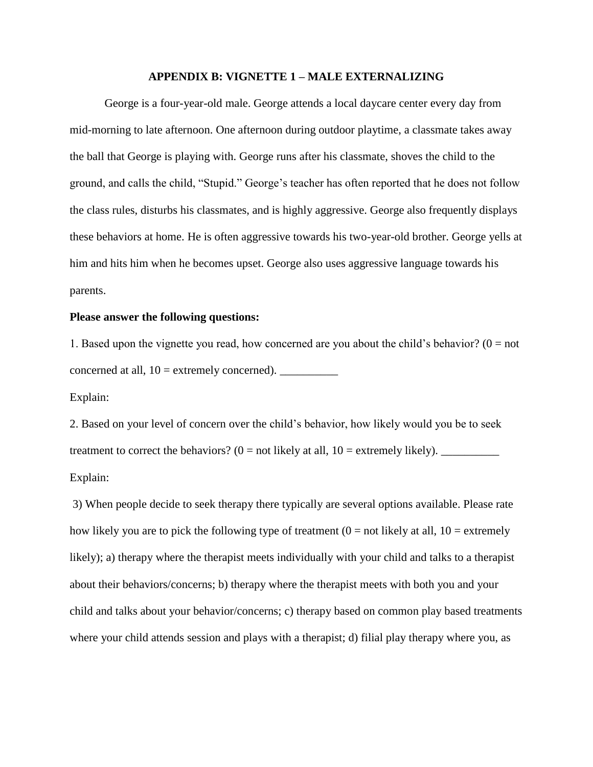#### **APPENDIX B: VIGNETTE 1 – MALE EXTERNALIZING**

George is a four-year-old male. George attends a local daycare center every day from mid-morning to late afternoon. One afternoon during outdoor playtime, a classmate takes away the ball that George is playing with. George runs after his classmate, shoves the child to the ground, and calls the child, "Stupid." George's teacher has often reported that he does not follow the class rules, disturbs his classmates, and is highly aggressive. George also frequently displays these behaviors at home. He is often aggressive towards his two-year-old brother. George yells at him and hits him when he becomes upset. George also uses aggressive language towards his parents.

## **Please answer the following questions:**

1. Based upon the vignette you read, how concerned are you about the child's behavior? ( $0 = not$ ) concerned at all,  $10 =$  extremely concerned).  $\qquad \qquad$ 

Explain:

2. Based on your level of concern over the child's behavior, how likely would you be to seek treatment to correct the behaviors? (0 = not likely at all, 10 = extremely likely). \_\_\_\_\_\_\_\_\_\_ Explain:

3) When people decide to seek therapy there typically are several options available. Please rate how likely you are to pick the following type of treatment  $(0 = not$  likely at all,  $10 =$  extremely likely); a) therapy where the therapist meets individually with your child and talks to a therapist about their behaviors/concerns; b) therapy where the therapist meets with both you and your child and talks about your behavior/concerns; c) therapy based on common play based treatments where your child attends session and plays with a therapist; d) filial play therapy where you, as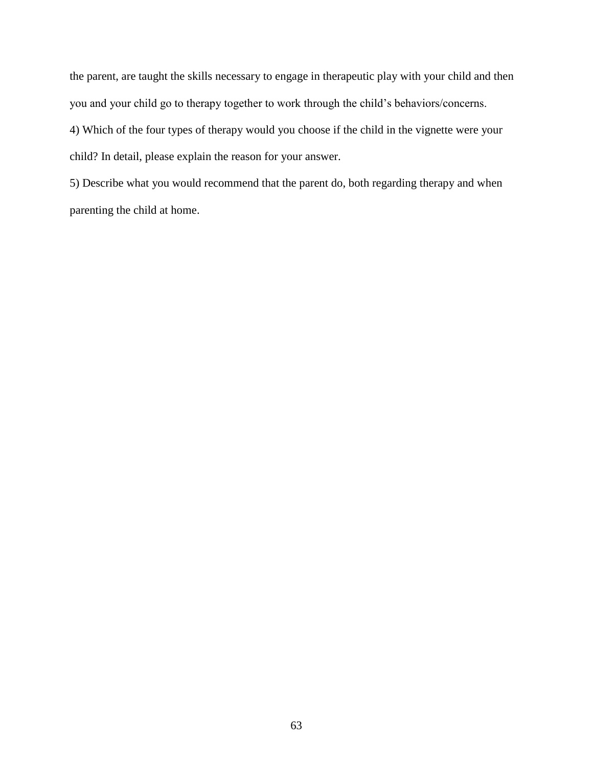the parent, are taught the skills necessary to engage in therapeutic play with your child and then you and your child go to therapy together to work through the child's behaviors/concerns.

4) Which of the four types of therapy would you choose if the child in the vignette were your child? In detail, please explain the reason for your answer.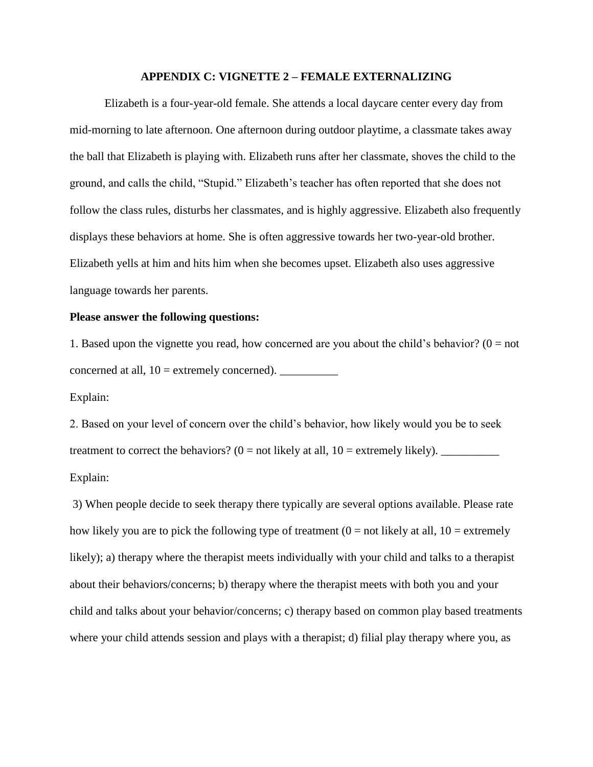### **APPENDIX C: VIGNETTE 2 – FEMALE EXTERNALIZING**

Elizabeth is a four-year-old female. She attends a local daycare center every day from mid-morning to late afternoon. One afternoon during outdoor playtime, a classmate takes away the ball that Elizabeth is playing with. Elizabeth runs after her classmate, shoves the child to the ground, and calls the child, "Stupid." Elizabeth's teacher has often reported that she does not follow the class rules, disturbs her classmates, and is highly aggressive. Elizabeth also frequently displays these behaviors at home. She is often aggressive towards her two-year-old brother. Elizabeth yells at him and hits him when she becomes upset. Elizabeth also uses aggressive language towards her parents.

## **Please answer the following questions:**

1. Based upon the vignette you read, how concerned are you about the child's behavior? ( $0 = not$ ) concerned at all,  $10 =$  extremely concerned).  $\qquad \qquad$ 

Explain:

2. Based on your level of concern over the child's behavior, how likely would you be to seek treatment to correct the behaviors? (0 = not likely at all, 10 = extremely likely). \_\_\_\_\_\_\_\_\_\_ Explain:

3) When people decide to seek therapy there typically are several options available. Please rate how likely you are to pick the following type of treatment  $(0 = not$  likely at all,  $10 =$  extremely likely); a) therapy where the therapist meets individually with your child and talks to a therapist about their behaviors/concerns; b) therapy where the therapist meets with both you and your child and talks about your behavior/concerns; c) therapy based on common play based treatments where your child attends session and plays with a therapist; d) filial play therapy where you, as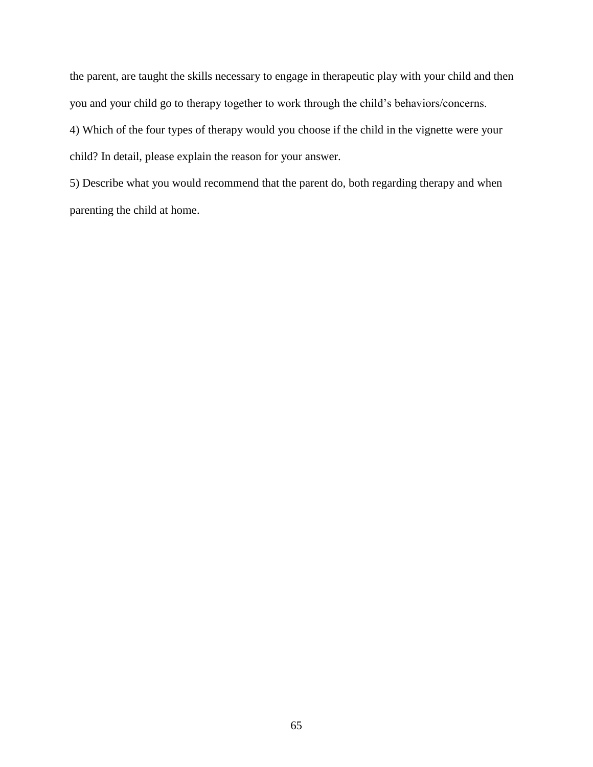the parent, are taught the skills necessary to engage in therapeutic play with your child and then you and your child go to therapy together to work through the child's behaviors/concerns.

4) Which of the four types of therapy would you choose if the child in the vignette were your child? In detail, please explain the reason for your answer.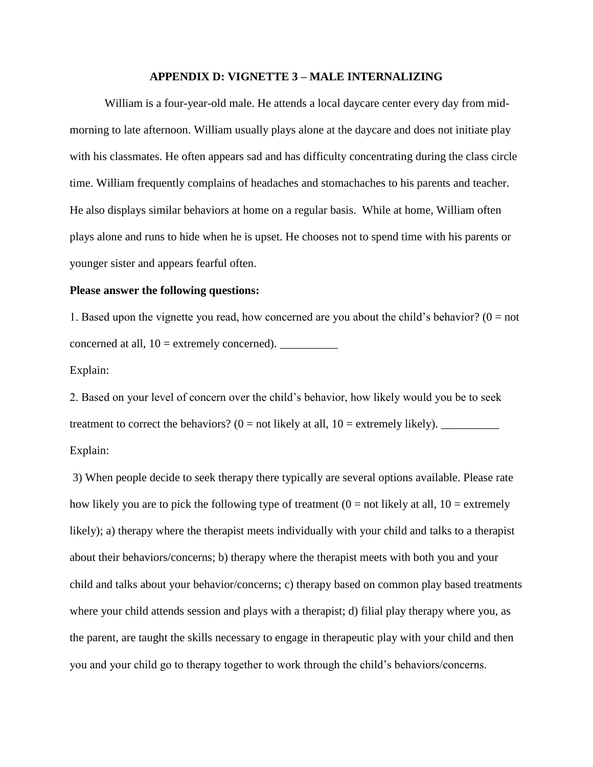### **APPENDIX D: VIGNETTE 3 – MALE INTERNALIZING**

William is a four-year-old male. He attends a local daycare center every day from midmorning to late afternoon. William usually plays alone at the daycare and does not initiate play with his classmates. He often appears sad and has difficulty concentrating during the class circle time. William frequently complains of headaches and stomachaches to his parents and teacher. He also displays similar behaviors at home on a regular basis. While at home, William often plays alone and runs to hide when he is upset. He chooses not to spend time with his parents or younger sister and appears fearful often.

## **Please answer the following questions:**

1. Based upon the vignette you read, how concerned are you about the child's behavior? ( $0 = not$ ) concerned at all,  $10 =$  extremely concerned).  $\qquad \qquad$ 

## Explain:

2. Based on your level of concern over the child's behavior, how likely would you be to seek treatment to correct the behaviors?  $(0 = not likely at all, 10 = extremely likely)$ .

# Explain:

3) When people decide to seek therapy there typically are several options available. Please rate how likely you are to pick the following type of treatment  $(0 = not$  likely at all,  $10 =$  extremely likely); a) therapy where the therapist meets individually with your child and talks to a therapist about their behaviors/concerns; b) therapy where the therapist meets with both you and your child and talks about your behavior/concerns; c) therapy based on common play based treatments where your child attends session and plays with a therapist; d) filial play therapy where you, as the parent, are taught the skills necessary to engage in therapeutic play with your child and then you and your child go to therapy together to work through the child's behaviors/concerns.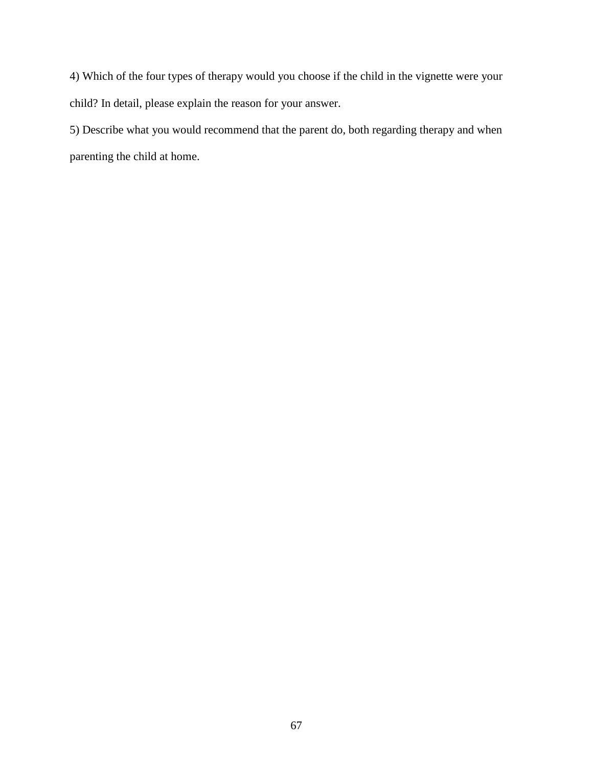4) Which of the four types of therapy would you choose if the child in the vignette were your child? In detail, please explain the reason for your answer.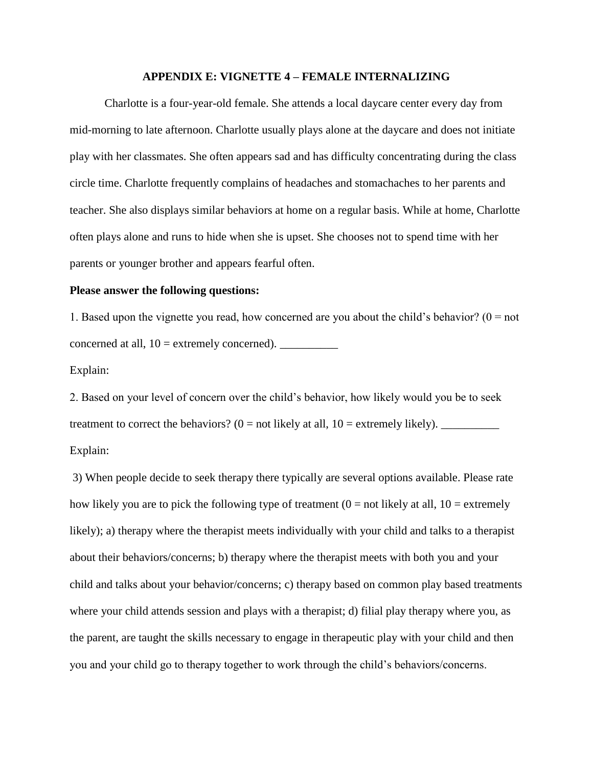### **APPENDIX E: VIGNETTE 4 – FEMALE INTERNALIZING**

Charlotte is a four-year-old female. She attends a local daycare center every day from mid-morning to late afternoon. Charlotte usually plays alone at the daycare and does not initiate play with her classmates. She often appears sad and has difficulty concentrating during the class circle time. Charlotte frequently complains of headaches and stomachaches to her parents and teacher. She also displays similar behaviors at home on a regular basis. While at home, Charlotte often plays alone and runs to hide when she is upset. She chooses not to spend time with her parents or younger brother and appears fearful often.

## **Please answer the following questions:**

1. Based upon the vignette you read, how concerned are you about the child's behavior? ( $0 = not$ ) concerned at all,  $10 =$  extremely concerned).  $\qquad \qquad$ 

## Explain:

2. Based on your level of concern over the child's behavior, how likely would you be to seek treatment to correct the behaviors? (0 = not likely at all, 10 = extremely likely). \_\_\_\_\_\_\_\_\_\_

Explain:

3) When people decide to seek therapy there typically are several options available. Please rate how likely you are to pick the following type of treatment  $(0 = not$  likely at all,  $10 =$  extremely likely); a) therapy where the therapist meets individually with your child and talks to a therapist about their behaviors/concerns; b) therapy where the therapist meets with both you and your child and talks about your behavior/concerns; c) therapy based on common play based treatments where your child attends session and plays with a therapist; d) filial play therapy where you, as the parent, are taught the skills necessary to engage in therapeutic play with your child and then you and your child go to therapy together to work through the child's behaviors/concerns.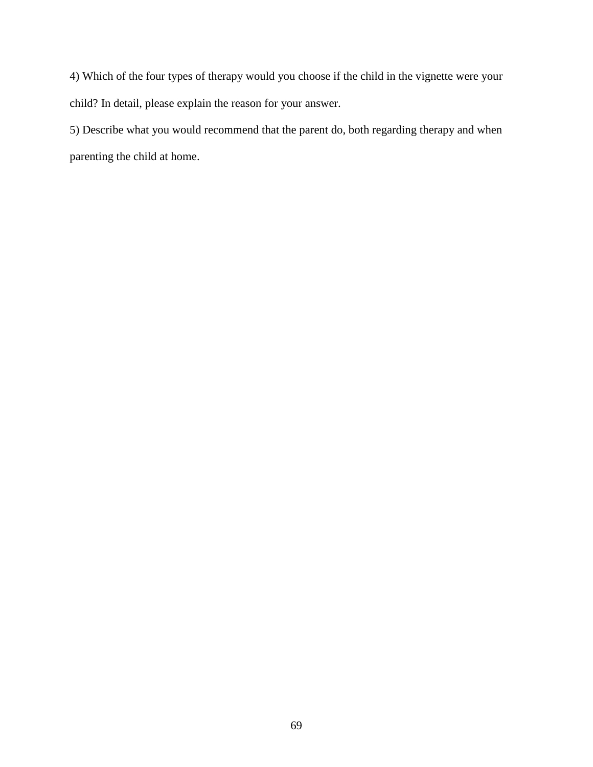4) Which of the four types of therapy would you choose if the child in the vignette were your child? In detail, please explain the reason for your answer.